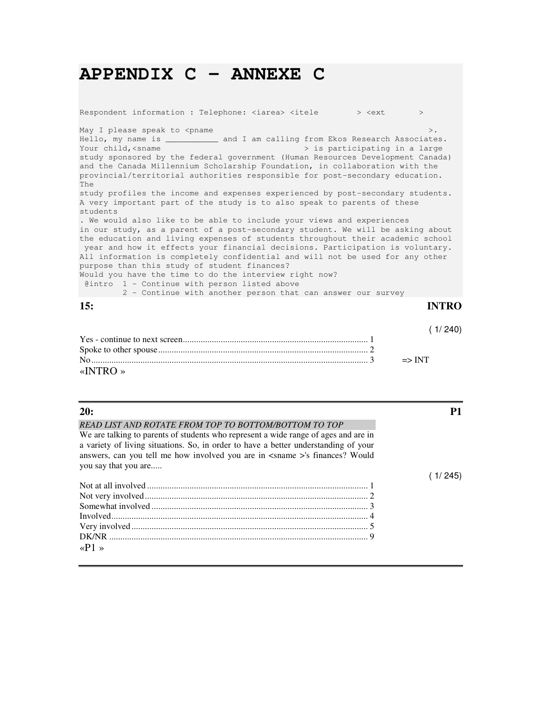# **APPENDIX C – ANNEXE C**

Respondent information : Telephone: <iarea> <itele > <ext May I please speak to <pname  $>$ . Hello, my name is \_\_\_\_\_\_\_\_\_\_\_ and I am calling from Ekos Research Associates. Your child,<sname  $\longrightarrow$  is participating in a large study sponsored by the federal government (Human Resources Development Canada) and the Canada Millennium Scholarship Foundation, in collaboration with the provincial/territorial authorities responsible for post-secondary education. The study profiles the income and expenses experienced by post-secondary students. A very important part of the study is to also speak to parents of these students . We would also like to be able to include your views and experiences in our study, as a parent of a post-secondary student. We will be asking about the education and living expenses of students throughout their academic school year and how it effects your financial decisions. Participation is voluntary. All information is completely confidential and will not be used for any other purpose than this study of student finances? Would you have the time to do the interview right now? @intro 1 - Continue with person listed above 2 - Continue with another person that can answer our survey **15: INTRO** 

| (1/240) |  |
|---------|--|
|         |  |
|         |  |
|         |  |
|         |  |

### «INTRO »

| 20:                                                                                                                                                                                                                                                              |         |
|------------------------------------------------------------------------------------------------------------------------------------------------------------------------------------------------------------------------------------------------------------------|---------|
| READ LIST AND ROTATE FROM TOP TO BOTTOM/BOTTOM TO TOP                                                                                                                                                                                                            |         |
| We are talking to parents of students who represent a wide range of ages and are in<br>a variety of living situations. So, in order to have a better understanding of your<br>answers, can you tell me how involved you are in <sname>'s finances? Would</sname> |         |
| you say that you are                                                                                                                                                                                                                                             |         |
|                                                                                                                                                                                                                                                                  | (1/245) |
|                                                                                                                                                                                                                                                                  |         |
|                                                                                                                                                                                                                                                                  |         |
|                                                                                                                                                                                                                                                                  |         |
|                                                                                                                                                                                                                                                                  |         |
|                                                                                                                                                                                                                                                                  |         |
|                                                                                                                                                                                                                                                                  |         |
| $\alpha$ P1 »                                                                                                                                                                                                                                                    |         |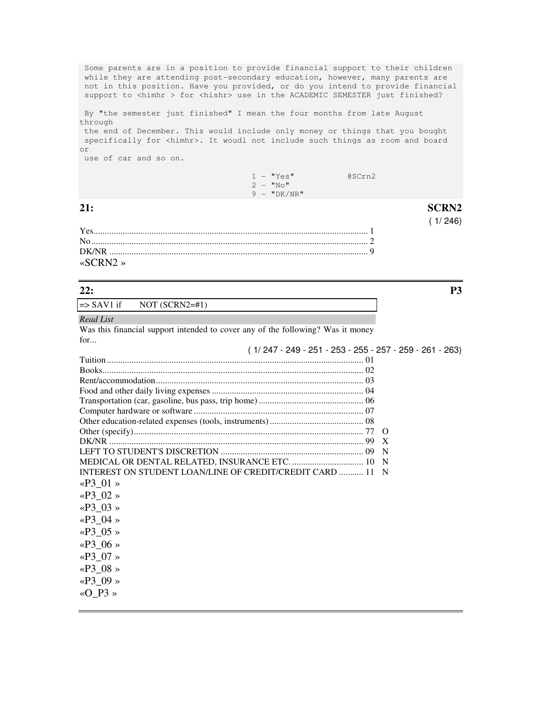Some parents are in a position to provide financial support to their children while they are attending post-secondary education, however, many parents are not in this position. Have you provided, or do you intend to provide financial support to <himhr > for <hishr> use in the ACADEMIC SEMESTER just finished?

 By "the semester just finished" I mean the four months from late August through

 the end of December. This would include only money or things that you bought specifically for <himhr>. It woudl not include such things as room and board or

use of car and so on.

 1 - "Yes" @SCrn2  $2 - "No"$  $9 - "DK/NR"$ 

**21: SCRN2**  ( 1/ 246)

| «SCRN2» |  |
|---------|--|

**22: P3** 

| $\Rightarrow$ SAV1 if | $NOT (SCRN2=\#1)$ |
|-----------------------|-------------------|
|                       |                   |

### *Read List*

Was this financial support intended to cover any of the following? Was it money for...

|                                                           | $(1/247 - 249 - 251 - 253 - 255 - 257 - 259 - 261 - 263)$ |              |
|-----------------------------------------------------------|-----------------------------------------------------------|--------------|
|                                                           |                                                           |              |
|                                                           |                                                           |              |
|                                                           |                                                           |              |
|                                                           |                                                           |              |
|                                                           |                                                           |              |
|                                                           |                                                           |              |
|                                                           |                                                           |              |
|                                                           |                                                           | $\Omega$     |
|                                                           |                                                           | $\mathbf{X}$ |
|                                                           |                                                           | - N          |
|                                                           |                                                           |              |
| INTEREST ON STUDENT LOAN/LINE OF CREDIT/CREDIT CARD  11 N |                                                           |              |
| «P3 01»                                                   |                                                           |              |
| «P3 02»                                                   |                                                           |              |
| «P3 03 »                                                  |                                                           |              |
| «P3 04 »                                                  |                                                           |              |
| «P3 05 »                                                  |                                                           |              |
| «P3 06 »                                                  |                                                           |              |
| «P3 07»                                                   |                                                           |              |
| «P3 08 »                                                  |                                                           |              |
| «P3 09»                                                   |                                                           |              |
| «O P3 »                                                   |                                                           |              |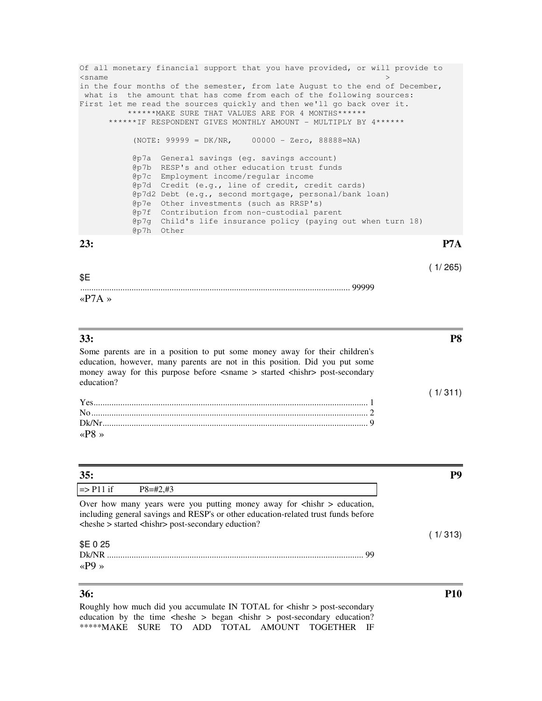Of all monetary financial support that you have provided, or will provide to  $\epsilon$  sname  $\epsilon$ in the four months of the semester, from late August to the end of December, what is the amount that has come from each of the following sources: First let me read the sources quickly and then we'll go back over it. \*\*\*\*\*\*MAKE SURE THAT VALUES ARE FOR 4 MONTHS\*\*\*\*\*\* \*\*\*\*\*\*IF RESPONDENT GIVES MONTHLY AMOUNT - MULTIPLY BY 4\*\*\*\*\*\* (NOTE: 99999 = DK/NR, 00000 - Zero, 88888=NA) @p7a General savings (eg. savings account) @p7b RESP's and other education trust funds @p7c Employment income/regular income @p7d Credit (e.g., line of credit, credit cards) @p7d2 Debt (e.g., second mortgage, personal/bank loan) @p7e Other investments (such as RRSP's) @p7f Contribution from non-custodial parent @p7g Child's life insurance policy (paying out when turn 18) @p7h Other **23: P7A** 

( 1/ 265)

| \$E   |  |
|-------|--|
| «P7A» |  |

| ×<br>×<br>×<br>×           | ۰.<br>× |
|----------------------------|---------|
| ٩<br>٩<br>v<br>v<br>×<br>× | ٠<br>×  |

| 33:                                                                                                                                                       | P8      |
|-----------------------------------------------------------------------------------------------------------------------------------------------------------|---------|
| Some parents are in a position to put some money away for their children's<br>education, however, many parents are not in this position. Did you put some |         |
| money away for this purpose before <sname> started <hishr> post-secondary</hishr></sname>                                                                 |         |
| education?                                                                                                                                                |         |
|                                                                                                                                                           | (1/311) |
|                                                                                                                                                           |         |
|                                                                                                                                                           |         |
|                                                                                                                                                           |         |
| « $P8 \times$                                                                                                                                             |         |

| 35:                                                                                                                                                                                                                                                | P9      |
|----------------------------------------------------------------------------------------------------------------------------------------------------------------------------------------------------------------------------------------------------|---------|
| $\Rightarrow$ P11 if<br>$P8 = \#2, \#3$                                                                                                                                                                                                            |         |
| Over how many years were you putting money away for $\langle$ hishr $\rangle$ education,<br>including general savings and RESP's or other education-related trust funds before<br><heshe> started <hishr> post-secondary eduction?</hishr></heshe> | (1/313) |
| \$E 0 25<br>«P9»                                                                                                                                                                                                                                   |         |
| 36:                                                                                                                                                                                                                                                |         |

Roughly how much did you accumulate IN TOTAL for <hishr > post-secondary education by the time <heshe > began <hishr > post-secondary education? \*\*\*\*\*MAKE SURE TO ADD TOTAL AMOUNT TOGETHER IF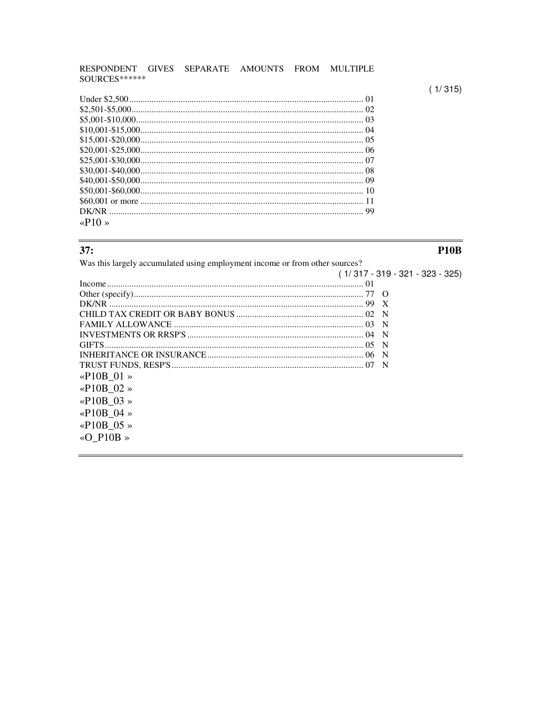# RESPONDENT GIVES SEPARATE AMOUNTS FROM MULTIPLE SOURCES \*\*\*\*\*\*

 $(1/315)$ 

## $37:$

# **P10B**

| Was this largely accumulated using employment income or from other sources? |                                   |  |  |
|-----------------------------------------------------------------------------|-----------------------------------|--|--|
|                                                                             | $(1/317 - 319 - 321 - 323 - 325)$ |  |  |
|                                                                             |                                   |  |  |
|                                                                             |                                   |  |  |
|                                                                             |                                   |  |  |
|                                                                             |                                   |  |  |
|                                                                             |                                   |  |  |
|                                                                             |                                   |  |  |
|                                                                             |                                   |  |  |
|                                                                             |                                   |  |  |
|                                                                             |                                   |  |  |
| «P10B 01»                                                                   |                                   |  |  |
| «P10B 02»                                                                   |                                   |  |  |
| «P10B $03 \times$                                                           |                                   |  |  |
| «P10B 04»                                                                   |                                   |  |  |
| «P10B 05»                                                                   |                                   |  |  |
| «O P10B »                                                                   |                                   |  |  |
|                                                                             |                                   |  |  |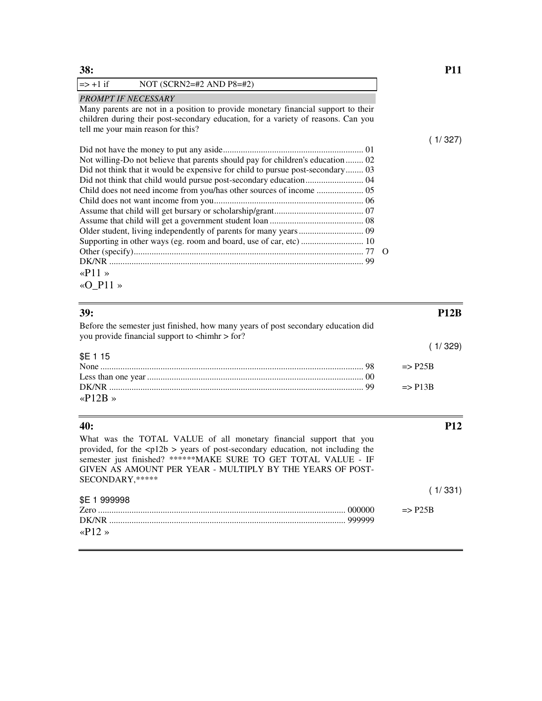| $\Rightarrow$ +1 if<br>NOT (SCRN2=#2 AND $P8=#2$ )                                                                                                                                                                                                                                                                                         |             |
|--------------------------------------------------------------------------------------------------------------------------------------------------------------------------------------------------------------------------------------------------------------------------------------------------------------------------------------------|-------------|
| <b>PROMPT IF NECESSARY</b>                                                                                                                                                                                                                                                                                                                 |             |
| Many parents are not in a position to provide monetary financial support to their<br>children during their post-secondary education, for a variety of reasons. Can you<br>tell me your main reason for this?                                                                                                                               |             |
|                                                                                                                                                                                                                                                                                                                                            | (1/327)     |
| Not willing-Do not believe that parents should pay for children's education  02<br>Did not think that it would be expensive for child to pursue post-secondary 03<br>Child does not need income from you/has other sources of income  05<br>Supporting in other ways (eg. room and board, use of car, etc)  10<br>« $P11$ »<br>« $O_P11$ » |             |
| 39:                                                                                                                                                                                                                                                                                                                                        | <b>P12B</b> |
| Before the semester just finished, how many years of post secondary education did<br>you provide financial support to <himhr> for?</himhr>                                                                                                                                                                                                 | (1/329)     |
| <b>SE 1 15</b>                                                                                                                                                                                                                                                                                                                             |             |

| טו חסט |  |  |
|--------|--|--|
|        |  |  |
|        |  |  |
|        |  |  |
| «P12B» |  |  |

| 40:                                                                                                                                                                                                                                                                                                                      | P12                |
|--------------------------------------------------------------------------------------------------------------------------------------------------------------------------------------------------------------------------------------------------------------------------------------------------------------------------|--------------------|
| What was the TOTAL VALUE of all monetary financial support that you<br>provided, for the $\langle p12b \rangle$ years of post-secondary education, not including the<br>semester just finished? ******MAKE SURE TO GET TOTAL VALUE - IF<br>GIVEN AS AMOUNT PER YEAR - MULTIPLY BY THE YEARS OF POST-<br>SECONDARY, ***** |                    |
|                                                                                                                                                                                                                                                                                                                          | (1/331)            |
| \$E 1 999998                                                                                                                                                                                                                                                                                                             |                    |
|                                                                                                                                                                                                                                                                                                                          | $\Rightarrow$ P25B |
| «P12»                                                                                                                                                                                                                                                                                                                    |                    |

**38: P11**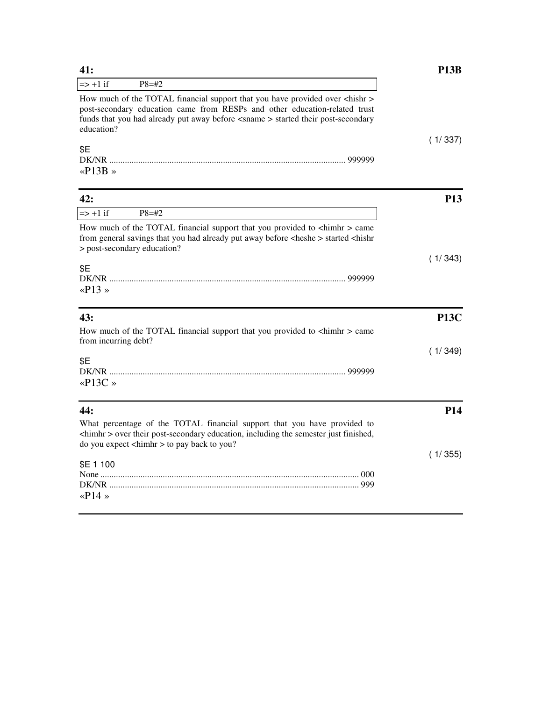| 41:                                                                                                                                                                                                                                                                                                          | <b>P13B</b> |
|--------------------------------------------------------------------------------------------------------------------------------------------------------------------------------------------------------------------------------------------------------------------------------------------------------------|-------------|
| $\Rightarrow$ +1 if<br>$P8 = \#2$                                                                                                                                                                                                                                                                            |             |
| How much of the TOTAL financial support that you have provided over <hishr><br/>post-secondary education came from RESPs and other education-related trust<br/>funds that you had already put away before <math>\langle</math>sname <math>\rangle</math> started their post-secondary<br/>education?</hishr> |             |
| \$E<br>DK/NR<br>999999<br>«P13B»                                                                                                                                                                                                                                                                             | (1/337)     |

| 42:                                                                                                                                                                                                                      | <b>P13</b>  |
|--------------------------------------------------------------------------------------------------------------------------------------------------------------------------------------------------------------------------|-------------|
| $\Rightarrow$ +1 if<br>$P8 = #2$                                                                                                                                                                                         |             |
| How much of the TOTAL financial support that you provided to $\langle$ himhr > came<br>from general savings that you had already put away before <hest> started <hish<br>&gt; post-secondary education?</hish<br></hest> |             |
| \$E                                                                                                                                                                                                                      | (1/343)     |
| . 999999                                                                                                                                                                                                                 |             |
| «P13»                                                                                                                                                                                                                    |             |
| 43:                                                                                                                                                                                                                      | <b>P13C</b> |
| How much of the TOTAL financial support that you provided to $\langle$ himhr $\rangle$ came                                                                                                                              |             |

| from incurring debt? | (1/349) |
|----------------------|---------|
| \$E<br>«P13C»        |         |

| 44:                                                                                                                                                                    | <b>P14</b> |
|------------------------------------------------------------------------------------------------------------------------------------------------------------------------|------------|
| What percentage of the TOTAL financial support that you have provided to<br><himbr> over their post-secondary education, including the semester just finished,</himbr> |            |
| $\alpha$ do you expect < him $\alpha$ to pay back to you?                                                                                                              |            |
|                                                                                                                                                                        | (1/355)    |
| \$E 1 100                                                                                                                                                              |            |
|                                                                                                                                                                        |            |
|                                                                                                                                                                        |            |
| «P <sub>14</sub> »                                                                                                                                                     |            |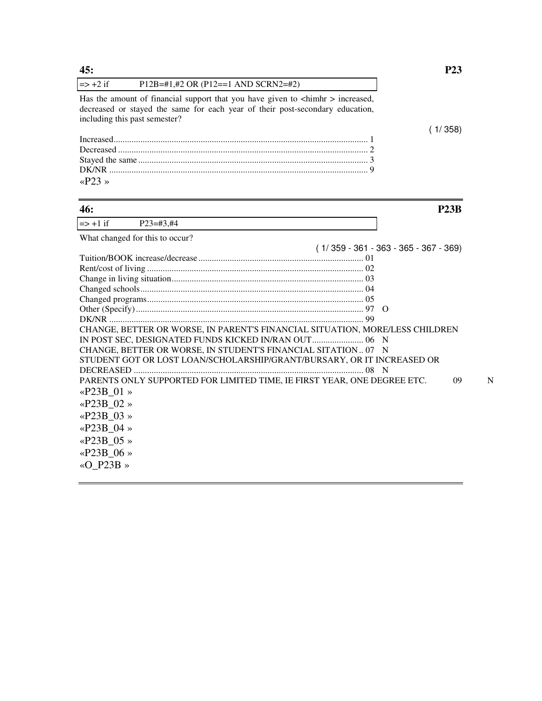| 45:                                                                                                                                                                                                       | <b>P23</b>                              |
|-----------------------------------------------------------------------------------------------------------------------------------------------------------------------------------------------------------|-----------------------------------------|
| $\Rightarrow$ +2 if<br>$P12B=\#1,\#2$ OR (P12==1 AND SCRN2=#2)                                                                                                                                            |                                         |
| Has the amount of financial support that you have given to <himhr> increased,<br/>decreased or stayed the same for each year of their post-secondary education,<br/>including this past semester?</himhr> |                                         |
|                                                                                                                                                                                                           | (1/358)                                 |
| «P23»                                                                                                                                                                                                     |                                         |
| 46:                                                                                                                                                                                                       | P23B                                    |
| $\Rightarrow$ +1 if<br>$P23 = #3, #4$                                                                                                                                                                     |                                         |
| What changed for this to occur?                                                                                                                                                                           | $(1/359 - 361 - 363 - 365 - 367 - 369)$ |
|                                                                                                                                                                                                           |                                         |
|                                                                                                                                                                                                           |                                         |
|                                                                                                                                                                                                           |                                         |
|                                                                                                                                                                                                           |                                         |
|                                                                                                                                                                                                           |                                         |
|                                                                                                                                                                                                           | $\Omega$                                |
|                                                                                                                                                                                                           |                                         |
| CHANGE, BETTER OR WORSE, IN PARENT'S FINANCIAL SITUATION, MORE/LESS CHILDREN                                                                                                                              |                                         |
|                                                                                                                                                                                                           | - N                                     |
| CHANGE, BETTER OR WORSE, IN STUDENT'S FINANCIAL SITATION 07 N<br>STUDENT GOT OR LOST LOAN/SCHOLARSHIP/GRANT/BURSARY, OR IT INCREASED OR                                                                   |                                         |
|                                                                                                                                                                                                           |                                         |
| PARENTS ONLY SUPPORTED FOR LIMITED TIME, IE FIRST YEAR, ONE DEGREE ETC.                                                                                                                                   | N<br>09                                 |
| « $P23B_01$ »                                                                                                                                                                                             |                                         |
| « $P23B_02$ »                                                                                                                                                                                             |                                         |
| «P23B 03»                                                                                                                                                                                                 |                                         |
|                                                                                                                                                                                                           |                                         |
| «P23B 04»                                                                                                                                                                                                 |                                         |
| «P23B 05 »                                                                                                                                                                                                |                                         |
| «P23B 06 »                                                                                                                                                                                                |                                         |
| «O P23B »                                                                                                                                                                                                 |                                         |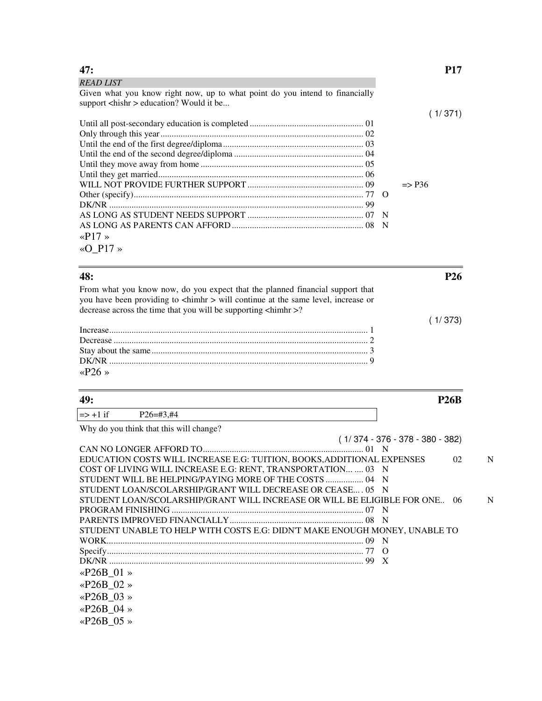| <b>READ LIST</b>                                                                                                               |                   |         |
|--------------------------------------------------------------------------------------------------------------------------------|-------------------|---------|
| Given what you know right now, up to what point do you intend to financially<br>support <hishr> education? Would it be</hishr> |                   |         |
|                                                                                                                                |                   |         |
|                                                                                                                                |                   | (1/371) |
|                                                                                                                                |                   |         |
|                                                                                                                                |                   |         |
|                                                                                                                                |                   |         |
|                                                                                                                                |                   |         |
|                                                                                                                                |                   |         |
|                                                                                                                                | $\Rightarrow$ P36 |         |
|                                                                                                                                |                   |         |
|                                                                                                                                |                   |         |
|                                                                                                                                |                   |         |
|                                                                                                                                |                   |         |
| «P17»                                                                                                                          |                   |         |
| «O P17 »                                                                                                                       |                   |         |

### **48: P26**

From what you know now, do you expect that the planned financial support that you have been providing to <himhr > will continue at the same level, increase or decrease across the time that you will be supporting <himhr >?

| «P26» |  |
|-------|--|

| 49:                 |                  | <b>P26B</b> |
|---------------------|------------------|-------------|
| $\Rightarrow$ +1 if | $P26 = \#3, \#4$ |             |
|                     |                  |             |

Why do you think that this will change?

|                   |                                                                             | $(1/374 - 376 - 378 - 380 - 382)$ |    |   |
|-------------------|-----------------------------------------------------------------------------|-----------------------------------|----|---|
|                   |                                                                             |                                   |    |   |
|                   | EDUCATION COSTS WILL INCREASE E.G: TUITION, BOOKS, ADDITIONAL EXPENSES      |                                   | 02 | N |
|                   | COST OF LIVING WILL INCREASE E.G: RENT, TRANSPORTATION  03 N                |                                   |    |   |
|                   | STUDENT WILL BE HELPING/PAYING MORE OF THE COSTS  04                        |                                   |    |   |
|                   | STUDENT LOAN/SCOLARSHIP/GRANT WILL DECREASE OR CEASE, 05 N                  |                                   |    |   |
|                   | STUDENT LOAN/SCOLARSHIP/GRANT WILL INCREASE OR WILL BE ELIGIBLE FOR ONE. 06 |                                   |    | N |
|                   |                                                                             |                                   |    |   |
|                   |                                                                             |                                   |    |   |
|                   | STUDENT UNABLE TO HELP WITH COSTS E.G: DIDN'T MAKE ENOUGH MONEY, UNABLE TO  |                                   |    |   |
|                   |                                                                             |                                   |    |   |
|                   |                                                                             |                                   |    |   |
|                   |                                                                             |                                   |    |   |
| «P26B 01»         |                                                                             |                                   |    |   |
| «P26B $02 \times$ |                                                                             |                                   |    |   |
| «P26B 03 »        |                                                                             |                                   |    |   |
| «P26B 04 »        |                                                                             |                                   |    |   |
| «P26B 05 »        |                                                                             |                                   |    |   |
|                   |                                                                             |                                   |    |   |

( 1/ 373)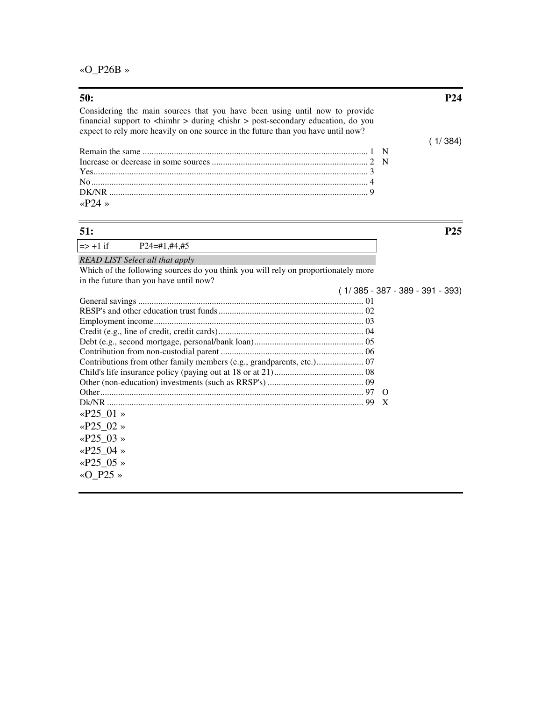«O\_P26B »

| Considering the main sources that you have been using until now to provide                       |  |
|--------------------------------------------------------------------------------------------------|--|
| financial support to $\langle$ himhr > during $\langle$ hishr > post-secondary education, do you |  |
| expect to rely more heavily on one source in the future than you have until now?                 |  |
|                                                                                                  |  |

| « $P24$ » |  |
|-----------|--|

« $P25_01$  » «P25\_02 » «P25\_03 » «P25\_04 » «P25\_05 » «O\_P25 »

 $\Rightarrow$  +1 if P24=#1,#4,#5

*READ LIST Select all that apply*  Which of the following sources do you think you will rely on proportionately more in the future than you have until now? ( 1/ 385 - 387 - 389 - 391 - 393) General savings ..................................................................................................... 01 RESP's and other education trust funds................................................................. 02 Employment income.............................................................................................. 03 Credit (e.g., line of credit, credit cards)................................................................. 04 Debt (e.g., second mortgage, personal/bank loan)................................................. 05 Contribution from non-custodial parent ................................................................ 06 Contributions from other family members (e.g., grandparents, etc.)..................... 07 Child's life insurance policy (paying out at 18 or at 21)........................................ 08 Other (non-education) investments (such as RRSP's) ........................................... 09 Other...................................................................................................................... 97 O Dk/NR ................................................................................................................... 99 X

# **50: P24**

 $(1/384)$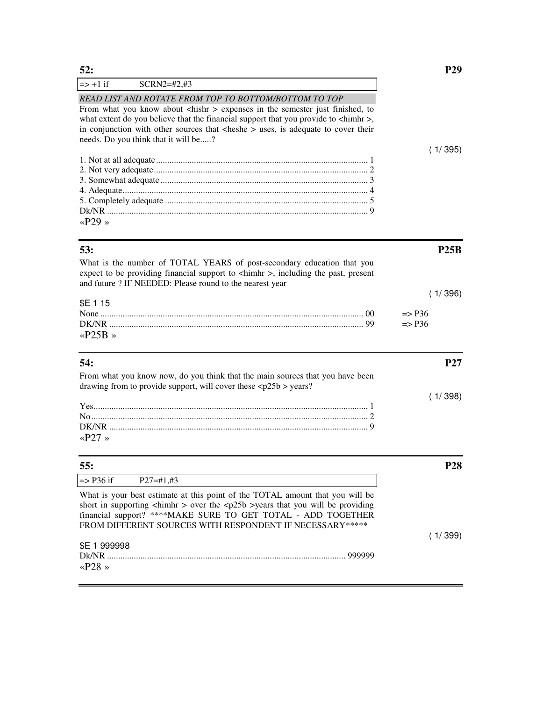| 52:                                                                                                                                                                                                                                                                                                                                                                              | <b>P29</b>                             |
|----------------------------------------------------------------------------------------------------------------------------------------------------------------------------------------------------------------------------------------------------------------------------------------------------------------------------------------------------------------------------------|----------------------------------------|
| $\Rightarrow$ +1 if<br>$SCRN2 = #2, #3$                                                                                                                                                                                                                                                                                                                                          |                                        |
| READ LIST AND ROTATE FROM TOP TO BOTTOM/BOTTOM TO TOP<br>From what you know about <hishr> expenses in the semester just finished, to<br/>what extent do you believe that the financial support that you provide to <himhr>,<br/>in conjunction with other sources that <heshe> uses, is adequate to cover their<br/>needs. Do you think that it will be?</heshe></himhr></hishr> |                                        |
|                                                                                                                                                                                                                                                                                                                                                                                  | (1/395)                                |
|                                                                                                                                                                                                                                                                                                                                                                                  |                                        |
| $\langle P29 \rangle$<br>53:                                                                                                                                                                                                                                                                                                                                                     | P25B                                   |
| What is the number of TOTAL YEARS of post-secondary education that you<br>expect to be providing financial support to <himhr>, including the past, present<br/>and future ? IF NEEDED: Please round to the nearest year</himhr>                                                                                                                                                  | (1/396)                                |
| \$E 1 15<br>« $P25B \times$                                                                                                                                                                                                                                                                                                                                                      | $\Rightarrow$ P36<br>$\Rightarrow$ P36 |
| 54:                                                                                                                                                                                                                                                                                                                                                                              | <b>P27</b>                             |
| From what you know now, do you think that the main sources that you have been<br>drawing from to provide support, will cover these $\langle p25b \rangle$ years?                                                                                                                                                                                                                 | (1/398)                                |
| «P27»                                                                                                                                                                                                                                                                                                                                                                            |                                        |
| 55:                                                                                                                                                                                                                                                                                                                                                                              | P28                                    |
| $\Rightarrow$ P36 if<br>$P27 = #1, #3$                                                                                                                                                                                                                                                                                                                                           |                                        |
| What is your best estimate at this point of the TOTAL amount that you will be<br>short in supporting $\langle$ himhr > over the $\langle p25b \rangle$ >years that you will be providing<br>financial support? ****MAKE SURE TO GET TOTAL - ADD TOGETHER<br>FROM DIFFERENT SOURCES WITH RESPONDENT IF NECESSARY *****                                                            |                                        |

 $( 1/ 399)$ 

\$E 1 999998

| « $P28$ » |  |
|-----------|--|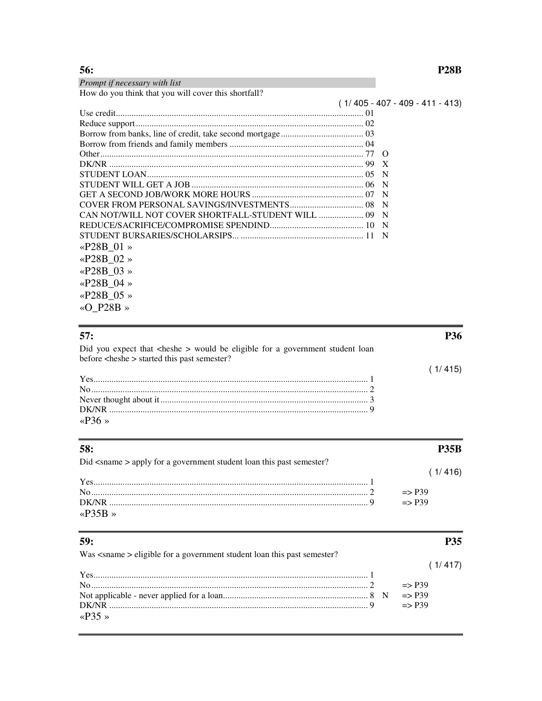# 56:

 $-411 - 413$ 

Prompt if necessary with list<br>How do you think that you will cover this shortfall?

|                                                     | $(1/405 - 407 - 409$ |  |
|-----------------------------------------------------|----------------------|--|
|                                                     |                      |  |
|                                                     |                      |  |
|                                                     |                      |  |
|                                                     |                      |  |
|                                                     |                      |  |
|                                                     |                      |  |
|                                                     |                      |  |
|                                                     |                      |  |
|                                                     |                      |  |
|                                                     |                      |  |
| CAN NOT/WILL NOT COVER SHORTFALL-STUDENT WILL  09 N |                      |  |
|                                                     |                      |  |
|                                                     |                      |  |
| «P28B 01»                                           |                      |  |
| «P28B 02»                                           |                      |  |
| «P28B 03 »                                          |                      |  |
| «P28B 04 »                                          |                      |  |
| «P28B $05 \times$                                   |                      |  |
| «O P28B »                                           |                      |  |
|                                                     |                      |  |

# $57.$

| 57:                                                                                 | P36     |
|-------------------------------------------------------------------------------------|---------|
| Did you expect that <heshe> would be eligible for a government student loan</heshe> |         |
| before <heshe> started this past semester?</heshe>                                  |         |
|                                                                                     | (1/415) |
|                                                                                     |         |
|                                                                                     |         |
|                                                                                     |         |
|                                                                                     |         |
| «P36»                                                                               |         |

| <b>58:</b>                                                                  |                   |
|-----------------------------------------------------------------------------|-------------------|
| Did <sname> apply for a government student loan this past semester?</sname> |                   |
|                                                                             | (1/416)           |
|                                                                             |                   |
|                                                                             | $\Rightarrow$ P39 |
|                                                                             | $\Rightarrow$ P39 |
| «P35B»                                                                      |                   |

| 59:                                                                            |                   | P35     |
|--------------------------------------------------------------------------------|-------------------|---------|
| Was <sname> eligible for a government student loan this past semester?</sname> |                   |         |
|                                                                                |                   | (1/417) |
|                                                                                |                   |         |
|                                                                                | $\Rightarrow$ P39 |         |
|                                                                                | $\Rightarrow$ P39 |         |
|                                                                                | $\Rightarrow$ P39 |         |
| «P35»                                                                          |                   |         |
|                                                                                |                   |         |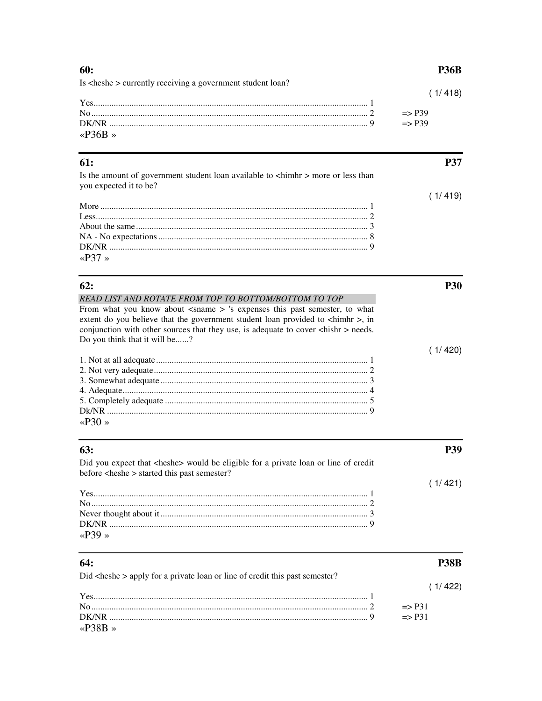| 60:                                                                                                                | <b>P36B</b>       |
|--------------------------------------------------------------------------------------------------------------------|-------------------|
| Is <heshe> currently receiving a government student loan?</heshe>                                                  |                   |
|                                                                                                                    | (1/418)           |
|                                                                                                                    | $\Rightarrow$ P39 |
|                                                                                                                    | $\Rightarrow$ P39 |
| « $P36B \times$                                                                                                    |                   |
| 61:                                                                                                                | <b>P37</b>        |
| Is the amount of government student loan available to <himhr> more or less than<br/>you expected it to be?</himhr> |                   |
|                                                                                                                    | (1/419)           |
|                                                                                                                    |                   |
|                                                                                                                    |                   |
|                                                                                                                    |                   |
|                                                                                                                    |                   |
| «P37»                                                                                                              |                   |
| 62:                                                                                                                | <b>P30</b>        |
| READ LIST AND ROTATE FROM TOP TO BOTTOM/BOTTOM TO TOP                                                              |                   |
| From what you know about <sname> 's expenses this past semester, to what</sname>                                   |                   |
| extent do you believe that the government student loan provided to <himhr>, in</himhr>                             |                   |
| conjunction with other sources that they use, is adequate to cover <hishr> needs.</hishr>                          |                   |
| Do you think that it will be?                                                                                      |                   |
|                                                                                                                    | (1/420)           |
|                                                                                                                    |                   |
|                                                                                                                    |                   |
|                                                                                                                    |                   |
|                                                                                                                    |                   |
|                                                                                                                    |                   |
| «P30»                                                                                                              |                   |
| 63:                                                                                                                | <b>P39</b>        |
| Did you expect that <heshe> would be eligible for a private loan or line of credit</heshe>                         |                   |
| before <heshe> started this past semester?</heshe>                                                                 |                   |
|                                                                                                                    | (1/421)           |
|                                                                                                                    |                   |
|                                                                                                                    |                   |
|                                                                                                                    |                   |
| «P39»                                                                                                              |                   |
| 64:                                                                                                                | <b>P38B</b>       |
| Did <heshe> apply for a private loan or line of credit this past semester?</heshe>                                 |                   |
|                                                                                                                    | (1/422)           |
|                                                                                                                    |                   |
|                                                                                                                    | $\Rightarrow$ P31 |
| « $P38B$ »                                                                                                         | $\Rightarrow$ P31 |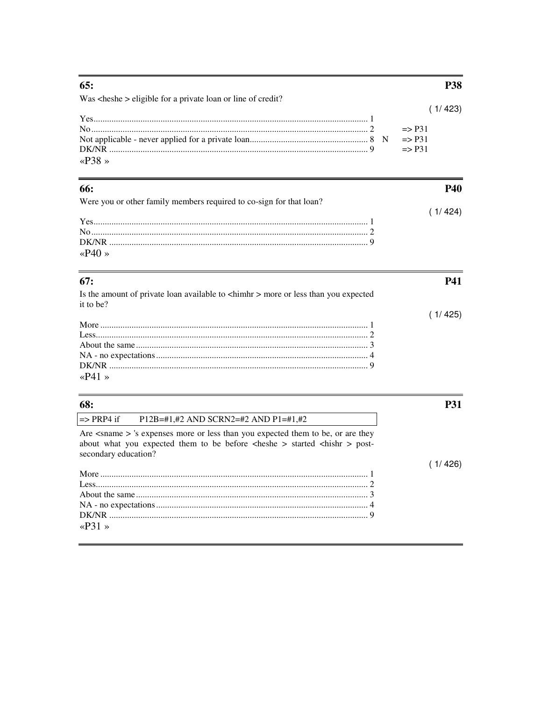| 65:                                                                                       | <b>P38</b>        |
|-------------------------------------------------------------------------------------------|-------------------|
| Was <heshe> eligible for a private loan or line of credit?</heshe>                        |                   |
|                                                                                           | (1/423)           |
|                                                                                           | $\Rightarrow$ P31 |
|                                                                                           | $\Rightarrow$ P31 |
|                                                                                           | $\Rightarrow$ P31 |
| «P38»                                                                                     |                   |
| 66:                                                                                       | <b>P40</b>        |
| Were you or other family members required to co-sign for that loan?                       |                   |
|                                                                                           | (1/424)           |
|                                                                                           |                   |
|                                                                                           |                   |
|                                                                                           |                   |
| « $P40 \times$                                                                            |                   |
| 67:                                                                                       | <b>P41</b>        |
| Is the amount of private loan available to <himhr> more or less than you expected</himhr> |                   |
| it to be?                                                                                 |                   |
|                                                                                           | (1/425)           |
|                                                                                           |                   |
|                                                                                           |                   |
|                                                                                           |                   |
|                                                                                           |                   |
|                                                                                           |                   |

«P41 »

| 68:                                                                                                                                                                                                                                                                        |       |
|----------------------------------------------------------------------------------------------------------------------------------------------------------------------------------------------------------------------------------------------------------------------------|-------|
| $\vert$ => PRP4 if P12B=#1,#2 AND SCRN2=#2 AND P1=#1,#2                                                                                                                                                                                                                    |       |
| Are <sname> 's expenses more or less than you expected them to be, or are they<br/>about what you expected them to be before <math>\langle</math> heshe <math>\rangle</math> started <math>\langle</math> hishr<math>\rangle</math> post-<br/>secondary education?</sname> |       |
|                                                                                                                                                                                                                                                                            | 1/426 |
|                                                                                                                                                                                                                                                                            |       |
|                                                                                                                                                                                                                                                                            |       |
|                                                                                                                                                                                                                                                                            |       |
|                                                                                                                                                                                                                                                                            |       |
|                                                                                                                                                                                                                                                                            |       |

«P31 »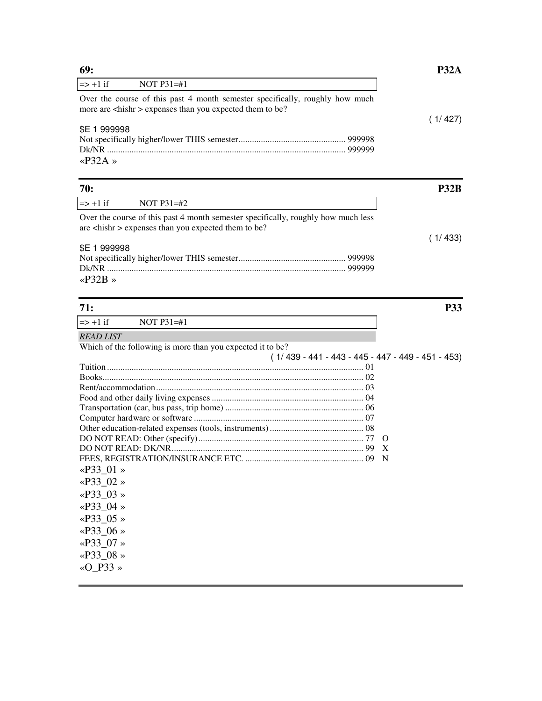| 69:                                                                                                                                             |         |
|-------------------------------------------------------------------------------------------------------------------------------------------------|---------|
| $\Rightarrow$ +1 if<br>NOT $P31 = #1$                                                                                                           |         |
| Over the course of this past 4 month semester specifically, roughly how much<br>more are <hishr> expenses than you expected them to be?</hishr> |         |
|                                                                                                                                                 | (1/427) |
| \$E 1 999998                                                                                                                                    |         |
|                                                                                                                                                 |         |
| 999999                                                                                                                                          |         |
| «P32A»                                                                                                                                          |         |
|                                                                                                                                                 |         |

| 70:                                                                                                                                             | P32R    |
|-------------------------------------------------------------------------------------------------------------------------------------------------|---------|
| $\Rightarrow$ +1 if<br>NOT $P31 = #2$                                                                                                           |         |
| Over the course of this past 4 month semester specifically, roughly how much less<br>are <hishr> expenses than you expected them to be?</hishr> |         |
|                                                                                                                                                 | (1/433) |
| \$E 1 999998                                                                                                                                    |         |
|                                                                                                                                                 |         |
| 999999                                                                                                                                          |         |
| «P32B»                                                                                                                                          |         |

| <b>P33</b><br>71:                                          |
|------------------------------------------------------------|
| $\Rightarrow$ +1 if<br>NOT $P31 = #1$                      |
| <b>READ LIST</b>                                           |
| Which of the following is more than you expected it to be? |
| $(1/439 - 441 - 443 - 445 - 447 - 449 - 451 - 453)$        |
|                                                            |
|                                                            |
|                                                            |
|                                                            |
|                                                            |
|                                                            |
|                                                            |
| $\Omega$                                                   |
| X                                                          |
| N                                                          |
| «P33 01»                                                   |
| «P33 02»                                                   |
| «P33 03 »                                                  |
| «P33 04»                                                   |
| « $P33$ <sub>-05</sub> »                                   |
| «P33_06 »                                                  |
| «P33_07 »                                                  |
| «P33 08 »                                                  |
| «O P33 »                                                   |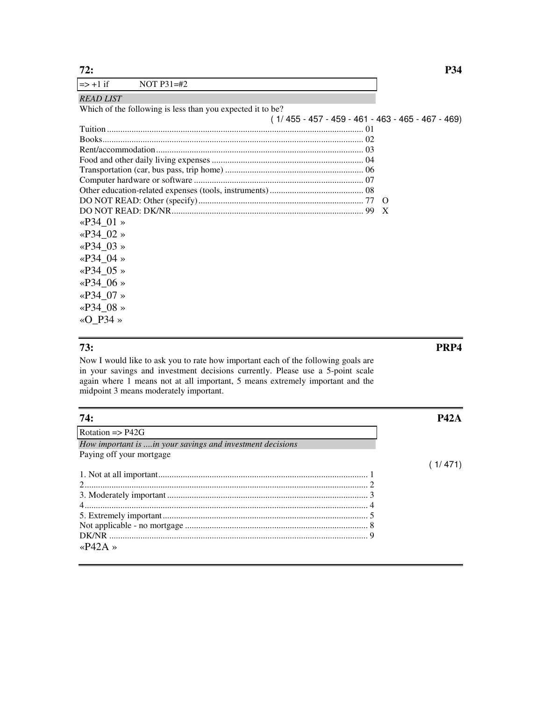### *READ LIST*

Which of the following is less than you expected it to be?

|           | $(1/455 - 457 - 459 - 461 - 463 - 465 - 467 - 469)$ |              |
|-----------|-----------------------------------------------------|--------------|
|           |                                                     |              |
|           |                                                     |              |
|           |                                                     |              |
|           |                                                     |              |
|           |                                                     |              |
|           |                                                     |              |
|           |                                                     |              |
|           |                                                     |              |
|           |                                                     | $\mathbf{X}$ |
| «P34 01»  |                                                     |              |
| «P34 02»  |                                                     |              |
| «P34 03 » |                                                     |              |
| «P34 04»  |                                                     |              |
| «P34 05 » |                                                     |              |
| «P34 06 » |                                                     |              |
| «P34 07»  |                                                     |              |
| «P34 08 » |                                                     |              |
| «O P34 »  |                                                     |              |

## **73: PRP4**

Now I would like to ask you to rate how important each of the following goals are in your savings and investment decisions currently. Please use a 5-point scale again where 1 means not at all important, 5 means extremely important and the midpoint 3 means moderately important.

| 74:                                                       | P42A    |
|-----------------------------------------------------------|---------|
| Rotation $\Rightarrow$ P42G                               |         |
| How important is in your savings and investment decisions |         |
| Paying off your mortgage                                  |         |
|                                                           | (1/471) |
|                                                           |         |
|                                                           |         |
|                                                           |         |
|                                                           |         |
|                                                           |         |
|                                                           |         |
|                                                           |         |
| « $P42A$ »                                                |         |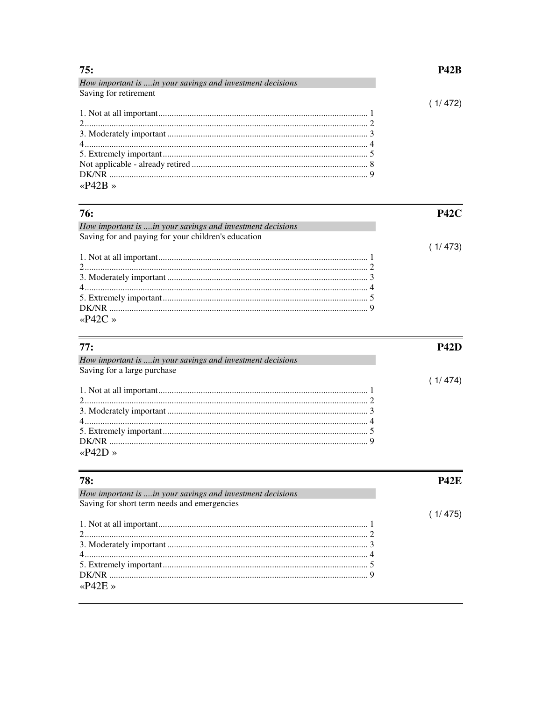| 75:                                                       | P42R   |
|-----------------------------------------------------------|--------|
| How important is in your savings and investment decisions |        |
| Saving for retirement                                     |        |
|                                                           | 1/472) |
|                                                           |        |
|                                                           |        |
|                                                           |        |
|                                                           |        |
|                                                           |        |
|                                                           |        |
|                                                           |        |
| «P42B»                                                    |        |

| 76:                                                       | P42C    |
|-----------------------------------------------------------|---------|
| How important is in your savings and investment decisions |         |
| Saving for and paying for your children's education       |         |
|                                                           | (1/473) |
|                                                           |         |
|                                                           |         |
|                                                           |         |
|                                                           |         |
|                                                           |         |
|                                                           |         |
| «P42C»                                                    |         |

| 77:                                                       | P42D    |
|-----------------------------------------------------------|---------|
| How important is in your savings and investment decisions |         |
| Saving for a large purchase                               |         |
|                                                           | (1/4/4) |
|                                                           |         |
|                                                           |         |
|                                                           |         |
|                                                           |         |
|                                                           |         |
|                                                           |         |
|                                                           |         |

| 78:                                                       | <b>P42F</b> |
|-----------------------------------------------------------|-------------|
| How important is in your savings and investment decisions |             |
| Saving for short term needs and emergencies               |             |
|                                                           | (1/475)     |
|                                                           |             |
|                                                           |             |
|                                                           |             |
|                                                           |             |
|                                                           |             |
|                                                           |             |
| $\alpha$ P $\Delta$ ?E »                                  |             |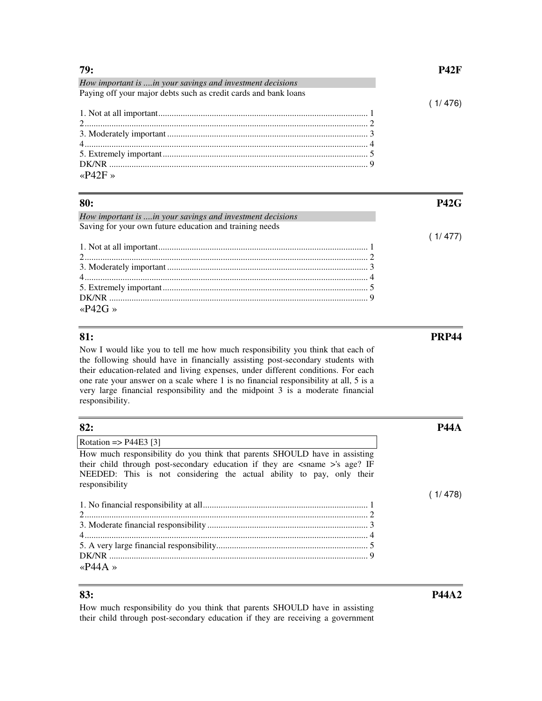| 79:                                                             |  |
|-----------------------------------------------------------------|--|
| How important is in your savings and investment decisions       |  |
| Paying off your major debts such as credit cards and bank loans |  |
|                                                                 |  |
|                                                                 |  |
|                                                                 |  |
|                                                                 |  |
|                                                                 |  |
|                                                                 |  |
|                                                                 |  |
| «P42F»                                                          |  |

| 80:                                                       | P42G |
|-----------------------------------------------------------|------|
| How important is in your savings and investment decisions |      |
| Saving for your own future education and training needs   |      |
|                                                           |      |
|                                                           |      |
|                                                           |      |
|                                                           |      |
|                                                           |      |
|                                                           |      |
|                                                           |      |
| « $P42G$ »                                                |      |

Now I would like you to tell me how much responsibility you think that each of the following should have in financially assisting post-secondary students with their education-related and living expenses, under different conditions. For each one rate your answer on a scale where 1 is no financial responsibility at all, 5 is a very large financial responsibility and the midpoint 3 is a moderate financial responsibility.

| 82:                                                                                                                                                                                                                                        |         |
|--------------------------------------------------------------------------------------------------------------------------------------------------------------------------------------------------------------------------------------------|---------|
| Rotation $\Rightarrow$ P44E3 [3]                                                                                                                                                                                                           |         |
| How much responsibility do you think that parents SHOULD have in assisting<br>their child through post-secondary education if they are <sname>'s age? IF<br/>NEEDED: This is not considering the actual ability to pay, only their</sname> |         |
| responsibility                                                                                                                                                                                                                             | (1/478) |
|                                                                                                                                                                                                                                            |         |
|                                                                                                                                                                                                                                            |         |
|                                                                                                                                                                                                                                            |         |
| « $P44A \times$                                                                                                                                                                                                                            |         |

How much responsibility do you think that parents SHOULD have in assisting their child through post-secondary education if they are receiving a government

**81: PRP44** 

**83: P44A2**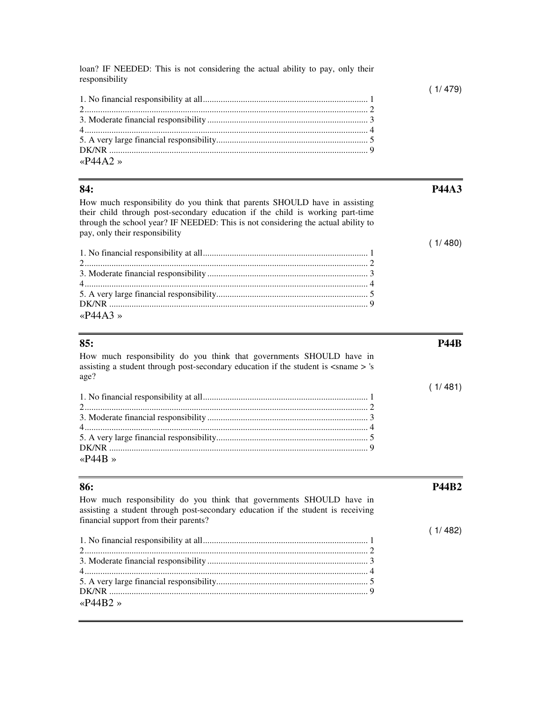loan? IF NEEDED: This is not considering the actual ability to pay, only their responsibility

| « $P44A2$ » |  |
|-------------|--|

| 84:                                                                               | <b>P44A3</b> |
|-----------------------------------------------------------------------------------|--------------|
| How much responsibility do you think that parents SHOULD have in assisting        |              |
| their child through post-secondary education if the child is working part-time    |              |
| through the school year? IF NEEDED: This is not considering the actual ability to |              |
| pay, only their responsibility                                                    |              |
|                                                                                   | (1/480)      |
|                                                                                   |              |
|                                                                                   |              |
|                                                                                   |              |
|                                                                                   |              |
|                                                                                   |              |
|                                                                                   |              |

# «P44A3 »

| 85:<br>How much responsibility do you think that governments SHOULD have in<br>assisting a student through post-secondary education if the student is <sname> 's<br/>age?</sname> | P44R    |
|-----------------------------------------------------------------------------------------------------------------------------------------------------------------------------------|---------|
| « $P44B \times$                                                                                                                                                                   | (1/481) |

**86: P44B2** 

 $(1/482)$ 

( 1/ 479)

How much responsibility do you think that governments SHOULD have in assisting a student through post-secondary education if the student is receiving financial support from their parents?

1. No financial responsibility at all.......................................................................... 1 2............................................................................................................................... 2 3. Moderate financial responsibility ........................................................................ 3 4............................................................................................................................... 4 5. A very large financial responsibility.................................................................... 5 DK/NR .................................................................................................................... 9 «P44B2 »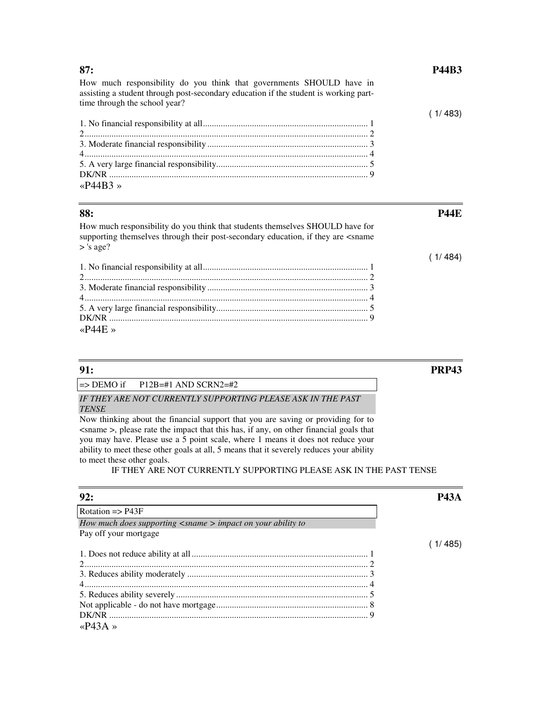### **87: P44B3**

How much responsibility do you think that governments SHOULD have in assisting a student through post-secondary education if the student is working parttime through the school year?

| « $P44B3$ » |  |
|-------------|--|

How much responsibility do you think that students themselves SHOULD have for supporting themselves through their post-secondary education, if they are <sname > 's age?

| « $P44F \times$ |  |
|-----------------|--|

 $\Rightarrow$  DEMO if P12B=#1 AND SCRN2=#2

*IF THEY ARE NOT CURRENTLY SUPPORTING PLEASE ASK IN THE PAST TENSE* 

Now thinking about the financial support that you are saving or providing for to <sname >, please rate the impact that this has, if any, on other financial goals that you may have. Please use a 5 point scale, where 1 means it does not reduce your ability to meet these other goals at all, 5 means that it severely reduces your ability to meet these other goals.

# IF THEY ARE NOT CURRENTLY SUPPORTING PLEASE ASK IN THE PAST TENSE

| 92:                                                                          | <b>P43A</b> |
|------------------------------------------------------------------------------|-------------|
| Rotation $\Rightarrow$ P43F                                                  |             |
| How much does supporting $\langle$ sname $\rangle$ impact on your ability to |             |
| Pay off your mortgage                                                        |             |
|                                                                              | !1/ 485.    |
|                                                                              |             |
|                                                                              |             |
|                                                                              |             |
|                                                                              |             |
|                                                                              |             |
|                                                                              |             |
|                                                                              |             |
| « $P43A$ »                                                                   |             |

# **91: PRP43**

# **88: P44E**

( 1/ 483)

 $(1/484)$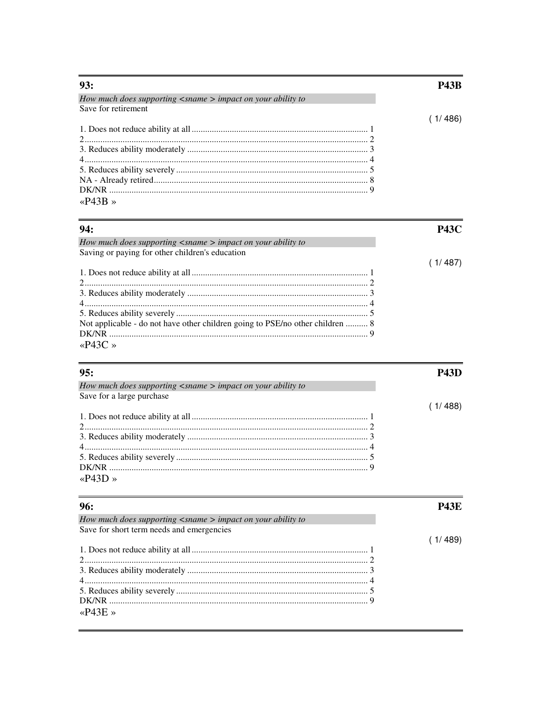| 93:                                                                          | <b>P43R</b> |
|------------------------------------------------------------------------------|-------------|
| How much does supporting $\langle$ sname $\rangle$ impact on your ability to |             |
| Save for retirement                                                          |             |
|                                                                              | 17 486ء ک   |
|                                                                              |             |
|                                                                              |             |
|                                                                              |             |
|                                                                              |             |
|                                                                              |             |
|                                                                              |             |
|                                                                              |             |
| $\alpha$ P43R »                                                              |             |

| 94:                                                                           | P43C |
|-------------------------------------------------------------------------------|------|
| How much does supporting $\langle$ sname $\rangle$ impact on your ability to  |      |
| Saving or paying for other children's education                               |      |
|                                                                               |      |
|                                                                               |      |
|                                                                               |      |
|                                                                               |      |
|                                                                               |      |
|                                                                               |      |
| Not applicable - do not have other children going to PSE/no other children  8 |      |
|                                                                               |      |
| «P43C»                                                                        |      |

| 95:                                                                          | P43D |
|------------------------------------------------------------------------------|------|
| How much does supporting $\langle$ sname $\rangle$ impact on your ability to |      |
| Save for a large purchase                                                    |      |
|                                                                              |      |
|                                                                              |      |
|                                                                              |      |
|                                                                              |      |
|                                                                              |      |
|                                                                              |      |
|                                                                              |      |
| «P43D»                                                                       |      |

| 96:                                                                          | <b>P43E</b> |
|------------------------------------------------------------------------------|-------------|
| How much does supporting $\langle$ sname $\rangle$ impact on your ability to |             |
| Save for short term needs and emergencies                                    |             |
|                                                                              | 1/489)      |
|                                                                              |             |
|                                                                              |             |
|                                                                              |             |
|                                                                              |             |
|                                                                              |             |
|                                                                              |             |
| «P43E»                                                                       |             |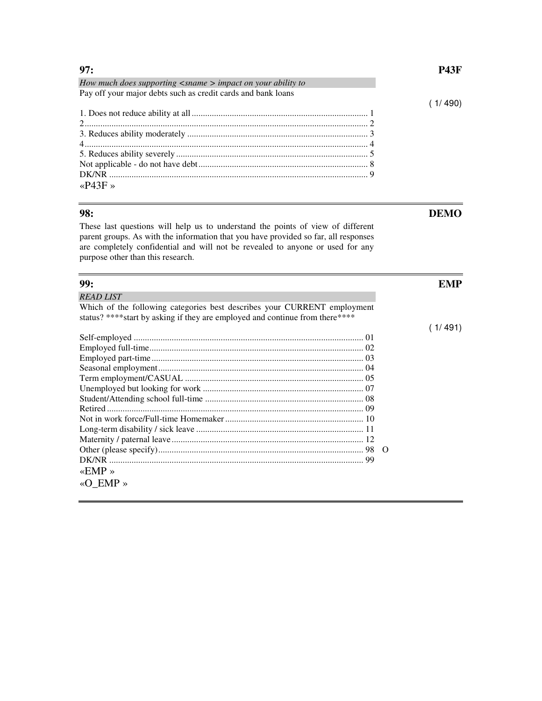| How much does supporting $\leq$ shame > impact on your dottily to |  |
|-------------------------------------------------------------------|--|
| Pay off your major debts such as credit cards and bank loans      |  |
|                                                                   |  |
|                                                                   |  |
|                                                                   |  |
|                                                                   |  |
|                                                                   |  |
|                                                                   |  |
|                                                                   |  |
| « $P43F$ »                                                        |  |

*How much does supporting <sname > impact on your ability to* 

These last questions will help us to understand the points of view of different parent groups. As with the information that you have provided so far, all responses are completely confidential and will not be revealed to anyone or used for any purpose other than this research.

| 99:                                                                           | EMP     |
|-------------------------------------------------------------------------------|---------|
| <b>READ LIST</b>                                                              |         |
| Which of the following categories best describes your CURRENT employment      |         |
| status? **** start by asking if they are employed and continue from there**** |         |
|                                                                               | (1/491) |
|                                                                               |         |
|                                                                               |         |
|                                                                               |         |
|                                                                               |         |
|                                                                               |         |
|                                                                               |         |
|                                                                               |         |
|                                                                               |         |
|                                                                               |         |
|                                                                               |         |
|                                                                               |         |
|                                                                               |         |
|                                                                               |         |
| «EMP»                                                                         |         |
| «O EMP»                                                                       |         |
|                                                                               |         |

# **97: P43F**

 $( 1/ 490)$ 

# **98: DEMO**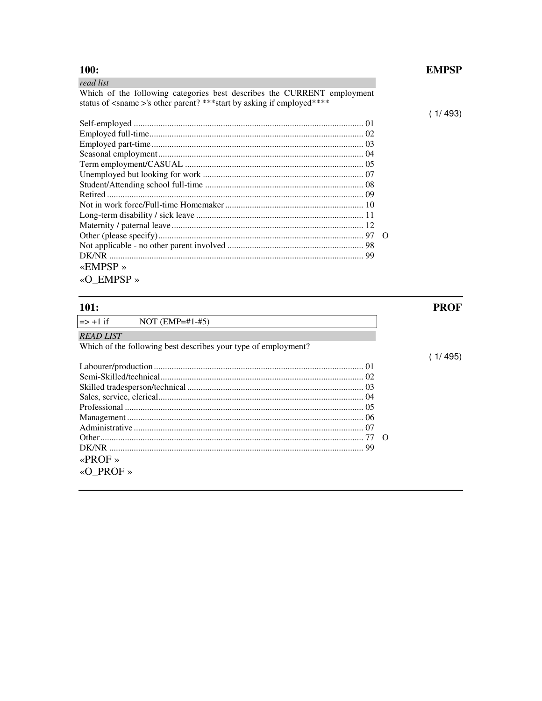# $100:$

# **EMPSP**

 $(1/493)$ 

| read list                                                                     |  |
|-------------------------------------------------------------------------------|--|
| Which of the following categories best describes the CURRENT employment       |  |
| status of <sname>'s other parent? *** start by asking if employed****</sname> |  |

| DK/NR     |  |
|-----------|--|
| «EMPSP»   |  |
| «O EMPSP» |  |

|        | ×<br>۰. |
|--------|---------|
| ×<br>۹ | ٠<br>×  |

| 101:                                                           | PROF     |
|----------------------------------------------------------------|----------|
| $\Rightarrow$ +1 if<br>NOT $(EMP=\#1-\#5)$                     |          |
| <b>READ LIST</b>                                               |          |
| Which of the following best describes your type of employment? |          |
|                                                                | (1/ 495) |
|                                                                |          |
|                                                                |          |
|                                                                |          |
|                                                                |          |
|                                                                |          |
|                                                                |          |
|                                                                |          |
|                                                                |          |
|                                                                |          |
| «PROF»                                                         |          |
| «O PROF »                                                      |          |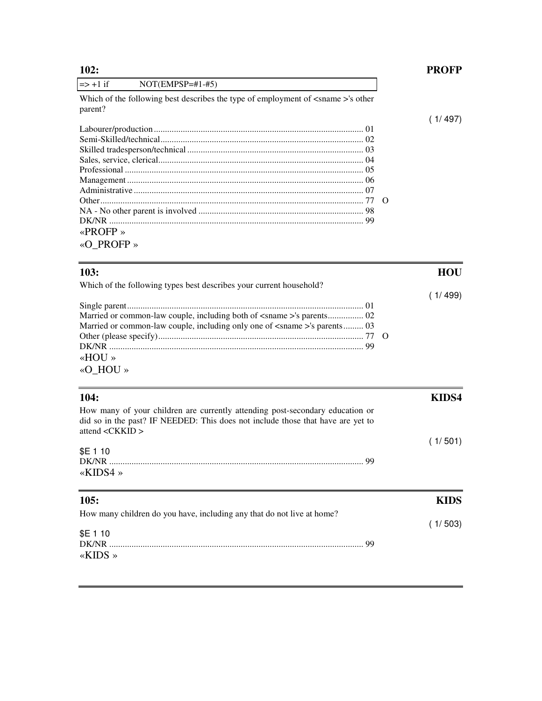| $\Rightarrow$ +1 if<br>$NOT(EMPSP=\#1-\#5)$                                                             |         |
|---------------------------------------------------------------------------------------------------------|---------|
| Which of the following best describes the type of employment of $\leq$ sname $\geq$ 's other<br>parent? |         |
|                                                                                                         | (1/497) |
|                                                                                                         |         |
|                                                                                                         |         |
|                                                                                                         |         |
|                                                                                                         |         |
|                                                                                                         |         |
|                                                                                                         |         |
|                                                                                                         |         |
|                                                                                                         |         |
|                                                                                                         |         |
|                                                                                                         |         |
| «PROFP»                                                                                                 |         |
| «O PROFP»                                                                                               |         |
| 103:                                                                                                    | HOU     |
| Which of the following types best describes your current household?                                     |         |
|                                                                                                         | (1/499) |
|                                                                                                         |         |
| Married or common law couple including both of $\zeta$ and $\zeta$ are narrows<br>$\Omega$              |         |

| Married or common-law couple, including only one of <sname>'s parents 03</sname> |  |
|----------------------------------------------------------------------------------|--|
|                                                                                  |  |
|                                                                                  |  |
| «HOU»                                                                            |  |
| «O HOU »                                                                         |  |

| <b>104:</b>                                                                                                                                                                                        | KIDS4       |
|----------------------------------------------------------------------------------------------------------------------------------------------------------------------------------------------------|-------------|
| How many of your children are currently attending post-secondary education or<br>did so in the past? IF NEEDED: This does not include those that have are yet to<br>attend $\langle CKKID \rangle$ |             |
| \$E 1 10<br>«KIDS4»                                                                                                                                                                                | (1/501)     |
| 105:                                                                                                                                                                                               | <b>KIDS</b> |
| How many children do you have, including any that do not live at home?                                                                                                                             |             |
|                                                                                                                                                                                                    | (1/503)     |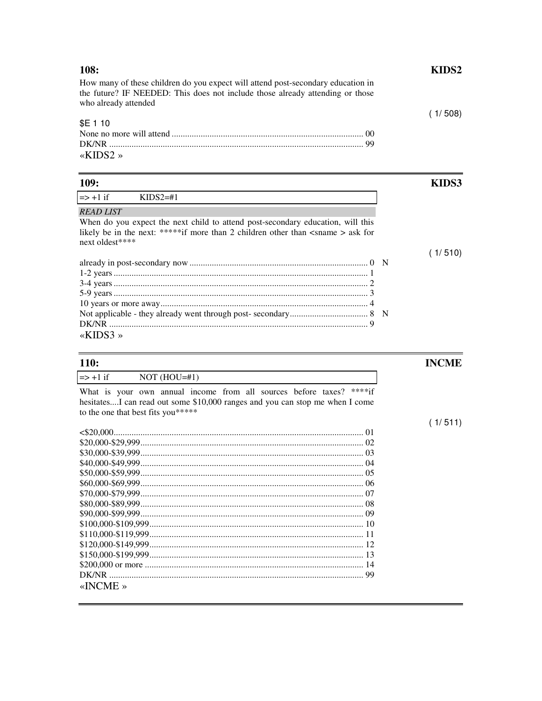| <b>108:</b>                                                                                                                                                                               | KIDS2   |
|-------------------------------------------------------------------------------------------------------------------------------------------------------------------------------------------|---------|
| How many of these children do you expect will attend post-secondary education in<br>the future? IF NEEDED: This does not include those already attending or those<br>who already attended |         |
| \$E 1 10                                                                                                                                                                                  | (1/508) |
|                                                                                                                                                                                           |         |
|                                                                                                                                                                                           |         |
| «KIDS2»                                                                                                                                                                                   |         |
| <b>109:</b>                                                                                                                                                                               | KIDS3   |
| $\Rightarrow$ +1 if<br>$KIDS2 = #1$                                                                                                                                                       |         |
| <b>READ LIST</b>                                                                                                                                                                          |         |
| When do you expect the next child to attend post-secondary education, will this<br>likely be in the next: *****if more than 2 children other than $\alpha$ ask for<br>next oldest****     |         |
|                                                                                                                                                                                           | (1/510) |
|                                                                                                                                                                                           |         |
|                                                                                                                                                                                           |         |
|                                                                                                                                                                                           |         |
|                                                                                                                                                                                           |         |
|                                                                                                                                                                                           |         |
|                                                                                                                                                                                           |         |
|                                                                                                                                                                                           |         |
| «KIDS3»                                                                                                                                                                                   |         |

# $110$

| <b>110:</b>                                                                  |
|------------------------------------------------------------------------------|
| $\Rightarrow$ +1 if<br>$NOT (HOU=\#1)$                                       |
| What is your own annual income from all sources before taxes? ****if         |
| hesitatesI can read out some \$10,000 ranges and you can stop me when I come |
| to the one that best fits you*****                                           |

| $\alpha$ INCME » |  |
|------------------|--|

 $(1/511)$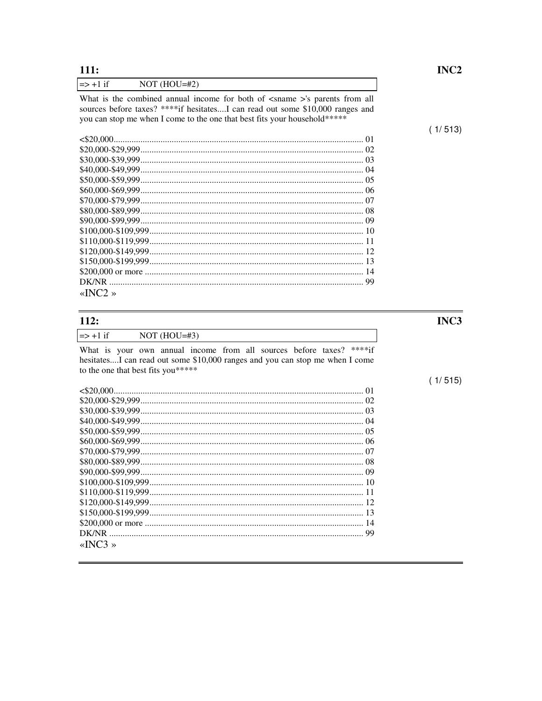111:

 $(1/513)$ 

| $\Rightarrow$ +1 if<br>$NOT (HOU=\#2)$ |  |                                                |  |  |  |
|----------------------------------------|--|------------------------------------------------|--|--|--|
|                                        |  | What is the combined annual income for both of |  |  |  |

What is the combined annual income for both of <sname >'s parents from all sources before taxes? \*\*\*\*if hesitates....I can read out some \$10,000 ranges and you can stop me when I come to the one that best fits your household \*\*\*\*\*

| «INC2» |  |
|--------|--|

| 112:                                                                                                                                                                                                                                                                                                                                                      |  |  |  |  |
|-----------------------------------------------------------------------------------------------------------------------------------------------------------------------------------------------------------------------------------------------------------------------------------------------------------------------------------------------------------|--|--|--|--|
| $\ket{=} + 1$ if NOT (HOU=#3)                                                                                                                                                                                                                                                                                                                             |  |  |  |  |
| What is your own annual income from all sources before taxes?<br>$\mathbf{A}$ , and $\mathbf{A}$ , and $\mathbf{A}$ , and $\mathbf{A}$ , and $\mathbf{A}$ , and $\mathbf{A}$ , and $\mathbf{A}$ , and $\mathbf{A}$ , and $\mathbf{A}$ , and $\mathbf{A}$ , and $\mathbf{A}$ , and $\mathbf{A}$ , and $\mathbf{A}$ , and $\mathbf{A}$ , and $\mathbf{A}$ , |  |  |  |  |

\*\*\*\*if Mat is your own annual media none and some concern and the media of the hesitates.... I can read out some \$10,000 ranges and you can stop me when I come to the one that best fits you\*\*\*\*\*

| «INC3» |  |
|--------|--|
|        |  |

INC<sub>3</sub>

# $(1/515)$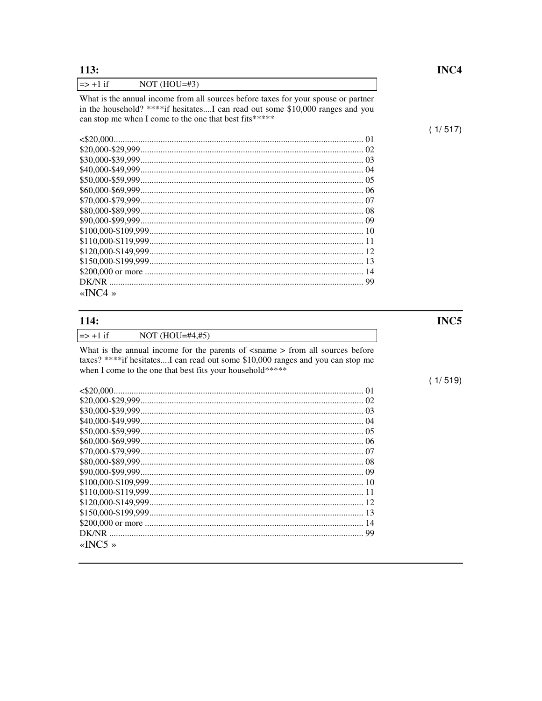113:

 $(1/517)$ 

| $NOT (HOU=#3)$<br>$\Rightarrow$ +1 if |  |
|---------------------------------------|--|
|---------------------------------------|--|

What is the annual income from all sources before taxes for your spouse or partner in the household? \*\*\*\*if hesitates....I can read out some \$10,000 ranges and you can stop me when I come to the one that best fits\*\*\*\*\*

| «INC4» |  |
|--------|--|

# 114:

### $\Rightarrow$  +1 if NOT  $(HOU=\#4,\#5)$

What is the annual income for the parents of <sname > from all sources before taxes? \*\*\*\*if hesitates....I can read out some \$10,000 ranges and you can stop me when I come to the one that best fits your household\*\*\*\*\*

| «INC5» |  |
|--------|--|
|        |  |

# INC5

 $(1/519)$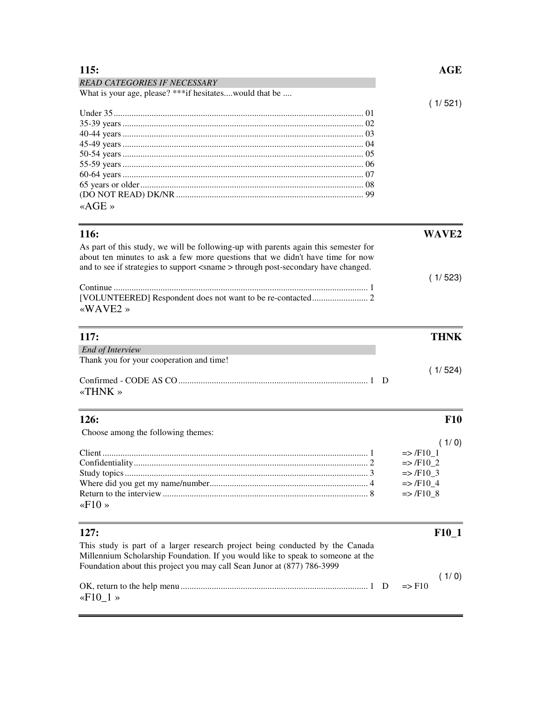| <b>READ CATEGORIES IF NECESSARY</b>                      |         |
|----------------------------------------------------------|---------|
| What is your age, please? *** if hesitates would that be |         |
|                                                          | (1/521) |
|                                                          |         |
|                                                          |         |
|                                                          |         |
|                                                          |         |
|                                                          |         |
|                                                          |         |
|                                                          |         |
|                                                          |         |
|                                                          |         |
| «AGE»                                                    |         |

| <b>116:</b>                                                                                                                                                                                                                                                       | WAVE2                                        |
|-------------------------------------------------------------------------------------------------------------------------------------------------------------------------------------------------------------------------------------------------------------------|----------------------------------------------|
| As part of this study, we will be following-up with parents again this semester for<br>about ten minutes to ask a few more questions that we didn't have time for now<br>and to see if strategies to support <sname> through post-secondary have changed.</sname> |                                              |
| «WAVE2»                                                                                                                                                                                                                                                           | (1/523)                                      |
| 117:                                                                                                                                                                                                                                                              | <b>THNK</b>                                  |
| End of Interview                                                                                                                                                                                                                                                  |                                              |
| Thank you for your cooperation and time!                                                                                                                                                                                                                          |                                              |
| Confirmed - CODE AS CO $\ldots$ $\ldots$ $\ldots$ $\ldots$ $\ldots$ $\ldots$ $\ldots$ $\ldots$ $\ldots$ $\ldots$ $\ldots$ $\ldots$ $\ldots$ $\ldots$ $\ldots$ $\ldots$ $\ldots$ $\ldots$ $\ldots$ $\ldots$ $\ldots$ $\ldots$<br>$\mathbb{R}$ THNK »               | (1/524)                                      |
| 126:                                                                                                                                                                                                                                                              | <b>F10</b>                                   |
| Choose among the following themes:                                                                                                                                                                                                                                |                                              |
|                                                                                                                                                                                                                                                                   | (1/0)                                        |
|                                                                                                                                                                                                                                                                   | $\Rightarrow$ /F10 1                         |
|                                                                                                                                                                                                                                                                   | $\Rightarrow$ /F10_2                         |
|                                                                                                                                                                                                                                                                   | $\Rightarrow$ /F10_3                         |
|                                                                                                                                                                                                                                                                   | $\Rightarrow$ /F10_4<br>$\Rightarrow$ /F10_8 |
| $\langle F10 \rangle$                                                                                                                                                                                                                                             |                                              |

| <b>127:</b>                                                                                                                                                                                                                                 |                   | F <sub>10</sub> 1 |
|---------------------------------------------------------------------------------------------------------------------------------------------------------------------------------------------------------------------------------------------|-------------------|-------------------|
| This study is part of a larger research project being conducted by the Canada<br>Millennium Scholarship Foundation. If you would like to speak to someone at the<br>Foundation about this project you may call Sean Junor at (877) 786-3999 |                   |                   |
| «F10 1»                                                                                                                                                                                                                                     | $\Rightarrow$ F10 | (1/0)             |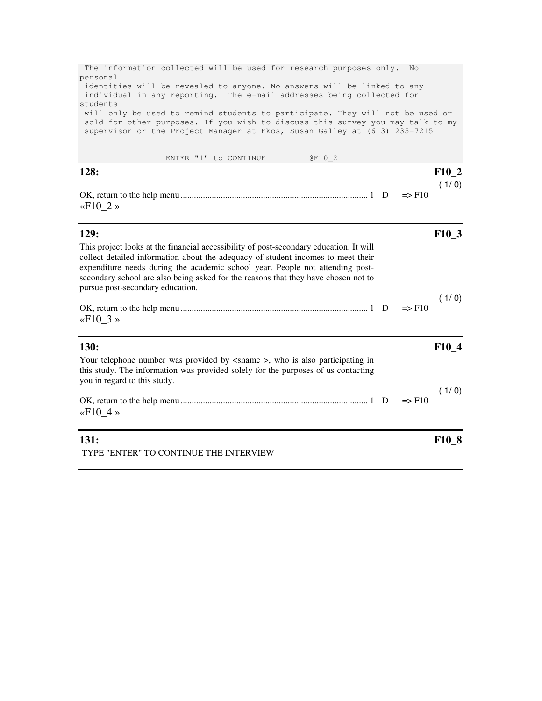| will only be used to remind students to participate. They will not be used or<br>sold for other purposes. If you wish to discuss this survey you may talk to my |
|-----------------------------------------------------------------------------------------------------------------------------------------------------------------|
|                                                                                                                                                                 |
| F <sub>10</sub> 2<br>(1/0)                                                                                                                                      |
| F10 3<br>(1/0)                                                                                                                                                  |
| $F10_4$<br>(1/0)                                                                                                                                                |
| F <sub>10</sub> 8                                                                                                                                               |
|                                                                                                                                                                 |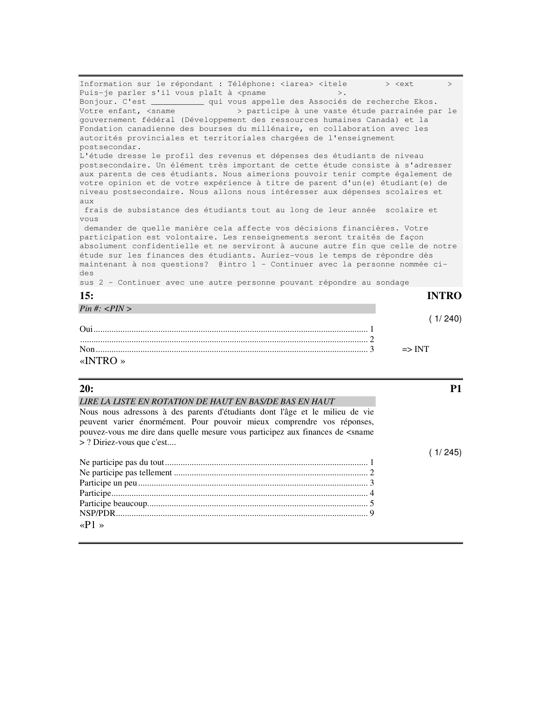Information sur le répondant : Téléphone: <iarea> <itele > <ext > Puis-je parler s'il vous plaît à <pname Bonjour. C'est \_\_\_\_\_\_\_\_\_\_\_ qui vous appelle des Associés de recherche Ekos. Votre enfant, <sname > > participe à une vaste étude parrainée par le gouvernement fédéral (Développement des ressources humaines Canada) et la Fondation canadienne des bourses du millénaire, en collaboration avec les autorités provinciales et territoriales chargées de l'enseignement postsecondar. L'étude dresse le profil des revenus et dépenses des étudiants de niveau postsecondaire. Un élément très important de cette étude consiste à s'adresser aux parents de ces étudiants. Nous aimerions pouvoir tenir compte également de votre opinion et de votre expérience à titre de parent d'un(e) étudiant(e) de niveau postsecondaire. Nous allons nous intéresser aux dépenses scolaires et aux frais de subsistance des étudiants tout au long de leur année scolaire et vous demander de quelle manière cela affecte vos décisions financières. Votre participation est volontaire. Les renseignements seront traités de façon absolument confidentielle et ne serviront à aucune autre fin que celle de notre étude sur les finances des étudiants. Auriez-vous le temps de répondre dès maintenant à nos questions? @intro 1 - Continuer avec la personne nommée cides sus 2 - Continuer avec une autre personne pouvant répondre au sondage **15: INTRO**  *Pin #: <PIN >*  ( 1/ 240)

| «INTRO» |  |
|---------|--|

# **20: P1**

### *LIRE LA LISTE EN ROTATION DE HAUT EN BAS/DE BAS EN HAUT*

Nous nous adressons à des parents d'étudiants dont l'âge et le milieu de vie peuvent varier énormément. Pour pouvoir mieux comprendre vos réponses, pouvez-vous me dire dans quelle mesure vous participez aux finances de <sname > ? Diriez-vous que c'est....

| $\kappa$ P1 » |  |
|---------------|--|

( 1/ 245)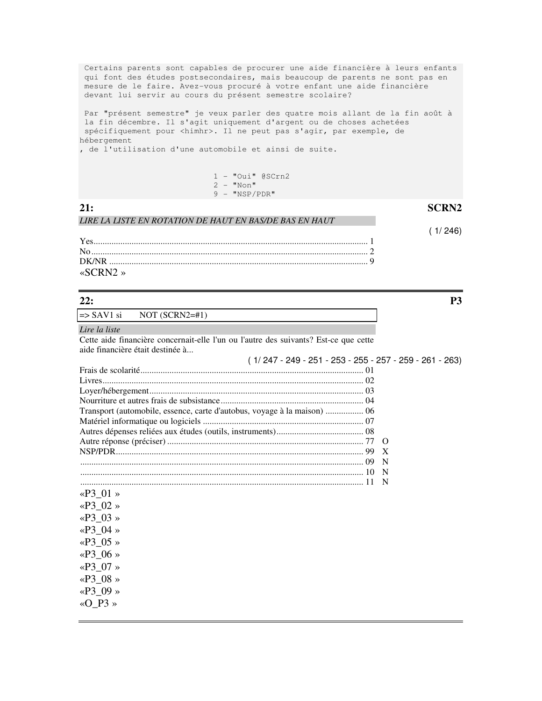Certains parents sont capables de procurer une aide financière à leurs enfants qui font des études postsecondaires, mais beaucoup de parents ne sont pas en mesure de le faire. Avez-vous procuré à votre enfant une aide financière devant lui servir au cours du présent semestre scolaire?

 Par "présent semestre" je veux parler des quatre mois allant de la fin août à la fin décembre. Il s'agit uniquement d'argent ou de choses achetées spécifiquement pour <himhr>. Il ne peut pas s'agir, par exemple, de hébergement

, de l'utilisation d'une automobile et ainsi de suite.

|  | $1 -$ "Oui" @SCrn2 |
|--|--------------------|
|  | 2 - "Non"          |
|  | $9 -$ "NSP/PDR"    |

| 21:                                                     | SCRN <sub>2</sub> |
|---------------------------------------------------------|-------------------|
| LIRE LA LISTE EN ROTATION DE HAUT EN BAS/DE BAS EN HAUT |                   |
|                                                         | (1/246)           |
|                                                         |                   |
|                                                         |                   |
|                                                         |                   |
| $\triangleleft$ SCRN2 »                                 |                   |

### **22: P3**

| => SAV1 si | $NOT (SCRN2=\#1)$ |
|------------|-------------------|
|            |                   |

### *Lire la liste*

Cette aide financière concernait-elle l'un ou l'autre des suivants? Est-ce que cette aide financière était destinée à...

|                                                                          |  | $(1/247 - 249 - 251 - 253 - 255 - 257 - 259 - 261 - 263)$ |
|--------------------------------------------------------------------------|--|-----------------------------------------------------------|
|                                                                          |  |                                                           |
|                                                                          |  |                                                           |
|                                                                          |  |                                                           |
|                                                                          |  |                                                           |
| Transport (automobile, essence, carte d'autobus, voyage à la maison)  06 |  |                                                           |
|                                                                          |  |                                                           |
|                                                                          |  |                                                           |
|                                                                          |  | $\Omega$                                                  |
|                                                                          |  | $\mathbf{X}$                                              |
|                                                                          |  | N                                                         |
|                                                                          |  | N                                                         |
|                                                                          |  | N                                                         |
| «P3 01»                                                                  |  |                                                           |
| «P3 02»                                                                  |  |                                                           |
| «P3 03 »                                                                 |  |                                                           |
| «P3 04 »                                                                 |  |                                                           |
| «P3 05 »                                                                 |  |                                                           |
| «P3 06 »                                                                 |  |                                                           |
| «P3 07 »                                                                 |  |                                                           |
| «P3 08 »                                                                 |  |                                                           |
| «P3 09 »                                                                 |  |                                                           |
| «O P3 »                                                                  |  |                                                           |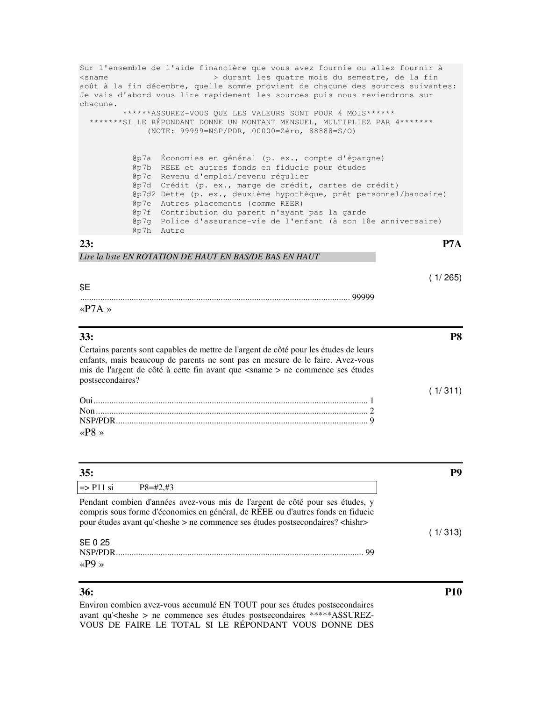```
Sur l'ensemble de l'aide financière que vous avez fournie ou allez fournir à 
<sname > durant les quatre mois du semestre, de la fin 
août à la fin décembre, quelle somme provient de chacune des sources suivantes: 
Je vais d'abord vous lire rapidement les sources puis nous reviendrons sur 
chacune. 
          ******ASSUREZ-VOUS QUE LES VALEURS SONT POUR 4 MOIS****** 
   *******SI LE RÉPONDANT DONNE UN MONTANT MENSUEL, MULTIPLIEZ PAR 4******* 
               (NOTE: 99999=NSP/PDR, 00000=Zéro, 88888=S/O) 
            @p7a Économies en général (p. ex., compte d'épargne) 
            @p7b REEE et autres fonds en fiducie pour études 
            @p7c Revenu d'emploi/revenu régulier 
            @p7d Crédit (p. ex., marge de crédit, cartes de crédit) 
            @p7d2 Dette (p. ex., deuxième hypothèque, prêt personnel/bancaire) 
            @p7e Autres placements (comme REER) 
            @p7f Contribution du parent n'ayant pas la garde 
            @p7g Police d'assurance-vie de l'enfant (à son 18e anniversaire) 
            @p7h Autre 
23: P7A 
Lire la liste EN ROTATION DE HAUT EN BAS/DE BAS EN HAUT 
                                                                          ( 1/ 265) 
$E 
        ......................................................................................................................... 99999 
«P7A » 
33: P8 
Certains parents sont capables de mettre de l'argent de côté pour les études de leurs 
enfants, mais beaucoup de parents ne sont pas en mesure de le faire. Avez-vous 
mis de l'argent de côté à cette fin avant que <sname > ne commence ses études 
postsecondaires?
```

|      | (1/311) |
|------|---------|
|      |         |
|      |         |
|      |         |
| «P8» |         |

| 35:                                                                                                                                                                                                                                                               | P <sub>9</sub> |
|-------------------------------------------------------------------------------------------------------------------------------------------------------------------------------------------------------------------------------------------------------------------|----------------|
| $\Rightarrow$ P11 si<br>$P8 = \#2, \#3$                                                                                                                                                                                                                           |                |
| Pendant combien d'années avez-vous mis de l'argent de côté pour ses études, y<br>compris sous forme d'économies en général, de REEE ou d'autres fonds en fiducie<br>pour études avant qu' <heshe> ne commence ses études postsecondaires? <hishr></hishr></heshe> | (1/313)        |
| \$E 0 25<br>NSP/PDR<br>«P9»                                                                                                                                                                                                                                       |                |

Environ combien avez-vous accumulé EN TOUT pour ses études postsecondaires avant qu'<heshe > ne commence ses études postsecondaires \*\*\*\*\*ASSUREZ-VOUS DE FAIRE LE TOTAL SI LE RÉPONDANT VOUS DONNE DES

**36: P10**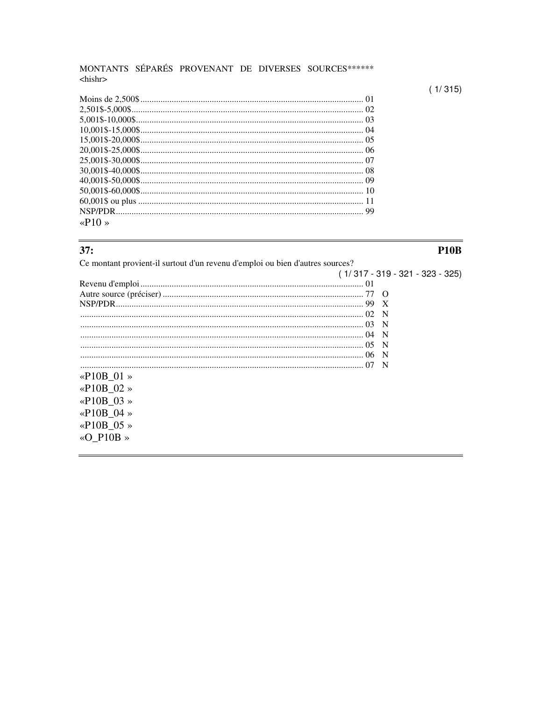# MONTANTS SÉPARÉS PROVENANT DE DIVERSES SOURCES\*\*\*\*\*\*  $\langle$ hishr $\rangle$

| $\langle P10 \rangle$ |  |
|-----------------------|--|

# $37:$

# **P10B**

| Ce montant provient-il surtout d'un revenu d'emploi ou bien d'autres sources? |                                   |
|-------------------------------------------------------------------------------|-----------------------------------|
|                                                                               | $(1/317 - 319 - 321 - 323 - 325)$ |
|                                                                               |                                   |
|                                                                               |                                   |
|                                                                               |                                   |
|                                                                               |                                   |
|                                                                               |                                   |
| $\frac{03}{10}$ N<br>$\frac{04}{10}$ N<br>$\frac{04}{10}$ N                   |                                   |
|                                                                               |                                   |
|                                                                               |                                   |
| $06 N$                                                                        |                                   |
| « $P10B$ 01 »                                                                 |                                   |
| «P10B 02 »                                                                    |                                   |
| «P10B 03 »                                                                    |                                   |
| «P10B 04 »                                                                    |                                   |
| «P10B $05 \times$                                                             |                                   |
| «O P10B »                                                                     |                                   |

# $(1/315)$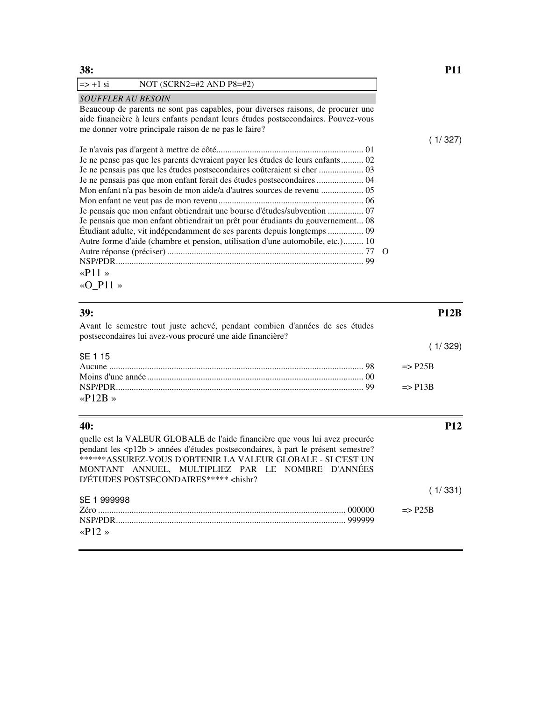| $\Rightarrow$ +1 si<br>NOT (SCRN2=#2 AND $P8=#2$ )                                                                                                                    |           |
|-----------------------------------------------------------------------------------------------------------------------------------------------------------------------|-----------|
| <b>SOUFFLER AU BESOIN</b>                                                                                                                                             |           |
| Beaucoup de parents ne sont pas capables, pour diverses raisons, de procurer une<br>aide financière à leurs enfants pendant leurs études postsecondaires. Pouvez-vous |           |
| me donner votre principale raison de ne pas le faire?                                                                                                                 |           |
|                                                                                                                                                                       | ( 1/ 327) |
|                                                                                                                                                                       |           |
| Je ne pense pas que les parents devraient payer les études de leurs enfants 02                                                                                        |           |
|                                                                                                                                                                       |           |
|                                                                                                                                                                       |           |
|                                                                                                                                                                       |           |
|                                                                                                                                                                       |           |
| Je pensais que mon enfant obtiendrait une bourse d'études/subvention  07                                                                                              |           |
| Je pensais que mon enfant obtiendrait un prêt pour étudiants du gouvernement 08                                                                                       |           |
| Étudiant adulte, vit indépendamment de ses parents depuis longtemps  09                                                                                               |           |
| Autre forme d'aide (chambre et pension, utilisation d'une automobile, etc.) 10                                                                                        |           |
|                                                                                                                                                                       |           |
|                                                                                                                                                                       |           |
| «P11»                                                                                                                                                                 |           |
| «O P11 »                                                                                                                                                              |           |
|                                                                                                                                                                       |           |

| 39:                                                                                                                                                     | <b>P12B</b>        |
|---------------------------------------------------------------------------------------------------------------------------------------------------------|--------------------|
| Avant le semestre tout juste achevé, pendant combien d'années de ses études<br>postsecondaires lui avez-vous procuré une aide financière?               |                    |
|                                                                                                                                                         | (1/329)            |
| <b>SE 1 15</b>                                                                                                                                          |                    |
|                                                                                                                                                         | $\Rightarrow$ P25B |
|                                                                                                                                                         |                    |
|                                                                                                                                                         | $\Rightarrow$ P13B |
| «P12B»                                                                                                                                                  |                    |
|                                                                                                                                                         |                    |
| 40:                                                                                                                                                     | <b>P12</b>         |
| quelle est la VALEUR GLOBALE de l'aide financière que vous lui avez procurée                                                                            |                    |
|                                                                                                                                                         |                    |
|                                                                                                                                                         |                    |
|                                                                                                                                                         |                    |
| pendant les <p12b> années d'études postsecondaires, à part le présent semestre?<br/>******ASSUREZ-VOUS D'OBTENIR LA VALEUR GLOBALE - SI C'EST UN</p12b> |                    |
| MONTANT ANNUEL, MULTIPLIEZ PAR LE NOMBRE D'ANNÉES                                                                                                       |                    |
| D'ÉTUDES POSTSECONDAIRES***** <hishr?< td=""><td></td></hishr?<>                                                                                        |                    |
| \$E 1 999998                                                                                                                                            | (1/331)            |

| «P12» |  |
|-------|--|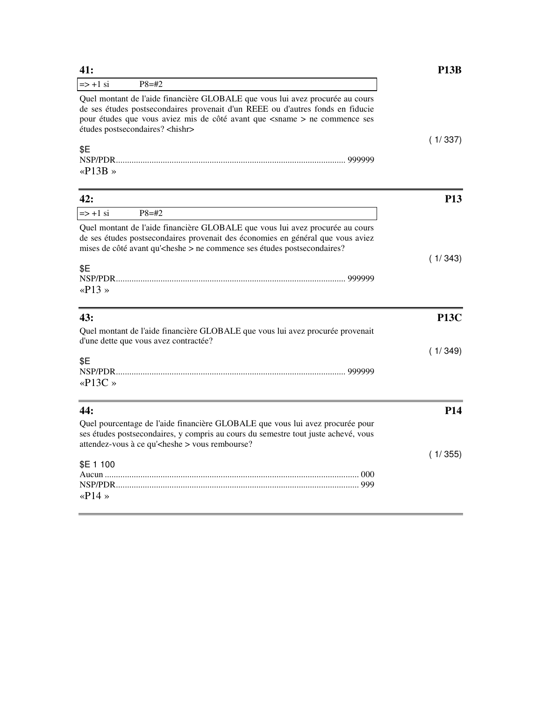| $\Rightarrow$ +1 si<br>$P8 = \#2$                                                                                                                                                                                                                                                               |        |
|-------------------------------------------------------------------------------------------------------------------------------------------------------------------------------------------------------------------------------------------------------------------------------------------------|--------|
| Quel montant de l'aide financière GLOBALE que vous lui avez procurée au cours<br>de ses études postsecondaires provenait d'un REEE ou d'autres fonds en fiducie<br>pour études que vous aviez mis de côté avant que <sname> ne commence ses<br/>études postsecondaires? <hishr></hishr></sname> |        |
| \$E                                                                                                                                                                                                                                                                                             |        |
| NSP/PDR.<br>«P13B»                                                                                                                                                                                                                                                                              | 999999 |

| 42:                                                                                                                                                                                                                                                 | <b>P13</b>  |
|-----------------------------------------------------------------------------------------------------------------------------------------------------------------------------------------------------------------------------------------------------|-------------|
| $\Rightarrow$ +1 si<br>$P8 = \#2$                                                                                                                                                                                                                   |             |
| Quel montant de l'aide financière GLOBALE que vous lui avez procurée au cours<br>de ses études postsecondaires provenait des économies en général que vous aviez<br>mises de côté avant qu' <heshe> ne commence ses études postsecondaires?</heshe> |             |
| \$E                                                                                                                                                                                                                                                 | (1/343)     |
|                                                                                                                                                                                                                                                     |             |
| « $P13$ »                                                                                                                                                                                                                                           |             |
| 43:                                                                                                                                                                                                                                                 | <b>P13C</b> |
| Quel montant de l'aide financière GLOBALE que vous lui avez procurée provenait                                                                                                                                                                      |             |
| d'une dette que vous avez contractée?                                                                                                                                                                                                               |             |
|                                                                                                                                                                                                                                                     | (1/349)     |
| \$E                                                                                                                                                                                                                                                 |             |
| « $P13C \rightarrow$                                                                                                                                                                                                                                |             |
|                                                                                                                                                                                                                                                     |             |
| 44:                                                                                                                                                                                                                                                 | <b>P14</b>  |
| Quel pourcentage de l'aide financière GLOBALE que vous lui avez procurée pour<br>ses études postsecondaires, y compris au cours du semestre tout juste achevé, vous                                                                                 |             |
| attendez-vous à ce qu' <heshe> vous rembourse?</heshe>                                                                                                                                                                                              |             |
|                                                                                                                                                                                                                                                     | (1/355)     |
| \$E 1 100                                                                                                                                                                                                                                           |             |

| \$E 1 100 |  |
|-----------|--|
|           |  |
|           |  |
| «P14»     |  |

## **41: P13B**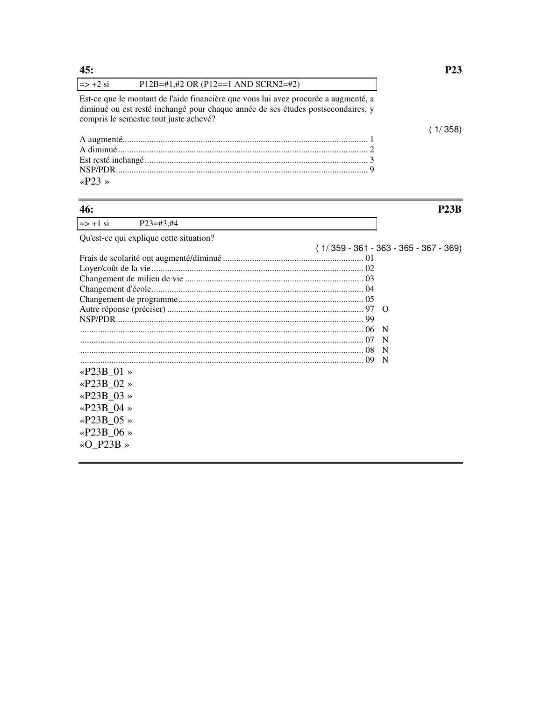$45:$ 

| 46:                                                                                                                        |         |
|----------------------------------------------------------------------------------------------------------------------------|---------|
| «P23»                                                                                                                      |         |
|                                                                                                                            |         |
|                                                                                                                            |         |
|                                                                                                                            |         |
|                                                                                                                            |         |
|                                                                                                                            | (1/358) |
| diminué ou est resté inchangé pour chaque année de ses études postsecondaires, y<br>compris le semestre tout juste achevé? |         |
| Est-ce que le montant de l'aide financière que vous lui avez procurée a augmenté, a                                        |         |
| $\Rightarrow$ +2 si<br>$P12B=\#1,\#2$ OR (P12==1 AND SCRN2=#2)                                                             |         |

| $\Rightarrow$ +1 si<br>$P23 = #3, #4$   |                                         |
|-----------------------------------------|-----------------------------------------|
| Qu'est-ce qui explique cette situation? |                                         |
|                                         | $(1/359 - 361 - 363 - 365 - 367 - 369)$ |
|                                         |                                         |
|                                         |                                         |
|                                         |                                         |
|                                         |                                         |
|                                         |                                         |
|                                         |                                         |
|                                         |                                         |
|                                         | N                                       |
|                                         | N                                       |
|                                         | N                                       |
|                                         | -N                                      |
| «P23B 01»                               |                                         |
| « $P23B_02$ »                           |                                         |
| «P23B 03»                               |                                         |
| «P23B 04»                               |                                         |
| «P23B $05 \times$                       |                                         |
| «P23B 06 »                              |                                         |
| «O P23B »                               |                                         |
|                                         |                                         |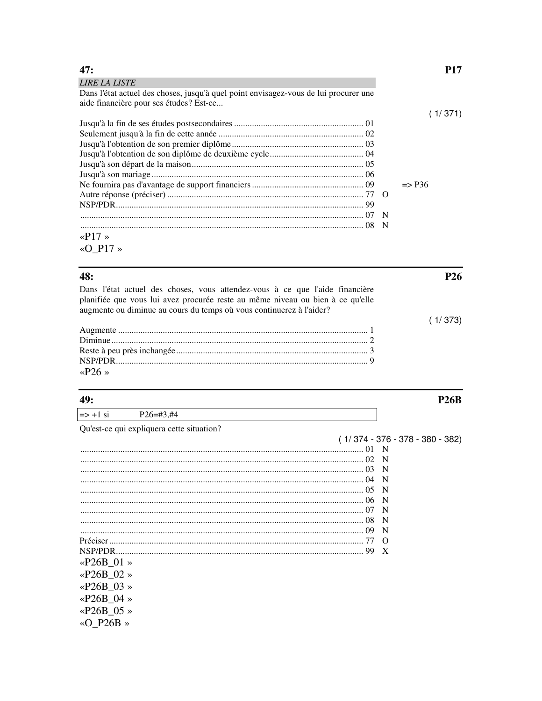| 47:                                                                                  |     |                   | P17     |
|--------------------------------------------------------------------------------------|-----|-------------------|---------|
| <b>LIRE LA LISTE</b>                                                                 |     |                   |         |
| Dans l'état actuel des choses, jusqu'à quel point envisagez-vous de lui procurer une |     |                   |         |
| aide financière pour ses études? Est-ce                                              |     |                   |         |
|                                                                                      |     |                   | (1/371) |
|                                                                                      |     |                   |         |
|                                                                                      |     |                   |         |
|                                                                                      |     |                   |         |
|                                                                                      |     |                   |         |
|                                                                                      |     |                   |         |
|                                                                                      |     |                   |         |
|                                                                                      |     | $\Rightarrow$ P36 |         |
|                                                                                      |     |                   |         |
|                                                                                      |     |                   |         |
|                                                                                      |     |                   |         |
|                                                                                      | - N |                   |         |
| «P17»                                                                                |     |                   |         |

« $O_P17$ »

# 48:

Dans l'état actuel des choses, vous attendez-vous à ce que l'aide financière planifiée que vous lui avez procurée reste au même niveau ou bien à ce qu'elle augmente ou diminue au cours du temps où vous continuerez à l'aider?

| «P26» |  |
|-------|--|

### 49:

 $\Rightarrow$  +1 si  $P26 = #3, #4$ 

Qu'est-ce qui expliquera cette situation?

|                   | $(1/374 - 376 - 378 - 380 - 382)$ |          |  |
|-------------------|-----------------------------------|----------|--|
|                   |                                   | -N       |  |
|                   |                                   | - N      |  |
|                   |                                   |          |  |
|                   |                                   | N        |  |
|                   |                                   | - N      |  |
|                   |                                   | - N      |  |
|                   |                                   | -N       |  |
|                   |                                   | N        |  |
|                   |                                   | N        |  |
|                   |                                   | $\Omega$ |  |
|                   |                                   | X        |  |
| «P26B 01»         |                                   |          |  |
| «P26B 02»         |                                   |          |  |
|                   |                                   |          |  |
| «P26B 03 »        |                                   |          |  |
| «P26B 04»         |                                   |          |  |
| «P26B $05 \times$ |                                   |          |  |
| «O P26B »         |                                   |          |  |
|                   |                                   |          |  |

# **P26B**

P<sub>26</sub>

 $(1/373)$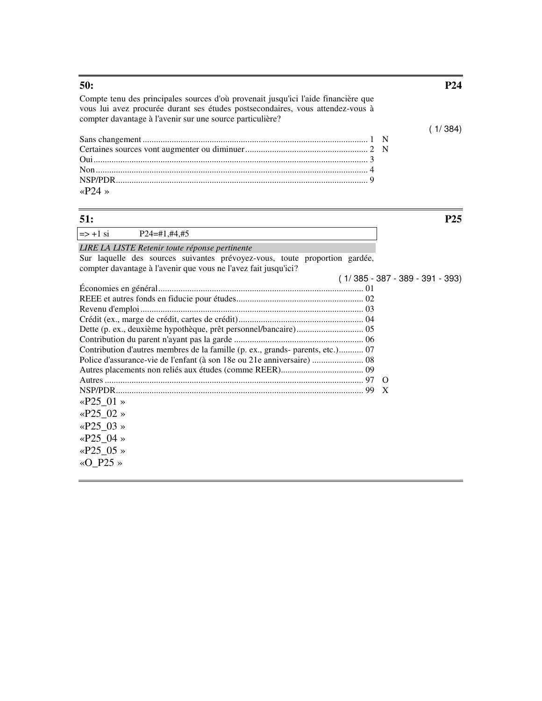Compte tenu des principales sources d'où provenait jusqu'ici l'aide financière que vous lui avez procurée durant ses études postsecondaires, vous attendez-vous à compter davantage à l'avenir sur une source particulière?

| « $P24$ » |  |
|-----------|--|

 $=$  > +1 si P24=#1,#4,#5

*LIRE LA LISTE Retenir toute réponse pertinente* 

**51: P25**  Sur laquelle des sources suivantes prévoyez-vous, toute proportion gardée, compter davantage à l'avenir que vous ne l'avez fait jusqu'ici? ( 1/ 385 - 387 - 389 - 391 - 393)

| Contribution d'autres membres de la famille (p. ex., grands- parents, etc.) 07 |  |
|--------------------------------------------------------------------------------|--|
| Police d'assurance-vie de l'enfant (à son 18e ou 21e anniversaire)  08         |  |
|                                                                                |  |
|                                                                                |  |
|                                                                                |  |
| «P25 01»                                                                       |  |
| «P25 02»                                                                       |  |
| «P25 03 »                                                                      |  |
| «P25 04»                                                                       |  |
| «P25 05»                                                                       |  |
| «O P25 »                                                                       |  |
|                                                                                |  |

### **50: P24**

 $(1/384)$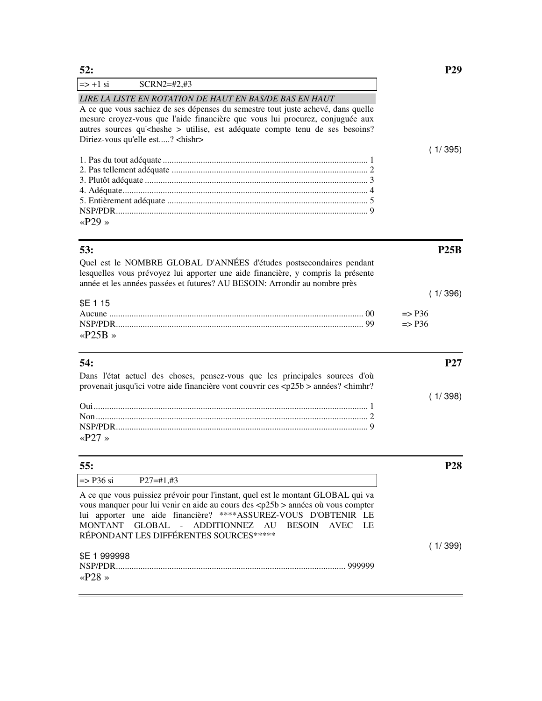| 52:                                                                                                                                                                                                                                                                                                    | P <sub>29</sub>   |
|--------------------------------------------------------------------------------------------------------------------------------------------------------------------------------------------------------------------------------------------------------------------------------------------------------|-------------------|
| $\Rightarrow$ +1 si<br>$SCRN2 = #2, #3$                                                                                                                                                                                                                                                                |                   |
| LIRE LA LISTE EN ROTATION DE HAUT EN BAS/DE BAS EN HAUT                                                                                                                                                                                                                                                |                   |
| A ce que vous sachiez de ses dépenses du semestre tout juste achevé, dans quelle<br>mesure croyez-vous que l'aide financière que vous lui procurez, conjuguée aux<br>autres sources qu' <heshe> utilise, est adéquate compte tenu de ses besoins?<br/>Diriez-vous qu'elle est? <hishr></hishr></heshe> |                   |
|                                                                                                                                                                                                                                                                                                        | (1/395)           |
|                                                                                                                                                                                                                                                                                                        |                   |
|                                                                                                                                                                                                                                                                                                        |                   |
|                                                                                                                                                                                                                                                                                                        |                   |
|                                                                                                                                                                                                                                                                                                        |                   |
| «P29»                                                                                                                                                                                                                                                                                                  |                   |
| 53:                                                                                                                                                                                                                                                                                                    | P25B              |
| Quel est le NOMBRE GLOBAL D'ANNÉES d'études postsecondaires pendant<br>lesquelles vous prévoyez lui apporter une aide financière, y compris la présente                                                                                                                                                |                   |
| année et les années passées et futures? AU BESOIN: Arrondir au nombre près                                                                                                                                                                                                                             | (1/396)           |
| \$E 1 15                                                                                                                                                                                                                                                                                               |                   |
|                                                                                                                                                                                                                                                                                                        | $\Rightarrow$ P36 |
| «P25B»                                                                                                                                                                                                                                                                                                 | $\Rightarrow$ P36 |
| 54:                                                                                                                                                                                                                                                                                                    | <b>P27</b>        |
| Dans l'état actuel des choses, pensez-vous que les principales sources d'où                                                                                                                                                                                                                            |                   |
| provenait jusqu'ici votre aide financière vont couvrir ces <p25b> années? <himhr?< td=""><td></td></himhr?<></p25b>                                                                                                                                                                                    |                   |
|                                                                                                                                                                                                                                                                                                        | (1/398)           |
|                                                                                                                                                                                                                                                                                                        |                   |
|                                                                                                                                                                                                                                                                                                        |                   |
| «P27»                                                                                                                                                                                                                                                                                                  |                   |
| 55:                                                                                                                                                                                                                                                                                                    | <b>P28</b>        |
| $\Rightarrow$ P36 si<br>$P27 = #1, #3$                                                                                                                                                                                                                                                                 |                   |
|                                                                                                                                                                                                                                                                                                        |                   |

A ce que vous puissiez prévoir pour l'instant, quel est le montant GLOBAL qui va vous manquer pour lui venir en aide au cours des <p25b > années où vous compter lui apporter une aide financière? \*\*\*\*ASSUREZ-VOUS D'OBTENIR LE MONTANT GLOBAL - ADDITIONNEZ AU BESOIN AVEC LE RÉPONDANT LES DIFFÉRENTES SOURCES\*\*\*\*\*

# \$E 1 999998

| «P28» |  |
|-------|--|

 $(1/399)$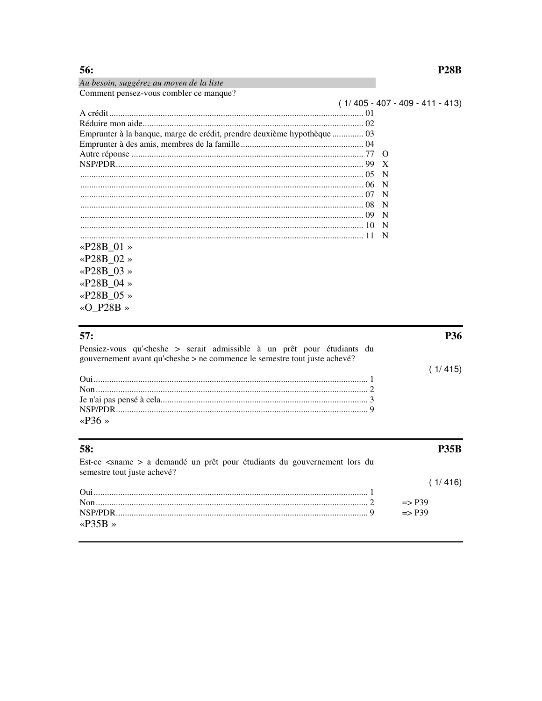| Au besoin, suggérez au moyen de la liste                                |                                   |
|-------------------------------------------------------------------------|-----------------------------------|
| Comment pensez-vous combler ce manque?                                  |                                   |
|                                                                         | $(1/405 - 407 - 409 - 411 - 413)$ |
|                                                                         |                                   |
|                                                                         |                                   |
| Emprunter à la banque, marge de crédit, prendre deuxième hypothèque  03 |                                   |
|                                                                         |                                   |
|                                                                         | $\Omega$                          |
|                                                                         | X                                 |
|                                                                         | - N                               |
|                                                                         | - N                               |
|                                                                         | -N                                |
|                                                                         | - N                               |
|                                                                         | - N                               |
|                                                                         | N                                 |
|                                                                         | -N                                |
| «P28B 01»                                                               |                                   |
| «P28B 02»                                                               |                                   |
| «P28B 03»                                                               |                                   |
| «P28B 04»                                                               |                                   |
| «P28B 05»                                                               |                                   |
| «O P28B »                                                               |                                   |

# $\overline{57}$

| 57:                                                                                                                                                                 | P36     |
|---------------------------------------------------------------------------------------------------------------------------------------------------------------------|---------|
| Pensiez-vous qu' <heshe> serait admissible à un prêt pour étudiants du<br/>gouvernement avant qu'<heshe> ne commence le semestre tout juste achevé?</heshe></heshe> |         |
|                                                                                                                                                                     | (1/415) |
|                                                                                                                                                                     |         |
|                                                                                                                                                                     |         |
|                                                                                                                                                                     |         |
|                                                                                                                                                                     |         |
| «P36»                                                                                                                                                               |         |

| 58:                                                                                                             |                   |
|-----------------------------------------------------------------------------------------------------------------|-------------------|
| Est-ce <sname> a demandé un prêt pour étudiants du gouvernement lors du<br/>semestre tout juste achevé?</sname> |                   |
|                                                                                                                 | (1/416)           |
|                                                                                                                 |                   |
|                                                                                                                 | $\Rightarrow$ P39 |
|                                                                                                                 | $\Rightarrow$ P39 |
| $\alpha$ P35R »                                                                                                 |                   |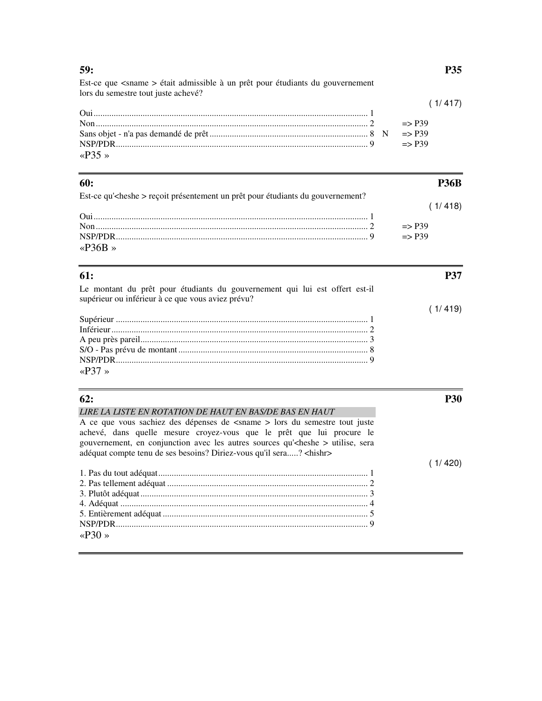Est-ce que <sname > était admissible à un prêt pour étudiants du gouvernement lors du semestre tout juste achevé?

|       | (1/417) |
|-------|---------|
|       |         |
|       |         |
|       |         |
|       |         |
| «P35» |         |

| 60:                                                                                    | P36R              |
|----------------------------------------------------------------------------------------|-------------------|
| Est-ce qu' <heshe> reçoit présentement un prêt pour étudiants du gouvernement?</heshe> |                   |
|                                                                                        | (1/418)           |
|                                                                                        |                   |
|                                                                                        | $\Rightarrow$ P39 |
|                                                                                        | $\Rightarrow$ P39 |
| $\alpha$ P36B »                                                                        |                   |
|                                                                                        |                   |

| 61:                                                                                                                              |         |
|----------------------------------------------------------------------------------------------------------------------------------|---------|
| Le montant du prêt pour étudiants du gouvernement qui lui est offert est-il<br>supérieur ou inférieur à ce que vous aviez prévu? |         |
|                                                                                                                                  | (1/419) |
|                                                                                                                                  |         |
|                                                                                                                                  |         |
|                                                                                                                                  |         |
|                                                                                                                                  |         |
|                                                                                                                                  |         |
| «P37»                                                                                                                            |         |

| 62:                                                                                                                                                                                                                                                   | <b>P30</b> |
|-------------------------------------------------------------------------------------------------------------------------------------------------------------------------------------------------------------------------------------------------------|------------|
| LIRE LA LISTE EN ROTATION DE HAUT EN BAS/DE BAS EN HAUT                                                                                                                                                                                               |            |
| A ce que vous sachiez des dépenses de <sname> lors du semestre tout juste<br/>achevé, dans quelle mesure croyez-vous que le prêt que lui procure le<br/>gouvernement, en conjunction avec les autres sources qu'<heshe> utilise, sera</heshe></sname> |            |
| adéquat compte tenu de ses besoins? Diriez-vous qu'il sera? <hishr></hishr>                                                                                                                                                                           |            |
|                                                                                                                                                                                                                                                       |            |
|                                                                                                                                                                                                                                                       |            |
|                                                                                                                                                                                                                                                       |            |
|                                                                                                                                                                                                                                                       |            |
|                                                                                                                                                                                                                                                       |            |
|                                                                                                                                                                                                                                                       |            |
|                                                                                                                                                                                                                                                       |            |
| $\langle P30 \rangle$                                                                                                                                                                                                                                 |            |

# **P35**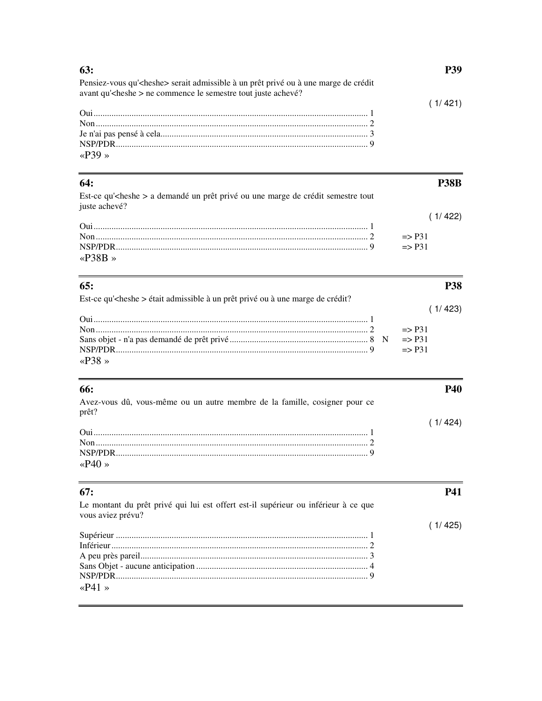| 63:<br>Pensiez-vous qu' <heshe> serait admissible à un prêt privé ou à une marge de crédit</heshe>               |    | <b>P39</b>                                                                           |
|------------------------------------------------------------------------------------------------------------------|----|--------------------------------------------------------------------------------------|
| avant qu' <heshe> ne commence le semestre tout juste achevé?<br/>«P39»</heshe>                                   |    | (1/421)                                                                              |
| 64:<br>Est-ce qu' <heshe> a demandé un prêt privé ou une marge de crédit semestre tout<br/>juste achevé?</heshe> |    | <b>P38B</b>                                                                          |
| « $P38B$ »                                                                                                       |    | (1/422)<br>$\Rightarrow$ P31<br>$\Rightarrow$ P31                                    |
| 65:<br>Est-ce qu' <heshe> était admissible à un prêt privé ou à une marge de crédit?<br/>«P38»</heshe>           | -N | <b>P38</b><br>(1/423)<br>$\Rightarrow$ P31<br>$\Rightarrow$ P31<br>$\Rightarrow$ P31 |
| 66:<br>Avez-vous dû, vous-même ou un autre membre de la famille, cosigner pour ce<br>prêt?                       |    | <b>P40</b><br>(1/424)                                                                |
| «P40»                                                                                                            |    |                                                                                      |
| 67:<br>Le montant du prêt privé qui lui est offert est-il supérieur ou inférieur à ce que                        |    | <b>P41</b>                                                                           |
| vous aviez prévu?<br>« $P41$ »                                                                                   |    | (1/425)                                                                              |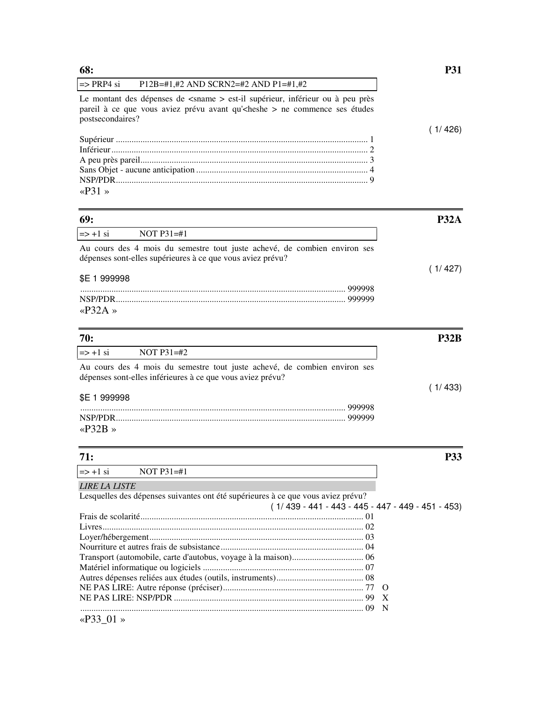| $\Rightarrow$ PRP4 si P12B=#1,#2 AND SCRN2=#2 AND P1=#1,#2                                                                                                                                     |  |
|------------------------------------------------------------------------------------------------------------------------------------------------------------------------------------------------|--|
| Le montant des dépenses de <sname> est-il supérieur, inférieur ou à peu près<br/>pareil à ce que vous aviez prévu avant qu'<heshe> ne commence ses études<br/>postsecondaires?</heshe></sname> |  |
|                                                                                                                                                                                                |  |
|                                                                                                                                                                                                |  |
|                                                                                                                                                                                                |  |
|                                                                                                                                                                                                |  |
|                                                                                                                                                                                                |  |
|                                                                                                                                                                                                |  |
| « $P31$ »                                                                                                                                                                                      |  |

| 69:                                                                                                                                     | P32.A   |
|-----------------------------------------------------------------------------------------------------------------------------------------|---------|
| $\Rightarrow$ +1 si<br>NOT $P31 = #1$                                                                                                   |         |
| Au cours des 4 mois du semestre tout juste achevé, de combien environ ses<br>dépenses sont-elles supérieures à ce que vous aviez prévu? |         |
| \$E 1 999998                                                                                                                            | (1/427) |
| 999998                                                                                                                                  |         |
| 999999<br>«P32A»                                                                                                                        |         |
|                                                                                                                                         |         |

| <b>70:</b>                                                                                                                              |         |
|-----------------------------------------------------------------------------------------------------------------------------------------|---------|
| $\Rightarrow$ +1 si<br>NOT $P31 = #2$                                                                                                   |         |
| Au cours des 4 mois du semestre tout juste achevé, de combien environ ses<br>dépenses sont-elles inférieures à ce que vous aviez prévu? |         |
| \$E 1 999998                                                                                                                            | (1/433) |
| 999998                                                                                                                                  |         |
| 999999<br>«P32B»                                                                                                                        |         |
|                                                                                                                                         |         |

| 71:                                                                              | <b>P33</b> |
|----------------------------------------------------------------------------------|------------|
| $\Rightarrow$ +1 si<br>NOT $P31 = #1$                                            |            |
| <b>LIRE LA LISTE</b>                                                             |            |
| Lesquelles des dépenses suivantes ont été supérieures à ce que vous aviez prévu? |            |
| $(1/439 - 441 - 443 - 445 - 447 - 449 - 451 - 453)$                              |            |
|                                                                                  |            |
|                                                                                  |            |
|                                                                                  |            |
|                                                                                  |            |
|                                                                                  |            |
|                                                                                  |            |
|                                                                                  |            |
|                                                                                  |            |
|                                                                                  |            |
|                                                                                  | - N        |
| «P33 01»                                                                         |            |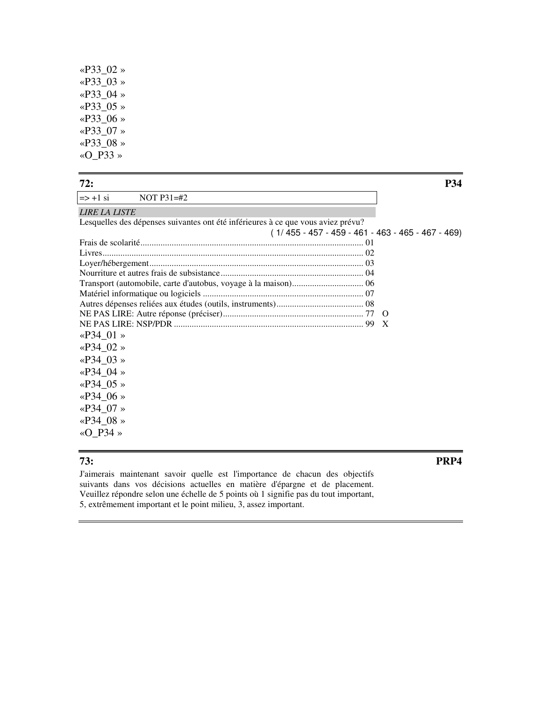«P33\_02 » «P33\_03 » «P33\_04 » «P33\_05 » «P33\_06 » «P33\_07 » «P33\_08 » «O\_P33 »

# **72: P34**   $\Rightarrow$  +1 si NOT P31=#2

#### *LIRE LA LISTE*

| Lesquelles des dépenses suivantes ont été inférieures à ce que vous aviez prévu? |                                                     |  |
|----------------------------------------------------------------------------------|-----------------------------------------------------|--|
|                                                                                  | $(1/455 - 457 - 459 - 461 - 463 - 465 - 467 - 469)$ |  |
|                                                                                  |                                                     |  |
|                                                                                  |                                                     |  |
|                                                                                  |                                                     |  |
|                                                                                  |                                                     |  |
|                                                                                  |                                                     |  |
|                                                                                  |                                                     |  |
|                                                                                  |                                                     |  |
|                                                                                  |                                                     |  |
|                                                                                  |                                                     |  |
| «P34 01»                                                                         |                                                     |  |
| «P34 02»                                                                         |                                                     |  |
| «P34 03 »                                                                        |                                                     |  |
| «P34 04»                                                                         |                                                     |  |
| «P34 05 »                                                                        |                                                     |  |
| «P34 06 »                                                                        |                                                     |  |
| «P34 07»                                                                         |                                                     |  |
| «P34 08 »                                                                        |                                                     |  |
| «O P34 »                                                                         |                                                     |  |

**73: PRP4** 

J'aimerais maintenant savoir quelle est l'importance de chacun des objectifs suivants dans vos décisions actuelles en matière d'épargne et de placement. Veuillez répondre selon une échelle de 5 points où 1 signifie pas du tout important, 5, extrêmement important et le point milieu, 3, assez important.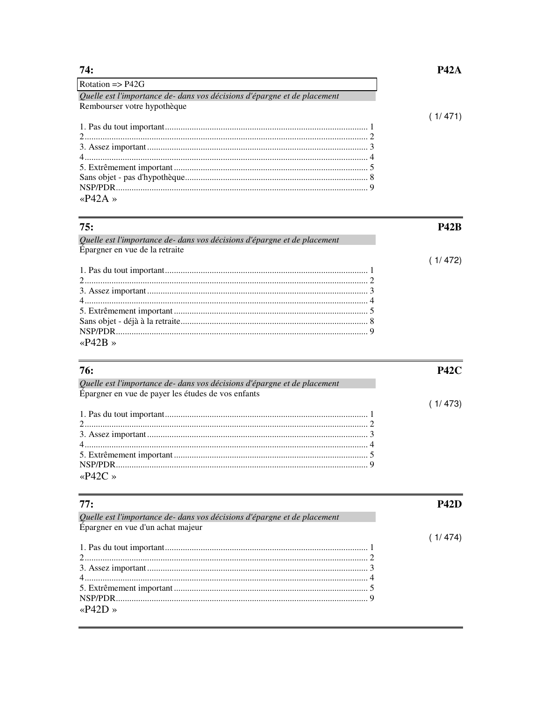$\overline{\phantom{a}}$ 

| Rotation $\Rightarrow$ P42G                                              |          |
|--------------------------------------------------------------------------|----------|
| Quelle est l'importance de- dans vos décisions d'épargne et de placement |          |
| Rembourser votre hypothèque                                              |          |
|                                                                          | (1/ 471) |
|                                                                          |          |
|                                                                          |          |
|                                                                          |          |
|                                                                          |          |
|                                                                          |          |
|                                                                          |          |
|                                                                          |          |
| «P42A»                                                                   |          |

| 75:                                                                      | <b>P42R</b> |
|--------------------------------------------------------------------------|-------------|
| Quelle est l'importance de- dans vos décisions d'épargne et de placement |             |
| Épargner en vue de la retraite                                           |             |
|                                                                          |             |
|                                                                          |             |
|                                                                          |             |
|                                                                          |             |
|                                                                          |             |
|                                                                          |             |
|                                                                          |             |
|                                                                          |             |
| «P42B»                                                                   |             |

| 76:                                                                      | <b>P42C</b> |
|--------------------------------------------------------------------------|-------------|
| Quelle est l'importance de- dans vos décisions d'épargne et de placement |             |
| Épargner en vue de payer les études de vos enfants                       |             |
|                                                                          | (1/4/3)     |
|                                                                          |             |
|                                                                          |             |
|                                                                          |             |
|                                                                          |             |
|                                                                          |             |
|                                                                          |             |
| «P42C»                                                                   |             |
|                                                                          |             |
|                                                                          |             |

| .                                                                                                             | .       |
|---------------------------------------------------------------------------------------------------------------|---------|
| Quelle est l'importance de- dans vos décisions d'épargne et de placement<br>Épargner en vue d'un achat majeur |         |
|                                                                                                               |         |
|                                                                                                               | (1/474) |
|                                                                                                               |         |
|                                                                                                               |         |
|                                                                                                               |         |
|                                                                                                               |         |
|                                                                                                               |         |
|                                                                                                               |         |
| «P42D»                                                                                                        |         |
|                                                                                                               |         |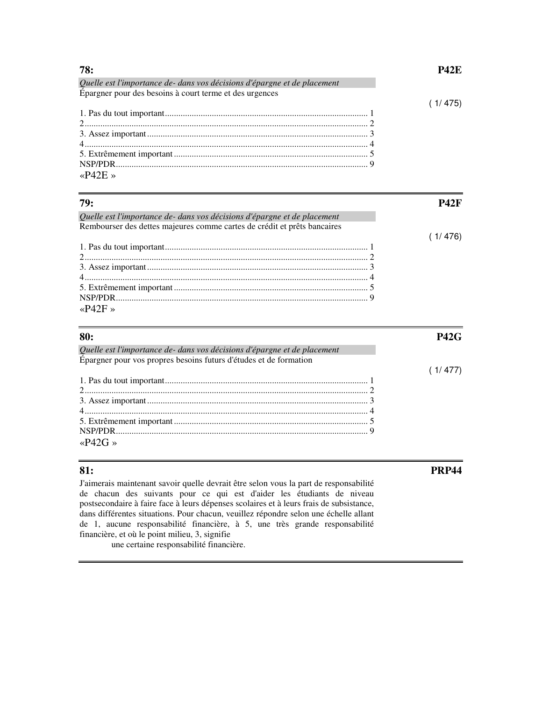| 78:                                                                      | <b>P42E</b> |
|--------------------------------------------------------------------------|-------------|
| Quelle est l'importance de- dans vos décisions d'épargne et de placement |             |
| Épargner pour des besoins à court terme et des urgences                  |             |
|                                                                          | (1/475)     |
|                                                                          |             |
|                                                                          |             |
|                                                                          |             |
|                                                                          |             |
|                                                                          |             |
|                                                                          |             |
| « $P42E$ »                                                               |             |
|                                                                          |             |
| 79:                                                                      | <b>P42F</b> |
| Quelle est l'importance de- dans vos décisions d'épargne et de placement |             |
| Rembourser des dettes majeures comme cartes de crédit et prêts bancaires |             |
|                                                                          | (1/476)     |
|                                                                          |             |
|                                                                          |             |
|                                                                          |             |
|                                                                          |             |
|                                                                          |             |
|                                                                          |             |
| « $P42F$ »                                                               |             |
| 80:                                                                      | <b>P42G</b> |
|                                                                          |             |
| Quelle est l'importance de- dans vos décisions d'épargne et de placement |             |
| Épargner pour vos propres besoins futurs d'études et de formation        |             |
|                                                                          | (1/477)     |
|                                                                          |             |
|                                                                          |             |

| «P42G» |  |
|--------|--|

### **81: PRP44**

J'aimerais maintenant savoir quelle devrait être selon vous la part de responsabilité de chacun des suivants pour ce qui est d'aider les étudiants de niveau postsecondaire à faire face à leurs dépenses scolaires et à leurs frais de subsistance, dans différentes situations. Pour chacun, veuillez répondre selon une échelle allant de 1, aucune responsabilité financière, à 5, une très grande responsabilité financière, et où le point milieu, 3, signifie

une certaine responsabilité financière.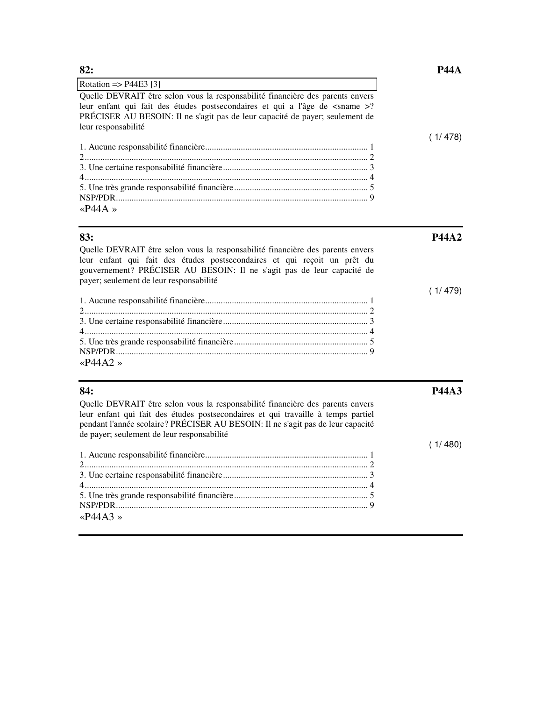| Rotation $\Rightarrow$ P44E3 [3]                                                   |         |
|------------------------------------------------------------------------------------|---------|
| Quelle DEVRAIT être selon vous la responsabilité financière des parents envers     |         |
| leur enfant qui fait des études postsecondaires et qui a l'âge de <sname>?</sname> |         |
| PRÉCISER AU BESOIN: Il ne s'agit pas de leur capacité de payer; seulement de       |         |
| leur responsabilité                                                                |         |
|                                                                                    | (1/478) |
|                                                                                    |         |
|                                                                                    |         |
|                                                                                    |         |
|                                                                                    |         |
|                                                                                    |         |
|                                                                                    |         |
| « $P44A \rightarrow$                                                               |         |
|                                                                                    |         |

### **83: P44A2**

Quelle DEVRAIT être selon vous la responsabilité financière des parents envers leur enfant qui fait des études postsecondaires et qui reçoit un prêt du gouvernement? PRÉCISER AU BESOIN: Il ne s'agit pas de leur capacité de payer; seulement de leur responsabilité

| «P44A2» |  |
|---------|--|

Quelle DEVRAIT être selon vous la responsabilité financière des parents envers leur enfant qui fait des études postsecondaires et qui travaille à temps partiel pendant l'année scolaire? PRÉCISER AU BESOIN: Il ne s'agit pas de leur capacité de payer; seulement de leur responsabilité

| « $P44A3$ » |  |
|-------------|--|

**84: P44A3** 

 $(1/480)$ 

( 1/ 479)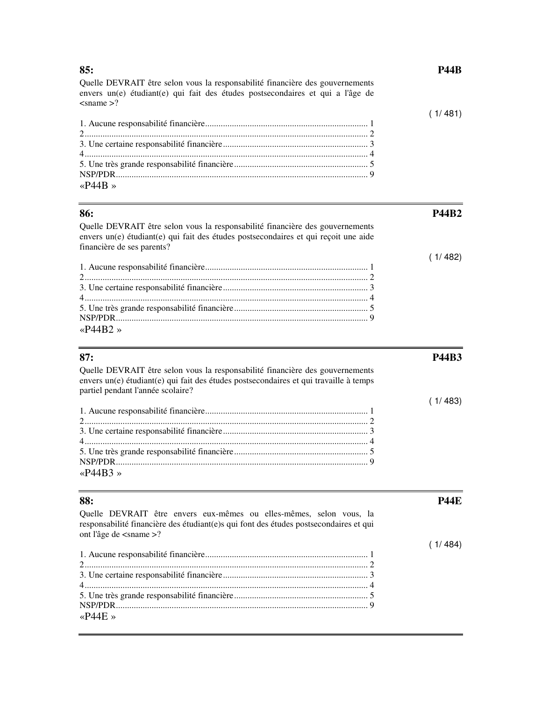Quelle DEVRAIT être selon vous la responsabilité financière des gouvernements envers un(e) étudiant(e) qui fait des études postsecondaires et qui a l'âge de  $\alpha$  <sname  $>$ ?

| « $P44B \times$ |  |
|-----------------|--|

#### **86: P44B2**

Quelle DEVRAIT être selon vous la responsabilité financière des gouvernements envers un(e) étudiant(e) qui fait des études postsecondaires et qui reçoit une aide financière de ses parents?

|             | (1/482) |
|-------------|---------|
|             |         |
|             |         |
|             |         |
|             |         |
|             |         |
|             |         |
| « $P44B2$ » |         |

Quelle DEVRAIT être selon vous la responsabilité financière des gouvernements envers un(e) étudiant(e) qui fait des études postsecondaires et qui travaille à temps partiel pendant l'année scolaire?

| « $P44B3$ » |  |
|-------------|--|

Quelle DEVRAIT être envers eux-mêmes ou elles-mêmes, selon vous, la responsabilité financière des étudiant(e)s qui font des études postsecondaires et qui ont l'âge de <sname >?

1. Aucune responsabilité financière......................................................................... 1 2............................................................................................................................... 2 3. Une certaine responsabilité financière................................................................. 3 4............................................................................................................................... 4 5. Une très grande responsabilité financière............................................................ 5 NSP/PDR................................................................................................................. 9 «P44E »

# **87: P44B3**

( 1/ 483)

**88: P44E** 

#### $( 1/ 484)$

# **85: P44B**

( 1/ 481)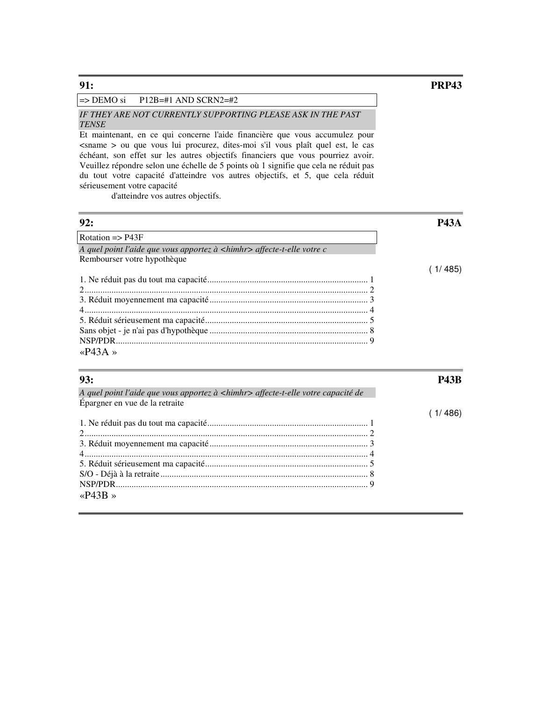#### $\Rightarrow$  DEMO si P12B=#1 AND SCRN2=#2

#### *IF THEY ARE NOT CURRENTLY SUPPORTING PLEASE ASK IN THE PAST TENSE*

Et maintenant, en ce qui concerne l'aide financière que vous accumulez pour <sname > ou que vous lui procurez, dites-moi s'il vous plaît quel est, le cas échéant, son effet sur les autres objectifs financiers que vous pourriez avoir. Veuillez répondre selon une échelle de 5 points où 1 signifie que cela ne réduit pas du tout votre capacité d'atteindre vos autres objectifs, et 5, que cela réduit sérieusement votre capacité

d'atteindre vos autres objectifs.

| 92:                                                                            | P43A    |
|--------------------------------------------------------------------------------|---------|
| Rotation => P43F                                                               |         |
| A quel point l'aide que vous apportez à <himhr> affecte-t-elle votre c</himhr> |         |
| Rembourser votre hypothèque                                                    |         |
|                                                                                | (1/485) |
|                                                                                |         |
|                                                                                |         |
|                                                                                |         |
|                                                                                |         |
|                                                                                |         |
|                                                                                |         |
|                                                                                |         |
| «P43A»                                                                         |         |
| 93:                                                                            |         |

| A quel point l'aide que vous apportez à <himhr> affecte-t-elle votre capacité de Épargner en vue de la retraite</himhr> |  |
|-------------------------------------------------------------------------------------------------------------------------|--|
|                                                                                                                         |  |
|                                                                                                                         |  |
|                                                                                                                         |  |
|                                                                                                                         |  |
|                                                                                                                         |  |
|                                                                                                                         |  |
|                                                                                                                         |  |
|                                                                                                                         |  |
|                                                                                                                         |  |
| $\alpha$ P43R »                                                                                                         |  |
|                                                                                                                         |  |

#### **91: PRP43**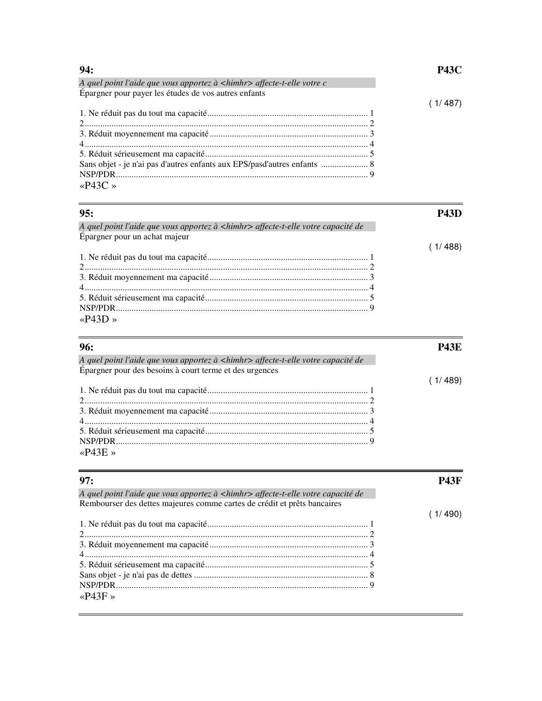| 94:                                                                            | <b>P43C</b> |
|--------------------------------------------------------------------------------|-------------|
| A quel point l'aide que vous apportez à <himhr> affecte-t-elle votre c</himhr> |             |
| Épargner pour payer les études de vos autres enfants                           |             |
|                                                                                | 1/487       |
|                                                                                |             |
|                                                                                |             |
|                                                                                |             |
|                                                                                |             |
|                                                                                |             |
| Sans objet - je n'ai pas d'autres enfants aux EPS/pasd'autres enfants  8       |             |
|                                                                                |             |
| «P43C»                                                                         |             |

| 95:                                                                                      |  |
|------------------------------------------------------------------------------------------|--|
| A quel point l'aide que vous apportez à <himhr> affecte-t-elle votre capacité de</himhr> |  |
| Épargner pour un achat majeur                                                            |  |
|                                                                                          |  |
|                                                                                          |  |
| $\frac{2}{2}$                                                                            |  |
|                                                                                          |  |
|                                                                                          |  |
|                                                                                          |  |
|                                                                                          |  |
|                                                                                          |  |

| 96:                                                                                      | -P43E  |
|------------------------------------------------------------------------------------------|--------|
| A quel point l'aide que vous apportez à <himhr> affecte-t-elle votre capacité de</himhr> |        |
| Épargner pour des besoins à court terme et des urgences                                  |        |
|                                                                                          | (1/489 |
|                                                                                          |        |
|                                                                                          |        |
|                                                                                          |        |
|                                                                                          |        |
|                                                                                          |        |
|                                                                                          |        |
| «P43E»                                                                                   |        |

 $\equiv$ 

| 97:                                                                                      | P43F  |
|------------------------------------------------------------------------------------------|-------|
| A quel point l'aide que vous apportez à <himhr> affecte-t-elle votre capacité de</himhr> |       |
| Rembourser des dettes majeures comme cartes de crédit et prêts bancaires                 |       |
|                                                                                          | 1/490 |
|                                                                                          |       |
|                                                                                          |       |
|                                                                                          |       |
|                                                                                          |       |
|                                                                                          |       |
|                                                                                          |       |
|                                                                                          |       |
| $\alpha$ P43F »                                                                          |       |
|                                                                                          |       |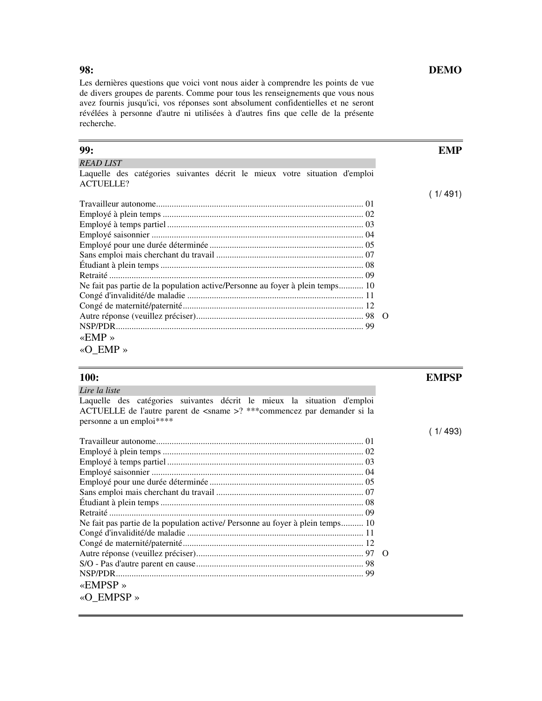Les dernières questions que voici vont nous aider à comprendre les points de vue de divers groupes de parents. Comme pour tous les renseignements que vous nous avez fournis jusqu'ici, vos réponses sont absolument confidentielles et ne seront révélées à personne d'autre ni utilisées à d'autres fins que celle de la présente recherche.

**99: EMP**  *READ LIST*  Laquelle des catégories suivantes décrit le mieux votre situation d'emploi ACTUELLE? ( 1/ 491) Travailleur autonome............................................................................................. 01 Employé à plein temps .......................................................................................... 02 Employé à temps partiel ........................................................................................ 03 Employé saisonnier ............................................................................................... 04 Employé pour une durée déterminée ..................................................................... 05 Sans emploi mais cherchant du travail .................................................................. 07 Étudiant à plein temps ........................................................................................... 08 Retraité .................................................................................................................. 09 Ne fait pas partie de la population active/Personne au foyer à plein temps........... 10 Congé d'invalidité/de maladie ............................................................................... 11 Congé de maternité/paternité................................................................................. 12 Autre réponse (veuillez préciser)........................................................................... 98 O NSP/PDR............................................................................................................... 99 «EMP » «O\_EMP »

| <b>100:</b>                                                                                                 | <b>EMPSP</b> |
|-------------------------------------------------------------------------------------------------------------|--------------|
| Lire la liste                                                                                               |              |
| Laquelle des catégories suivantes décrit le mieux la situation d'emploi                                     |              |
| ACTUELLE de l'autre parent de <sname>? ***commencez par demander si la<br/>personne a un emploi****</sname> |              |
|                                                                                                             | (1/493)      |
|                                                                                                             |              |
|                                                                                                             |              |
|                                                                                                             |              |
|                                                                                                             |              |
|                                                                                                             |              |
|                                                                                                             |              |
|                                                                                                             |              |
|                                                                                                             |              |
| Ne fait pas partie de la population active/ Personne au foyer à plein temps 10                              |              |
|                                                                                                             |              |
|                                                                                                             |              |
|                                                                                                             |              |
|                                                                                                             |              |
|                                                                                                             |              |
| «EMPSP»                                                                                                     |              |
| «O EMPSP»                                                                                                   |              |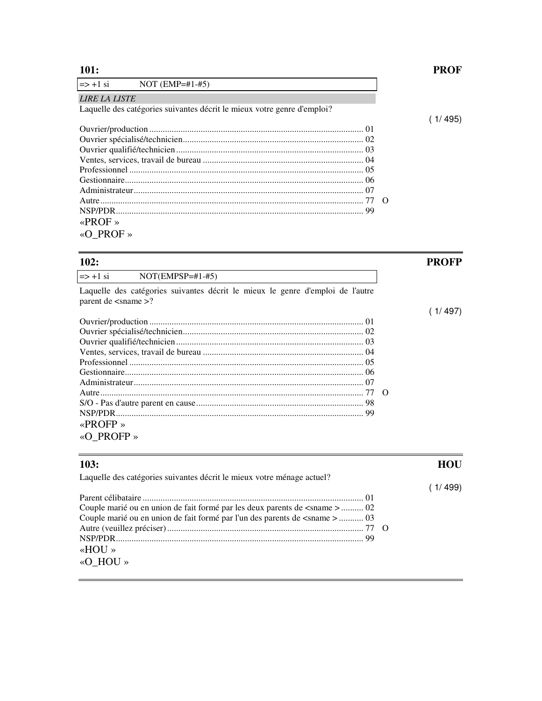$(1/495)$ 

 $(1/497)$ 

| $\Rightarrow$ +1 si  | NOT $(EMP=#1-#5)$                                                       |  |
|----------------------|-------------------------------------------------------------------------|--|
| <b>LIRE LA LISTE</b> |                                                                         |  |
|                      | Laquelle des catégories suivantes décrit le mieux votre genre d'emploi? |  |
|                      |                                                                         |  |
|                      |                                                                         |  |
|                      |                                                                         |  |
|                      |                                                                         |  |
|                      |                                                                         |  |
|                      |                                                                         |  |
|                      |                                                                         |  |
|                      |                                                                         |  |
|                      |                                                                         |  |
|                      |                                                                         |  |
| «PROF»               |                                                                         |  |
|                      |                                                                         |  |

«O\_PROF »

| <b>102:</b>         |                                                                                | <b>PROFP</b> |
|---------------------|--------------------------------------------------------------------------------|--------------|
| $\Rightarrow$ +1 si | $NOT(EMPSP=\#1-\#5)$                                                           |              |
|                     | Laquelle des catégories suivantes décrit le mieux le genre d'emploi de l'autre |              |

parent de <sname >?

| «PROFP»   |  |
|-----------|--|
| «O PROFP» |  |

| Laquelle des catégories suivantes décrit le mieux votre ménage actuel?<br>(1/499)                                                                                         |
|---------------------------------------------------------------------------------------------------------------------------------------------------------------------------|
| Couple marié ou en union de fait formé par les deux parents de <sname>  02<br/>Couple marié ou en union de fait formé par l'un des parents de <sname>  03</sname></sname> |
|                                                                                                                                                                           |
|                                                                                                                                                                           |
|                                                                                                                                                                           |
|                                                                                                                                                                           |
|                                                                                                                                                                           |
|                                                                                                                                                                           |
| «HOU»                                                                                                                                                                     |
| «O HOU »                                                                                                                                                                  |
|                                                                                                                                                                           |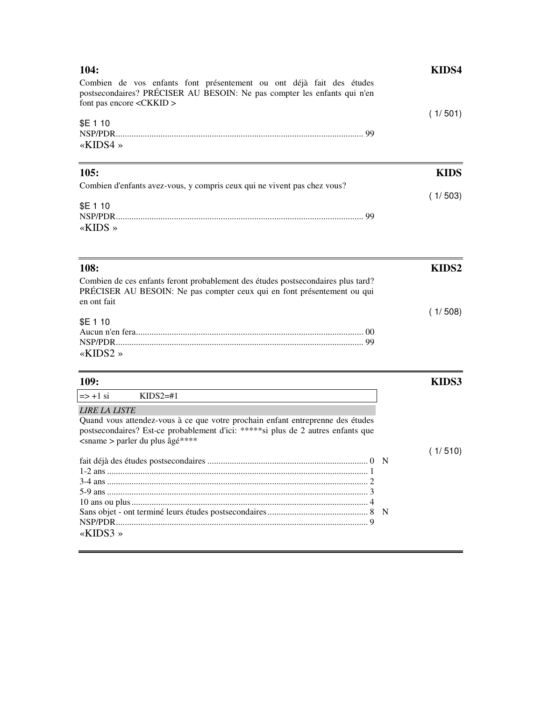| 104:                                                                                                                                                                                | KIDS4          |
|-------------------------------------------------------------------------------------------------------------------------------------------------------------------------------------|----------------|
| Combien de vos enfants font présentement ou ont déjà fait des études<br>postsecondaires? PRÉCISER AU BESOIN: Ne pas compter les enfants qui n'en<br>font pas encore <ckkid></ckkid> |                |
| \$E 1 10                                                                                                                                                                            | (1/501)        |
|                                                                                                                                                                                     |                |
| «KIDS4»                                                                                                                                                                             |                |
| 105:                                                                                                                                                                                | <b>KIDS</b>    |
| Combien d'enfants avez-vous, y compris ceux qui ne vivent pas chez vous?                                                                                                            |                |
| \$E 1 10                                                                                                                                                                            | (1/503)        |
| «KIDS »                                                                                                                                                                             |                |
| 108:                                                                                                                                                                                | KIDS2          |
| Combien de ces enfants feront probablement des études postsecondaires plus tard?<br>PRÉCISER AU BESOIN: Ne pas compter ceux qui en font présentement ou qui<br>en ont fait          |                |
|                                                                                                                                                                                     | (1/508)        |
| \$E 1 10                                                                                                                                                                            |                |
|                                                                                                                                                                                     |                |
| «KIDS2»                                                                                                                                                                             |                |
| <b>109:</b>                                                                                                                                                                         | KIDS3          |
| $\Rightarrow$ +1 si<br>$KIDS2 = #1$                                                                                                                                                 |                |
| <b>LIRE LA LISTE</b>                                                                                                                                                                |                |
| Quand vous attendez-vous à ce que votre prochain enfant entreprenne des études                                                                                                      |                |
| postsecondaires? Est-ce probablement d'ici: *****si plus de 2 autres enfants que<br>$\alpha$ <sname> parler du plus âgé****</sname>                                                 |                |
|                                                                                                                                                                                     | (1/510)<br>0 N |
|                                                                                                                                                                                     |                |
|                                                                                                                                                                                     |                |
|                                                                                                                                                                                     |                |
|                                                                                                                                                                                     | N              |
|                                                                                                                                                                                     |                |
| «KIDS3»                                                                                                                                                                             |                |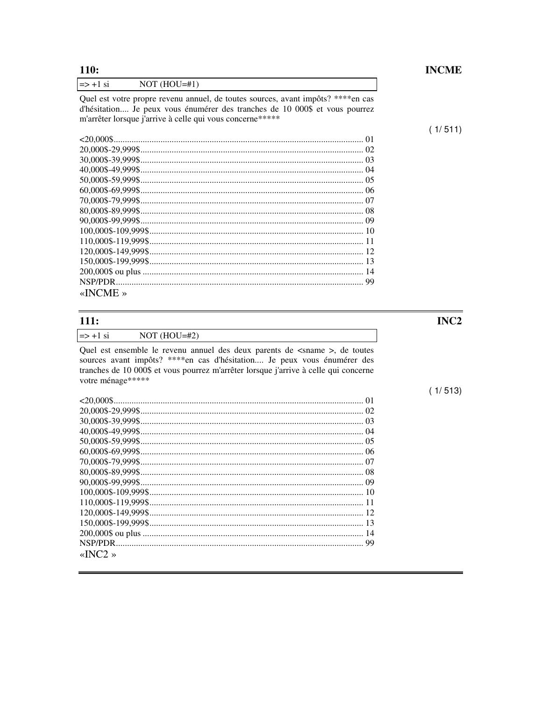$(1/511)$ 

| $\vert \Rightarrow +1 \text{ si}$ | $NOT (HOU=#1)$                                                                   |  |
|-----------------------------------|----------------------------------------------------------------------------------|--|
|                                   | Quel est votre propre revenu annuel, de toutes sources, avant impôts? ****en cas |  |
|                                   | d'hésitation Je peux vous énumérer des tranches de 10 000\$ et vous pourrez      |  |
|                                   | m'arrêter lorsque j'arrive à celle qui vous concerne *****                       |  |

|         | 13 |
|---------|----|
|         |    |
|         |    |
| «INCME» |    |

## 111:

#### $\Rightarrow$  +1 si  $NOT (HOU=#2)$

Quel est ensemble le revenu annuel des deux parents de <sname >, de toutes sources avant impôts? \*\*\*\*en cas d'hésitation.... Je peux vous énumérer des tranches de 10 000\$ et vous pourrez m'arrêter lorsque j'arrive à celle qui concerne votre ménage\*\*\*\*\*

| «INC <sub>2</sub> » |  |
|---------------------|--|

INC<sub>2</sub>

#### $(1/513)$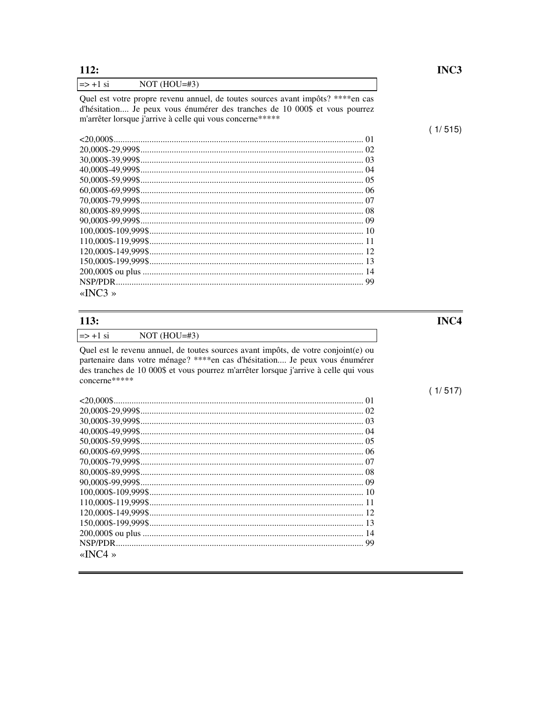$\Rightarrow$  +1 si

 $(1/515)$ 

| Quel est votre propre revenu annuel, de toutes sources avant impôts? ****en cas |
|---------------------------------------------------------------------------------|
| d'hésitation Je peux vous énumérer des tranches de 10 000\$ et vous pourrez     |
| m'arrêter lorsque j'arrive à celle qui vous concerne *****                      |

 $NOT (HOU=#3)$ 

| «INC3» |  |
|--------|--|

### 113:

#### $\Rightarrow$  +1 si NOT  $(HOU=\#3)$

Quel est le revenu annuel, de toutes sources avant impôts, de votre conjoint(e) ou partenaire dans votre ménage? \*\*\*\*en cas d'hésitation.... Je peux vous énumérer des tranches de 10 000\$ et vous pourrez m'arrêter lorsque j'arrive à celle qui vous concerne\*\*\*\*\*

| «INC4» |  |
|--------|--|

# INC4

 $(1/517)$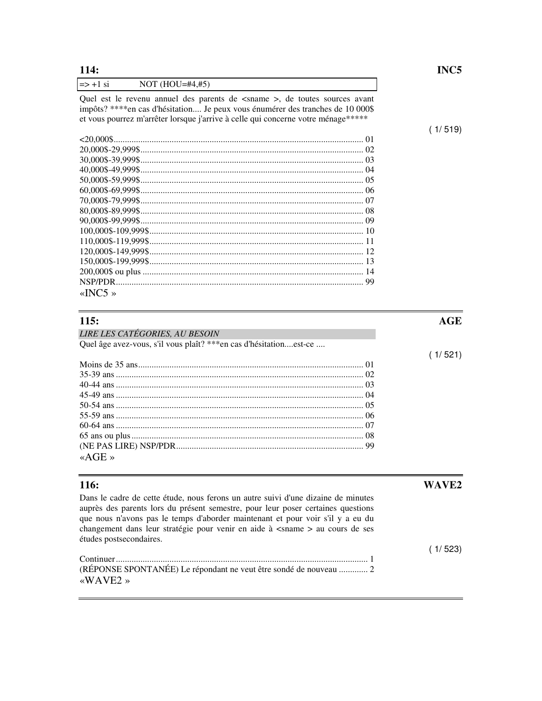$(1/519)$ 

| $\Rightarrow$ +1 si | NOT $(HOU=#4,#5)$                                                                                                                                                                                                                                          |  |
|---------------------|------------------------------------------------------------------------------------------------------------------------------------------------------------------------------------------------------------------------------------------------------------|--|
|                     | Quel est le revenu annuel des parents de <sname>, de toutes sources avant<br/>impôts? ****en cas d'hésitation Je peux vous énumérer des tranches de 10 000\$<br/>et vous pourrez m'arrêter lorsque j'arrive à celle qui concerne votre ménage*****</sname> |  |
|                     |                                                                                                                                                                                                                                                            |  |
|                     |                                                                                                                                                                                                                                                            |  |
|                     |                                                                                                                                                                                                                                                            |  |
|                     |                                                                                                                                                                                                                                                            |  |
|                     |                                                                                                                                                                                                                                                            |  |
|                     |                                                                                                                                                                                                                                                            |  |
|                     |                                                                                                                                                                                                                                                            |  |
|                     |                                                                                                                                                                                                                                                            |  |
|                     |                                                                                                                                                                                                                                                            |  |
|                     |                                                                                                                                                                                                                                                            |  |
|                     |                                                                                                                                                                                                                                                            |  |
|                     |                                                                                                                                                                                                                                                            |  |
|                     |                                                                                                                                                                                                                                                            |  |
|                     |                                                                                                                                                                                                                                                            |  |
|                     |                                                                                                                                                                                                                                                            |  |
| «INC5»              |                                                                                                                                                                                                                                                            |  |

# $115.$

| 115:                                                              | AGE     |
|-------------------------------------------------------------------|---------|
| LIRE LES CATÉGORIES, AU BESOIN                                    |         |
| Quel âge avez-vous, s'il vous plaît? ***en cas d'hésitationest-ce |         |
|                                                                   | (1/521) |
|                                                                   |         |
|                                                                   |         |
|                                                                   |         |
|                                                                   |         |
|                                                                   |         |
|                                                                   |         |
|                                                                   |         |
|                                                                   |         |
|                                                                   |         |
| « $AGE$ »                                                         |         |

### **116:**

WAVE2

 $(1/523)$ 

Dans le cadre de cette étude, nous ferons un autre suivi d'une dizaine de minutes auprès des parents lors du présent semestre, pour leur poser certaines questions que nous n'avons pas le temps d'aborder maintenant et pour voir s'il y a eu du changement dans leur stratégie pour venir en aide à <sname > au cours de ses études postsecondaires.

| (RÉPONSE SPONTANÉE) Le répondant ne veut être sondé de nouveau  2 |  |
|-------------------------------------------------------------------|--|
| «WAVE2»                                                           |  |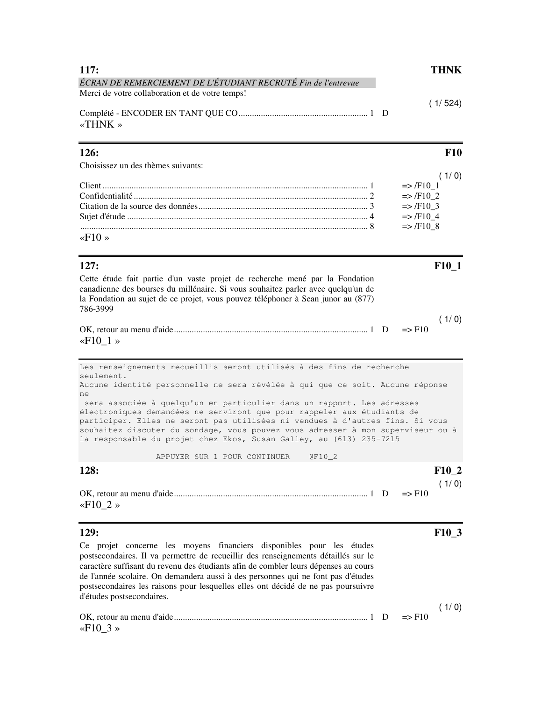| 117:                                                          | THNK    |
|---------------------------------------------------------------|---------|
| ÉCRAN DE REMERCIEMENT DE L'ÉTUDIANT RECRUTÉ Fin de l'entrevue |         |
| Merci de votre collaboration et de votre temps!               |         |
|                                                               | (1/524) |
|                                                               |         |
| «THNK»                                                        |         |
|                                                               |         |

### **126: F10**

Choisissez un des thèmes suivants:

| «F10» |  |
|-------|--|

Cette étude fait partie d'un vaste projet de recherche mené par la Fondation canadienne des bourses du millénaire. Si vous souhaitez parler avec quelqu'un de la Fondation au sujet de ce projet, vous pouvez téléphoner à Sean junor au (877) 786-3999

| «F10 1» |  |  |
|---------|--|--|

Les renseignements recueillis seront utilisés à des fins de recherche seulement. Aucune identité personnelle ne sera révélée à qui que ce soit. Aucune réponse ne sera associée à quelqu'un en particulier dans un rapport. Les adresses électroniques demandées ne serviront que pour rappeler aux étudiants de participer. Elles ne seront pas utilisées ni vendues à d'autres fins. Si vous souhaitez discuter du sondage, vous pouvez vous adresser à mon superviseur ou à la responsable du projet chez Ekos, Susan Galley, au (613) 235-7215

APPUYER SUR 1 POUR CONTINUER @F10\_2

| <b>128:</b> | F <sub>10</sub> 2 |
|-------------|-------------------|
|             | (1/0)             |
|             |                   |
| «F10 2»     |                   |

### **129: F10\_3**

Ce projet concerne les moyens financiers disponibles pour les études postsecondaires. Il va permettre de recueillir des renseignements détaillés sur le caractère suffisant du revenu des étudiants afin de combler leurs dépenses au cours de l'année scolaire. On demandera aussi à des personnes qui ne font pas d'études postsecondaires les raisons pour lesquelles elles ont décidé de ne pas poursuivre d'études postsecondaires.

OK, retour au menu d'aide....................................................................................... 1 D => F10 «F10\_3 »

#### **127: F10\_1**

 $(1/0)$ 

 $(1/0)$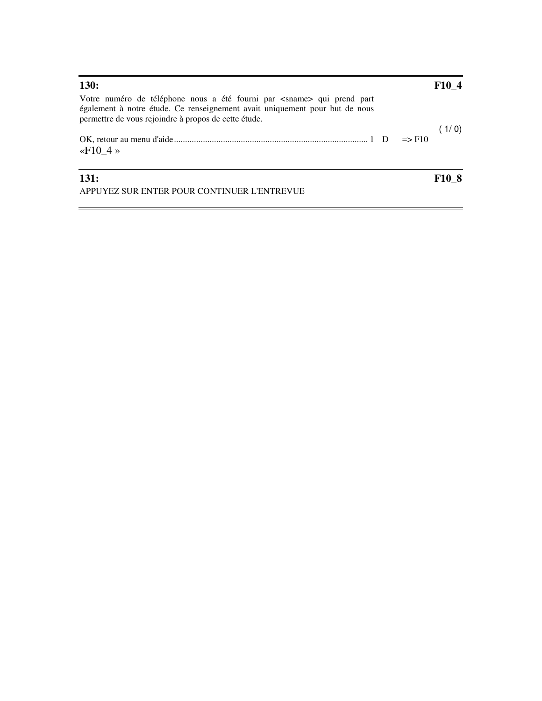| <b>130:</b>                                                                                                                                                                                                                         |                   | F <sub>10</sub> 4 |
|-------------------------------------------------------------------------------------------------------------------------------------------------------------------------------------------------------------------------------------|-------------------|-------------------|
| Votre numéro de téléphone nous a été fourni par <sname> qui prend part<br/>également à notre étude. Ce renseignement avait uniquement pour but de nous<br/>permettre de vous rejoindre à propos de cette étude.<br/>«F10 4»</sname> | $\Rightarrow$ F10 | (1/0)             |
| <b>131:</b><br>APPUYEZ SUR ENTER POUR CONTINUER L'ENTREVUE                                                                                                                                                                          |                   | F <sub>10</sub> 8 |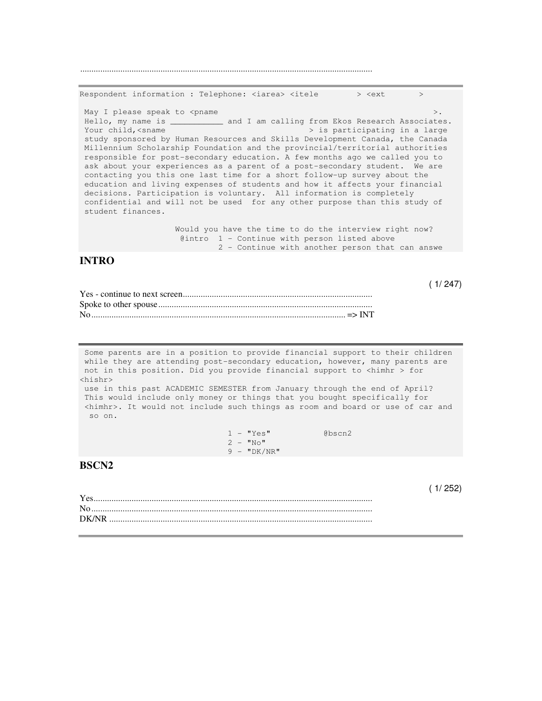Respondent information : Telephone: <iarea> <itele > <ext > May I please speak to <pname  $>$ . Hello, my name is \_\_\_\_\_\_\_\_\_\_\_ and I am calling from Ekos Research Associates. Your child,<sname  $\longrightarrow$  is participating in a large study sponsored by Human Resources and Skills Development Canada, the Canada Millennium Scholarship Foundation and the provincial/territorial authorities responsible for post-secondary education. A few months ago we called you to ask about your experiences as a parent of a post-secondary student. We are contacting you this one last time for a short follow-up survey about the education and living expenses of students and how it affects your financial decisions. Participation is voluntary. All information is completely confidential and will not be used for any other purpose than this study of student finances.

> Would you have the time to do the interview right now? @intro 1 - Continue with person listed above 2 - Continue with another person that can answe

> > ( 1/ 247)

( 1/ 252)

#### **INTRO**

...................................................................................................................................

 Some parents are in a position to provide financial support to their children while they are attending post-secondary education, however, many parents are not in this position. Did you provide financial support to <himhr > for <hishr> use in this past ACADEMIC SEMESTER from January through the end of April? This would include only money or things that you bought specifically for <himhr>. It would not include such things as room and board or use of car and so on.

| $1 - "Yes"$   | @bscn2 |
|---------------|--------|
| $2 - "No"$    |        |
| $9 - "DK/NR"$ |        |

#### **BSCN2**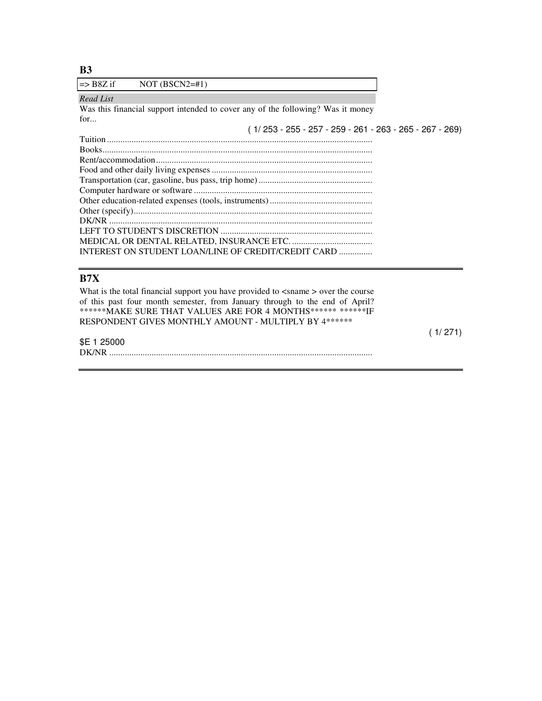### **B3**

### **B7X**

What is the total financial support you have provided to <sname > over the course of this past four month semester, from January through to the end of April? \*\*\*\*\*\*MAKE SURE THAT VALUES ARE FOR 4 MONTHS\*\*\*\*\*\* \*\*\*\*\*\*IF RESPONDENT GIVES MONTHLY AMOUNT - MULTIPLY BY 4\*\*\*\*\*\*

( 1/ 271)

| \$E 1 25000 |  |
|-------------|--|
|             |  |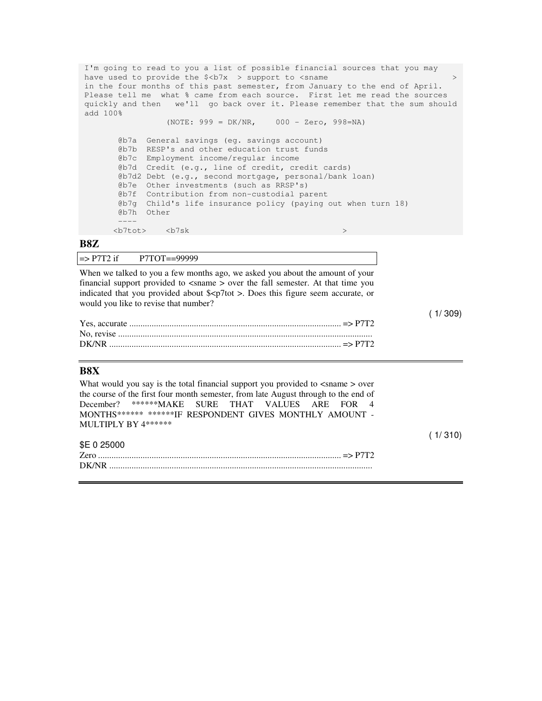```
 I'm going to read to you a list of possible financial sources that you may 
 have used to provide the \xi <br/>b/x > support to <sname
  in the four months of this past semester, from January to the end of April. 
  Please tell me what % came from each source. First let me read the sources 
  quickly and then we'll go back over it. Please remember that the sum should 
  add 100% 
                       (NOTE: 999 = DK/NR, 000 - Zero, 998=NA) 
           @b7a General savings (eg. savings account)
           @b7b RESP's and other education trust funds 
           @b7c Employment income/regular income 
           @b7d Credit (e.g., line of credit, credit cards) 
           @b7d2 Debt (e.g., second mortgage, personal/bank loan) 
           @b7e Other investments (such as RRSP's) 
           @b7f Contribution from non-custodial parent 
           @b7g Child's life insurance policy (paying out when turn 18) 
           @b7h Other 
 ---- 
          <b7tot> <b7sk > 
B8Z 
\Rightarrow P7T2 if P7TOT==99999
When we talked to you a few months ago, we asked you about the amount of your 
financial support provided to <sname > over the fall semester. At that time you 
indicated that you provided about \S<p7tot >. Does this figure seem accurate, or
would you like to revise that number? 
                                                                                           (1/309)Yes, accurate ............................................................................................... => P7T2 
No, revise .................................................................................................................. 
DK/NR ........................................................................................................ => P7T2 
B8X 
What would you say is the total financial support you provided to <sname > over
the course of the first four month semester, from late August through to the end of 
December? ******MAKE SURE THAT VALUES ARE FOR 4 
MONTHS****** ******IF RESPONDENT GIVES MONTHLY AMOUNT - 
MULTIPLY BY 4****** 
                                                                                           ( 1/ 310) 
$E 0 25000 
Zero ............................................................................................................. => P7T2 
DK/NR ......................................................................................................................
```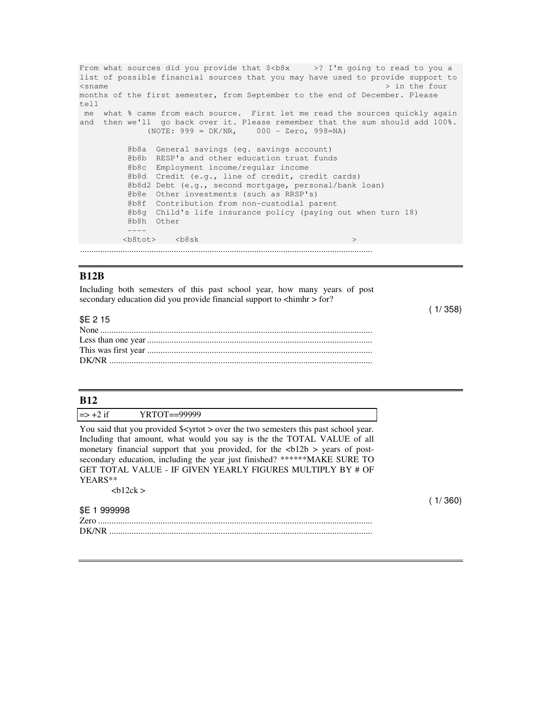```
From what sources did you provide that $<br/>b8x >? I'm going to read to you a
list of possible financial sources that you may have used to provide support to 
\langlesname \rangle in the four
months of the first semester, from September to the end of December. Please 
tell 
 me what % came from each source. First let me read the sources quickly again 
and then we'll go back over it. Please remember that the sum should add 100%. 
              (NOTE: 999 = DK/NR, 000 - Zero, 998 = NA) @b8a General savings (eg. savings account) 
           @b8b RESP's and other education trust funds 
           @b8c Employment income/regular income 
           @b8d Credit (e.g., line of credit, credit cards) 
           @b8d2 Debt (e.g., second mortgage, personal/bank loan) 
           @b8e Other investments (such as RRSP's) 
           @b8f Contribution from non-custodial parent 
           @b8g Child's life insurance policy (paying out when turn 18) 
           @b8h Other 
           ---- 
         <br/>b8tot> <b8sk >>>>> <br/>>>>>>> <b
...................................................................................................................................
```
( 1/ 358)

### **B12B**

Including both semesters of this past school year, how many years of post secondary education did you provide financial support to <himhr > for?

### \$E 2 15

#### **B12**

| $\Rightarrow$ +2 if YRTOT==99999                                                                   |  |
|----------------------------------------------------------------------------------------------------|--|
| You said that you provided \$ <yrtot> over the two semesters this past school year.</yrtot>        |  |
| Including that amount, what would you say is the the TOTAL VALUE of all                            |  |
| monetary financial support that you provided, for the $\langle \text{b12b} \rangle$ years of post- |  |
| secondary education, including the year just finished? ******MAKE SURE TO                          |  |
| GET TOTAL VALUE - IF GIVEN YEARLY FIGURES MULTIPLY BY # OF                                         |  |
| YEARS**                                                                                            |  |
| $\langle$ h12ck $>$                                                                                |  |
|                                                                                                    |  |
| \$E 1 999998                                                                                       |  |
|                                                                                                    |  |
| DK/NR                                                                                              |  |
|                                                                                                    |  |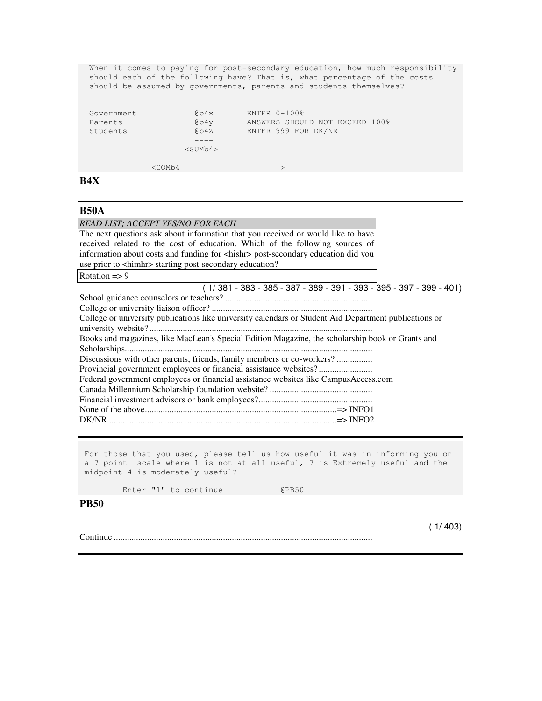When it comes to paying for post-secondary education, how much responsibility should each of the following have? That is, what percentage of the costs should be assumed by governments, parents and students themselves?

| Government | 6b4x          | ENTER $0-100$ %                |
|------------|---------------|--------------------------------|
| Parents    | Qb4v          | ANSWERS SHOULD NOT EXCEED 100% |
| Students   | Qb4Z          | ENTER 999 FOR DK/NR            |
|            |               |                                |
|            | $<$ SUMb4 $>$ |                                |
|            |               |                                |
|            | MMh4          |                                |

**B4X** 

# **B50A**

 For those that you used, please tell us how useful it was in informing you on a 7 point scale where 1 is not at all useful, 7 is Extremely useful and the midpoint 4 is moderately useful?

Enter "1" to continue @PB50

#### **PB50**

| 403) |
|------|
|      |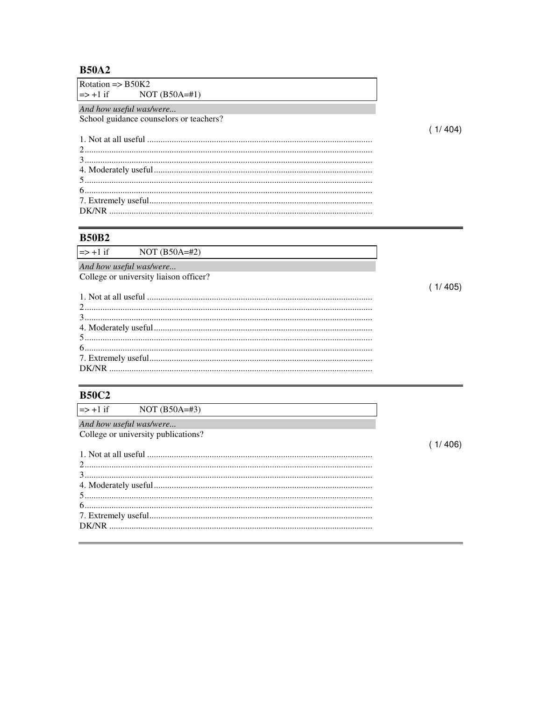# **B50A2**

| Rotation $\Rightarrow$ B50K2            |  |
|-----------------------------------------|--|
| $ => +1$ if NOT (B50A=#1)               |  |
| And how useful was/were                 |  |
| School guidance counselors or teachers? |  |
|                                         |  |
|                                         |  |
|                                         |  |
|                                         |  |
|                                         |  |
|                                         |  |
|                                         |  |
|                                         |  |
| DK/NR <b>Example 2008</b>               |  |

# **B50B2**

| $\Rightarrow$ +1 if                    | NOT $(B50A=\#2)$        |  |  |
|----------------------------------------|-------------------------|--|--|
|                                        | And how useful was/were |  |  |
|                                        |                         |  |  |
| College or university liaison officer? |                         |  |  |
|                                        |                         |  |  |
|                                        |                         |  |  |
| $1 N$ , $11 R$                         |                         |  |  |

 $(1/405)$ 

# **B50C2**

 $\Rightarrow$  +1 if NOT (B50A=#3)

And how useful was/were...<br>College or university publications?

 $(1/406)$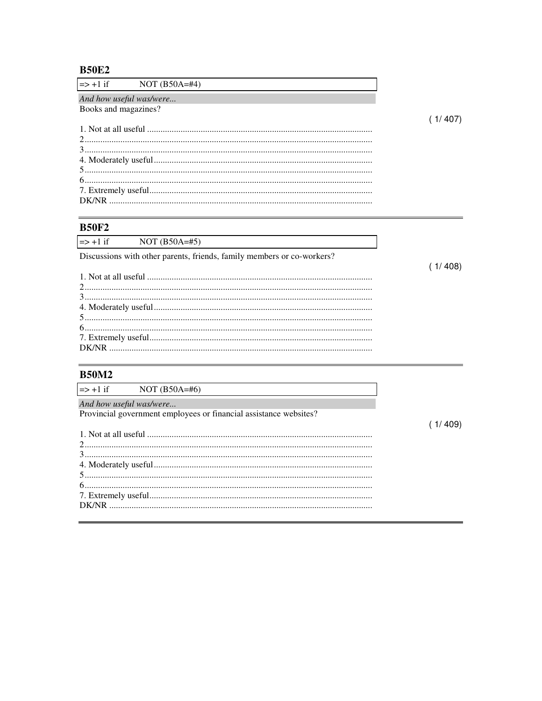# **B50E2**

| $\Rightarrow$ +1 if | NOT $(B50A=\#4)$ |
|---------------------|------------------|
|---------------------|------------------|

And how useful was/were...<br>Books and magazines?

# **B50F2**

|                                                                        | $\Rightarrow$ +1 if NOT (B50A=#5) |  |
|------------------------------------------------------------------------|-----------------------------------|--|
| Discussions with other parents, friends, family members or co-workers? |                                   |  |
|                                                                        |                                   |  |
|                                                                        |                                   |  |
|                                                                        |                                   |  |
|                                                                        |                                   |  |
|                                                                        |                                   |  |
|                                                                        |                                   |  |
|                                                                        |                                   |  |
|                                                                        | DK/NR <b>EXAMPLE 2008</b>         |  |

### **B50M2**

| $\Rightarrow$ +1 if NOT (B50A=#6)                                 |        |
|-------------------------------------------------------------------|--------|
| And how useful was/were                                           |        |
| Provincial government employees or financial assistance websites? |        |
|                                                                   | 1/409) |
|                                                                   |        |
|                                                                   |        |
|                                                                   |        |
|                                                                   |        |
|                                                                   |        |
|                                                                   |        |
|                                                                   |        |
|                                                                   |        |
|                                                                   |        |

 $(1/407)$ 

 $(1/408)$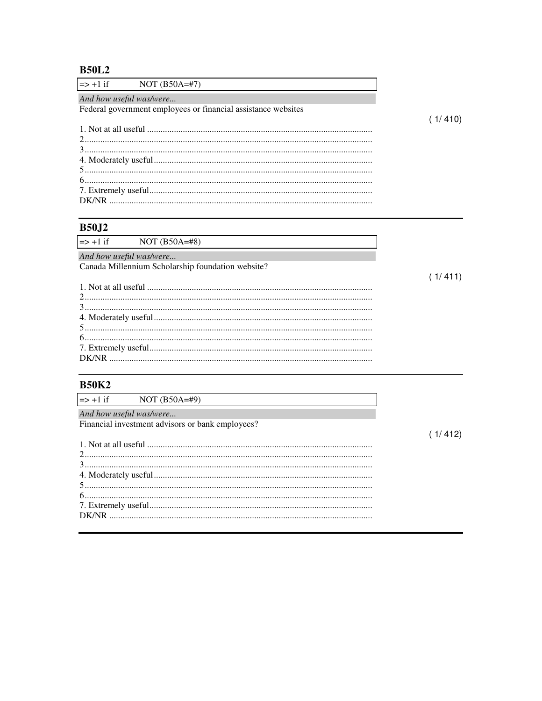**B50L2** 

| $ => +1$ if NOT (B50A=#7)                                     |         |  |
|---------------------------------------------------------------|---------|--|
| And how useful was/were                                       |         |  |
| Federal government employees or financial assistance websites |         |  |
|                                                               | (1/410) |  |
|                                                               |         |  |
|                                                               |         |  |
|                                                               |         |  |
|                                                               |         |  |
|                                                               |         |  |
|                                                               |         |  |
|                                                               |         |  |
| DK/NR                                                         |         |  |

# **B50J2**

| $\Rightarrow$ +1 if NOT (B50A=#8)                 |
|---------------------------------------------------|
| And how useful was/were                           |
| Canada Millennium Scholarship foundation website? |
|                                                   |
|                                                   |
|                                                   |
|                                                   |
|                                                   |
| DK/NR                                             |

## **B50K2**

| NOT $(B50A=\#9)$<br>$\Rightarrow$ +1 if |  |
|-----------------------------------------|--|
|-----------------------------------------|--|

And how useful was/were...<br>Financial investment advisors or bank employees?

 $(1/412)$ 

 $(1/411)$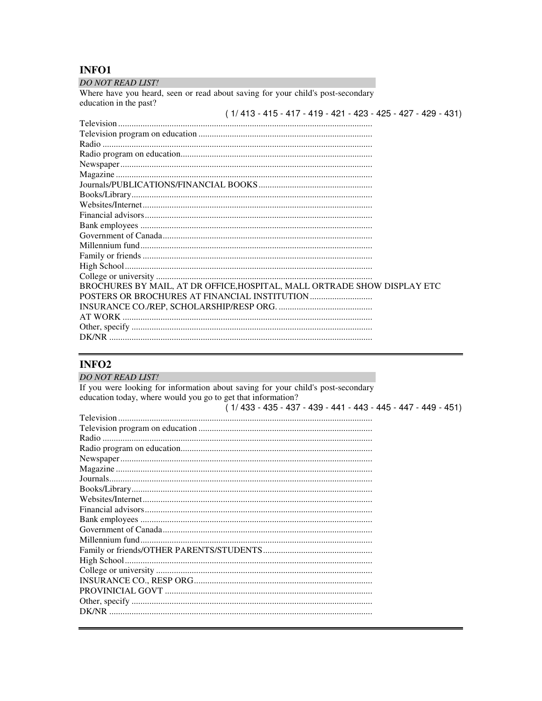# INFO1

**DO NOT READ LIST!** Where have you heard, seen or read about saving for your child's post-secondary education in the past?  $(1/413 - 415 - 417 - 419 - 421 - 423 - 425 - 427 - 429 - 431)$ BROCHURES BY MAIL, AT DR OFFICE, HOSPITAL, MALL ORTRADE SHOW DISPLAY ETC POSTERS OR BROCHURES AT FINANCIAL INSTITUTION ................................... 

### INFO<sub>2</sub>

| DO NOT READ LIST!                                                                                                                                |  |
|--------------------------------------------------------------------------------------------------------------------------------------------------|--|
| If you were looking for information about saving for your child's post-secondary<br>education today, where would you go to get that information? |  |
| $(1/433 - 435 - 437 - 439 - 441 - 443 - 445 - 447 - 449 - 451)$                                                                                  |  |
|                                                                                                                                                  |  |
|                                                                                                                                                  |  |
|                                                                                                                                                  |  |
|                                                                                                                                                  |  |
|                                                                                                                                                  |  |
|                                                                                                                                                  |  |
|                                                                                                                                                  |  |
|                                                                                                                                                  |  |
|                                                                                                                                                  |  |
|                                                                                                                                                  |  |
|                                                                                                                                                  |  |
|                                                                                                                                                  |  |
|                                                                                                                                                  |  |
|                                                                                                                                                  |  |
|                                                                                                                                                  |  |
|                                                                                                                                                  |  |
|                                                                                                                                                  |  |
|                                                                                                                                                  |  |
|                                                                                                                                                  |  |
|                                                                                                                                                  |  |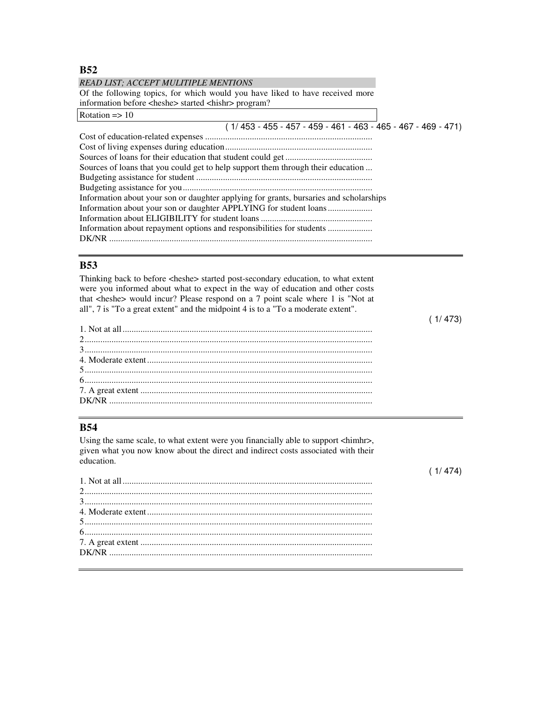**B52** 

| <b>READ LIST: ACCEPT MULITIPLE MENTIONS</b>                                            |  |  |  |
|----------------------------------------------------------------------------------------|--|--|--|
| Of the following topics, for which would you have liked to have received more          |  |  |  |
| information before <heshe> started <hishr> program?</hishr></heshe>                    |  |  |  |
| Rotation $\Rightarrow$ 10                                                              |  |  |  |
| $(1/453 - 455 - 457 - 459 - 461 - 463 - 465 - 467 - 469 - 471)$                        |  |  |  |
|                                                                                        |  |  |  |
|                                                                                        |  |  |  |
|                                                                                        |  |  |  |
| Sources of loans that you could get to help support them through their education       |  |  |  |
|                                                                                        |  |  |  |
|                                                                                        |  |  |  |
| Information about your son or daughter applying for grants, bursaries and scholarships |  |  |  |
|                                                                                        |  |  |  |
|                                                                                        |  |  |  |
| Information about repayment options and responsibilities for students                  |  |  |  |
| DK/NR                                                                                  |  |  |  |
|                                                                                        |  |  |  |

### **B53**

Thinking back to before <heshe> started post-secondary education, to what extent were you informed about what to expect in the way of education and other costs that <heshe> would incur? Please respond on a 7 point scale where 1 is "Not at all", 7 is "To a great extent" and the midpoint 4 is to a "To a moderate extent".

#### **B54**

Using the same scale, to what extent were you financially able to support <himhr>, given what you now know about the direct and indirect costs associated with their education.

| $\cdots$ |
|----------|
|          |
|          |
|          |
|          |
|          |
|          |
|          |
|          |
|          |
|          |
|          |

 $(1/474)$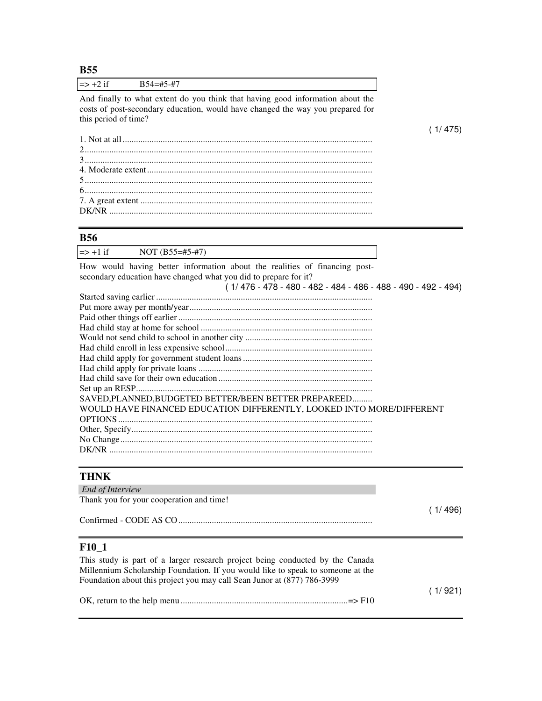$BE$ 

| B55                                                                                                                                                                                                               |         |
|-------------------------------------------------------------------------------------------------------------------------------------------------------------------------------------------------------------------|---------|
| $\Rightarrow$ +2 if<br>$B54=#5-#7$                                                                                                                                                                                |         |
| And finally to what extent do you think that having good information about the<br>costs of post-secondary education, would have changed the way you prepared for<br>this period of time?                          |         |
|                                                                                                                                                                                                                   | (1/475) |
|                                                                                                                                                                                                                   |         |
|                                                                                                                                                                                                                   |         |
|                                                                                                                                                                                                                   |         |
|                                                                                                                                                                                                                   |         |
|                                                                                                                                                                                                                   |         |
|                                                                                                                                                                                                                   |         |
|                                                                                                                                                                                                                   |         |
|                                                                                                                                                                                                                   |         |
| <b>B56</b>                                                                                                                                                                                                        |         |
| $\Rightarrow$ +1 if<br>NOT (B55=#5-#7)                                                                                                                                                                            |         |
| How would having better information about the realities of financing post-<br>secondary education have changed what you did to prepare for it?<br>$(1/476 - 478 - 480 - 482 - 484 - 486 - 488 - 490 - 492 - 494)$ |         |
|                                                                                                                                                                                                                   |         |
|                                                                                                                                                                                                                   |         |
|                                                                                                                                                                                                                   |         |
|                                                                                                                                                                                                                   |         |
|                                                                                                                                                                                                                   |         |
|                                                                                                                                                                                                                   |         |
|                                                                                                                                                                                                                   |         |
|                                                                                                                                                                                                                   |         |
|                                                                                                                                                                                                                   |         |
|                                                                                                                                                                                                                   |         |
| SAVED, PLANNED, BUDGETED BETTER/BEEN BETTER PREPAREED                                                                                                                                                             |         |
| WOULD HAVE FINANCED EDUCATION DIFFERENTLY, LOOKED INTO MORE/DIFFERENT                                                                                                                                             |         |
|                                                                                                                                                                                                                   |         |
|                                                                                                                                                                                                                   |         |
|                                                                                                                                                                                                                   |         |
|                                                                                                                                                                                                                   |         |
| <b>THNK</b>                                                                                                                                                                                                       |         |
|                                                                                                                                                                                                                   |         |
| End of Interview<br>Thank you for your cooperation and time!                                                                                                                                                      |         |
|                                                                                                                                                                                                                   | (1/496) |
|                                                                                                                                                                                                                   |         |
| $F10_1$                                                                                                                                                                                                           |         |
| This study is part of a larger research project being conducted by the Canada                                                                                                                                     |         |
| Millennium Scholarship Foundation. If you would like to speak to someone at the                                                                                                                                   |         |
| Foundation about this project you may call Sean Junor at (877) 786-3999                                                                                                                                           |         |
|                                                                                                                                                                                                                   | (1/921) |
|                                                                                                                                                                                                                   |         |

OK, return to the help menu ...........................................................................=> F10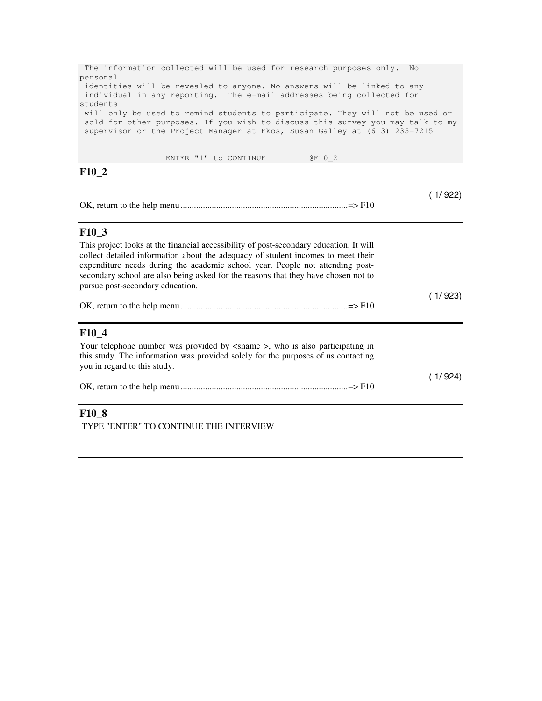```
The information collected will be used for research purposes only. No
personal 
  identities will be revealed to anyone. No answers will be linked to any 
  individual in any reporting. The e-mail addresses being collected for 
students 
  will only be used to remind students to participate. They will not be used or 
  sold for other purposes. If you wish to discuss this survey you may talk to my 
  supervisor or the Project Manager at Ekos, Susan Galley at (613) 235-7215 
                      ENTER "1" to CONTINUE QF10_2F10_2 
                                                                                            ( 1/ 922) 
OK, return to the help menu ...........................................................................=> F10 
F10_3 
This project looks at the financial accessibility of post-secondary education. It will 
collect detailed information about the adequacy of student incomes to meet their 
expenditure needs during the academic school year. People not attending post-
secondary school are also being asked for the reasons that they have chosen not to 
pursue post-secondary education. 
                                                                                            ( 1/ 923) 
OK, return to the help menu ...........................................................................=> F10 
F10_4 
Your telephone number was provided by \langlesname \rangle, who is also participating in
this study. The information was provided solely for the purposes of us contacting 
you in regard to this study. 
                                                                                             ( 1/ 924) 
OK, return to the help menu ...........................................................................=> F10 
F10_8
```
TYPE "ENTER" TO CONTINUE THE INTERVIEW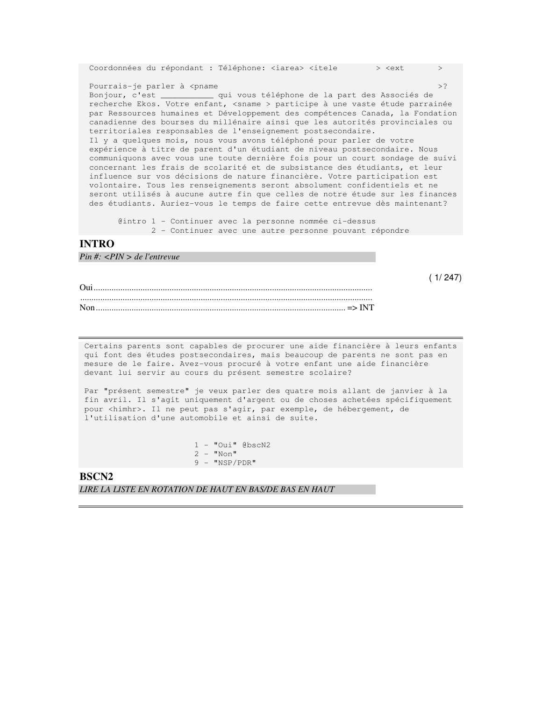Coordonnées du répondant : Téléphone: <iarea> <itele > <ext Pourrais-je parler à <pname  $>$ ? Bonjour, c'est \_\_\_\_\_\_\_\_\_\_\_ qui vous téléphone de la part des Associés de recherche Ekos. Votre enfant, <sname > participe à une vaste étude parrainée par Ressources humaines et Développement des compétences Canada, la Fondation canadienne des bourses du millénaire ainsi que les autorités provinciales ou territoriales responsables de l'enseignement postsecondaire. Il y a quelques mois, nous vous avons téléphoné pour parler de votre expérience à titre de parent d'un étudiant de niveau postsecondaire. Nous communiquons avec vous une toute dernière fois pour un court sondage de suivi concernant les frais de scolarité et de subsistance des étudiants, et leur influence sur vos décisions de nature financière. Votre participation est volontaire. Tous les renseignements seront absolument confidentiels et ne seront utilisés à aucune autre fin que celles de notre étude sur les finances des étudiants. Auriez-vous le temps de faire cette entrevue dès maintenant?

 @intro 1 - Continuer avec la personne nommée ci-dessus 2 - Continuer avec une autre personne pouvant répondre

#### **INTRO**

*Pin #: <PIN > de l'entrevue* 

( 1/ 247)

 Certains parents sont capables de procurer une aide financière à leurs enfants qui font des études postsecondaires, mais beaucoup de parents ne sont pas en mesure de le faire. Avez-vous procuré à votre enfant une aide financière devant lui servir au cours du présent semestre scolaire?

 Par "présent semestre" je veux parler des quatre mois allant de janvier à la fin avril. Il s'agit uniquement d'argent ou de choses achetées spécifiquement pour <himhr>. Il ne peut pas s'agir, par exemple, de hébergement, de l'utilisation d'une automobile et ainsi de suite.

> 1 - "Oui" @bscN2  $2 -$  "Non" 9 - "NSP/PDR"

**BSCN2** 

*LIRE LA LISTE EN ROTATION DE HAUT EN BAS/DE BAS EN HAUT*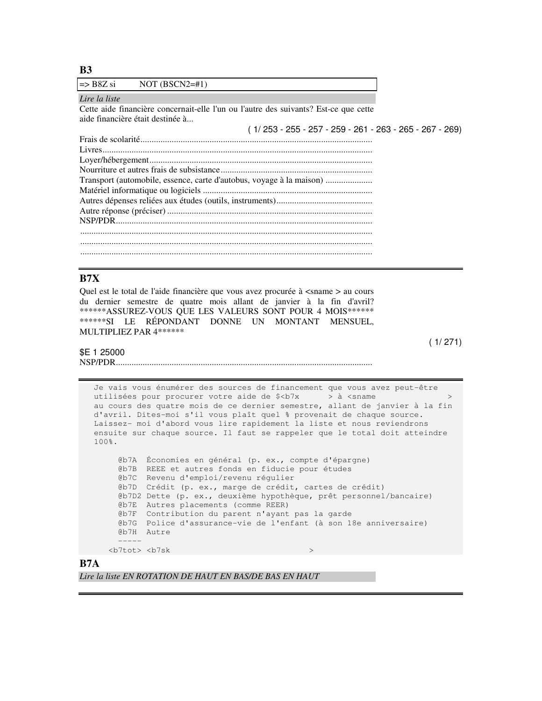**B3** 

|               | $\Rightarrow$ B8Z si NOT (BSCN2=#1)                                                                                      |  |
|---------------|--------------------------------------------------------------------------------------------------------------------------|--|
| Lire la liste |                                                                                                                          |  |
|               | Cette aide financière concernait-elle l'un ou l'autre des suivants? Est-ce que cette<br>aide financière était destinée à |  |
|               | $(1/253 - 255 - 257 - 259 - 261 - 263 - 265 - 267 - 269)$                                                                |  |
|               |                                                                                                                          |  |
|               |                                                                                                                          |  |
|               |                                                                                                                          |  |
|               |                                                                                                                          |  |
|               | Transport (automobile, essence, carte d'autobus, voyage à la maison)                                                     |  |
|               |                                                                                                                          |  |
|               |                                                                                                                          |  |
|               |                                                                                                                          |  |
|               |                                                                                                                          |  |
|               |                                                                                                                          |  |
|               |                                                                                                                          |  |
|               |                                                                                                                          |  |
|               |                                                                                                                          |  |

#### **B7X**

Quel est le total de l'aide financière que vous avez procurée à <sname > au cours du dernier semestre de quatre mois allant de janvier à la fin d'avril? \*\*\*\*\*\*ASSUREZ-VOUS QUE LES VALEURS SONT POUR 4 MOIS\*\*\*\*\*\* \*\*\*\*\*\*SI LE RÉPONDANT DONNE UN MONTANT MENSUEL, MULTIPLIEZ PAR 4\*\*\*\*\*\*

( 1/ 271)

#### \$E 1 25000 NSP/PDR...................................................................................................................

 Je vais vous énumérer des sources de financement que vous avez peut-être utilisées pour procurer votre aide de \$<b7x > à <sname > au cours des quatre mois de ce dernier semestre, allant de janvier à la fin d'avril. Dites-moi s'il vous plaît quel % provenait de chaque source. Laissez- moi d'abord vous lire rapidement la liste et nous reviendrons ensuite sur chaque source. Il faut se rappeler que le total doit atteindre 100%.

```
 @b7A Économies en général (p. ex., compte d'épargne) 
         @b7B REEE et autres fonds en fiducie pour études 
         @b7C Revenu d'emploi/revenu régulier 
         @b7D Crédit (p. ex., marge de crédit, cartes de crédit) 
         @b7D2 Dette (p. ex., deuxième hypothèque, prêt personnel/bancaire) 
         @b7E Autres placements (comme REER) 
         @b7F Contribution du parent n'ayant pas la garde 
         @b7G Police d'assurance-vie de l'enfant (à son 18e anniversaire) 
        @b7H Autre 
 ----- 
      <b7tot> <b7sk >
```
#### **B7A**

*Lire la liste EN ROTATION DE HAUT EN BAS/DE BAS EN HAUT*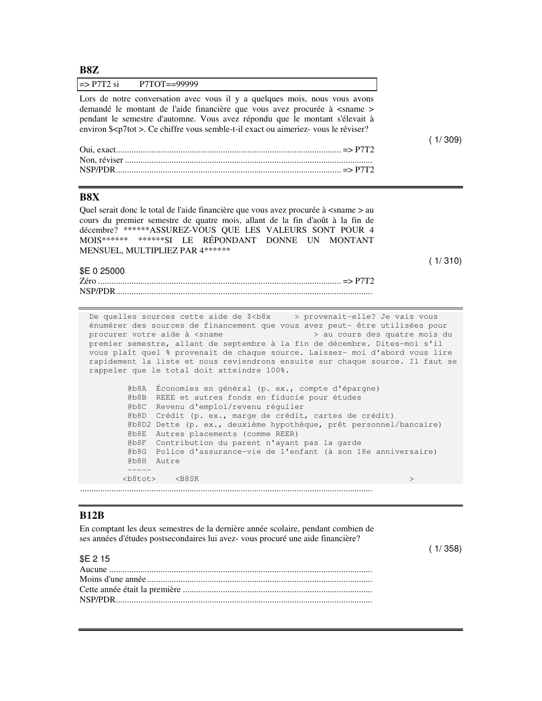#### **B8Z**

| $\Rightarrow$ P7T2 si P7TOT==99999 |                                                                                                                                                                                                                                                                                                                                              |
|------------------------------------|----------------------------------------------------------------------------------------------------------------------------------------------------------------------------------------------------------------------------------------------------------------------------------------------------------------------------------------------|
|                                    | Lors de notre conversation avec vous il y a quelques mois, nous vous avons<br>demandé le montant de l'aide financière que vous avez procurée à <sname><br/>pendant le semestre d'automne. Vous avez répondu que le montant s'élevait à<br/>environ \$<p7tot>. Ce chiffre vous semble-t-il exact ou aimeriez-vous le réviser?</p7tot></sname> |
|                                    |                                                                                                                                                                                                                                                                                                                                              |
|                                    |                                                                                                                                                                                                                                                                                                                                              |

#### **B8X**

Quel serait donc le total de l'aide financière que vous avez procurée à <sname > au cours du premier semestre de quatre mois, allant de la fin d'août à la fin de décembre? \*\*\*\*\*\*ASSUREZ-VOUS QUE LES VALEURS SONT POUR 4 MOIS\*\*\*\*\*\* \*\*\*\*\*\*SI LE RÉPONDANT DONNE UN MONTANT MENSUEL, MULTIPLIEZ PAR 4\*\*\*\*\*\*

\$E 0 25000

( 1/ 310)

 $(1/309)$ 

| . |  |
|---|--|
|   |  |
|   |  |

De quelles sources cette aide de \$<b8x > provenait-elle? Je vais vous énumérer des sources de financement que vous avez peut- être utilisées pour procurer votre aide à <sname > au cours des quatre mois du premier semestre, allant de septembre à la fin de décembre. Dites-moi s'il vous plaît quel % provenait de chaque source. Laissez- moi d'abord vous lire rapidement la liste et nous reviendrons ensuite sur chaque source. Il faut se rappeler que le total doit atteindre 100%.

 @b8A Économies en général (p. ex., compte d'épargne) @b8B REEE et autres fonds en fiducie pour études @b8C Revenu d'emploi/revenu régulier @b8D Crédit (p. ex., marge de crédit, cartes de crédit) @b8D2 Dette (p. ex., deuxième hypothèque, prêt personnel/bancaire) @b8E Autres placements (comme REER) @b8F Contribution du parent n'ayant pas la garde @b8G Police d'assurance-vie de l'enfant (à son 18e anniversaire) @b8H Autre -----  $\leftarrow$   $\leftarrow$   $\leftarrow$   $\leftarrow$   $\leftarrow$   $\leftarrow$   $\leftarrow$   $\leftarrow$   $\leftarrow$   $\leftarrow$   $\leftarrow$   $\leftarrow$   $\leftarrow$   $\leftarrow$   $\leftarrow$   $\leftarrow$   $\leftarrow$   $\leftarrow$   $\leftarrow$   $\leftarrow$   $\leftarrow$   $\leftarrow$   $\leftarrow$   $\leftarrow$   $\leftarrow$   $\leftarrow$   $\leftarrow$   $\leftarrow$   $\leftarrow$   $\leftarrow$   $\leftarrow$   $\leftarrow$   $\leftarrow$   $\leftarrow$   $\leftarrow$   $\leftarrow$   $\leftarrow$ 

#### **B12B**

En comptant les deux semestres de la dernière année scolaire, pendant combien de ses années d'études postsecondaires lui avez- vous procuré une aide financière?

...................................................................................................................................

( 1/ 358)

#### \$E 2 15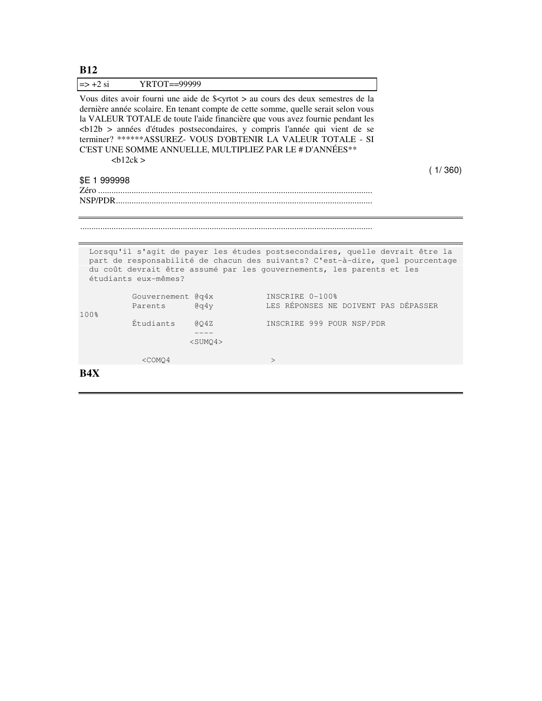**B12** 

| $\Rightarrow$ +2 si                            | $YRTOT = 999999$             |                        |                                                                                                                                                                                                                                                                                                                                                                                                                                                                                        |         |  |
|------------------------------------------------|------------------------------|------------------------|----------------------------------------------------------------------------------------------------------------------------------------------------------------------------------------------------------------------------------------------------------------------------------------------------------------------------------------------------------------------------------------------------------------------------------------------------------------------------------------|---------|--|
|                                                | $12ck$                       |                        | Vous dites avoir fourni une aide de \$ <yrtot> au cours des deux semestres de la<br/>dernière année scolaire. En tenant compte de cette somme, quelle serait selon vous<br/>la VALEUR TOTALE de toute l'aide financière que vous avez fournie pendant les<br/><br/>b12b &gt; années d'études postsecondaires, y compris l'année qui vient de se<br/>terminer? ******ASSUREZ- VOUS D'OBTENIR LA VALEUR TOTALE - SI<br/>C'EST UNE SOMME ANNUELLE, MULTIPLIEZ PAR LE # D'ANNÉES**</yrtot> |         |  |
| \$E 1 999998                                   |                              |                        |                                                                                                                                                                                                                                                                                                                                                                                                                                                                                        | (1/360) |  |
|                                                |                              |                        |                                                                                                                                                                                                                                                                                                                                                                                                                                                                                        |         |  |
|                                                |                              | NSP/PDF                |                                                                                                                                                                                                                                                                                                                                                                                                                                                                                        |         |  |
|                                                |                              |                        |                                                                                                                                                                                                                                                                                                                                                                                                                                                                                        |         |  |
|                                                |                              |                        |                                                                                                                                                                                                                                                                                                                                                                                                                                                                                        |         |  |
|                                                | étudiants eux-mêmes?         |                        | Lorsqu'il s'agit de payer les études postsecondaires, quelle devrait être la<br>part de responsabilité de chacun des suivants? C'est-à-dire, quel pourcentage<br>du coût devrait être assumé par les gouvernements, les parents et les                                                                                                                                                                                                                                                 |         |  |
| 100%                                           | Gouvernement @q4x<br>Parents | 0 <sub>q</sub>         | INSCRIRE 0-100%<br>LES RÉPONSES NE DOIVENT PAS DÉPASSER                                                                                                                                                                                                                                                                                                                                                                                                                                |         |  |
| Étudiants<br>INSCRIRE 999 POUR NSP/PDR<br>QO4Z |                              |                        |                                                                                                                                                                                                                                                                                                                                                                                                                                                                                        |         |  |
|                                                |                              | $\sim$ CTIMO $\Lambda$ |                                                                                                                                                                                                                                                                                                                                                                                                                                                                                        |         |  |

 $B4X$ 

 $<$ COMQ4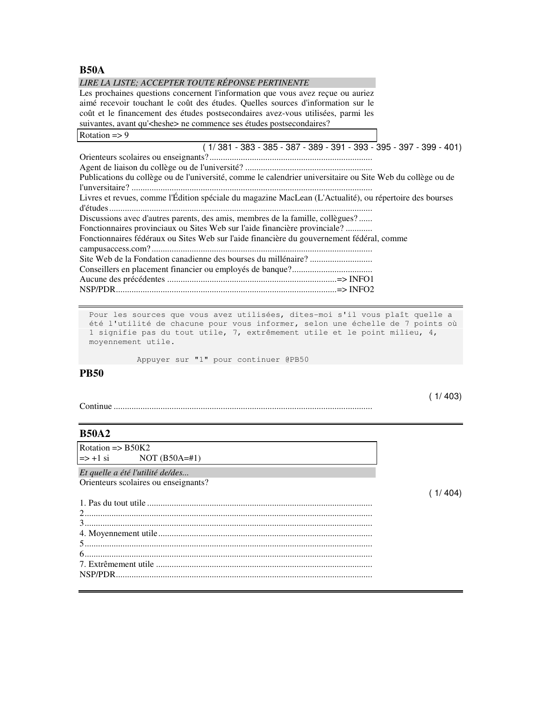#### **B50A**

*LIRE LA LISTE; ACCEPTER TOUTE RÉPONSE PERTINENTE*  Les prochaines questions concernent l'information que vous avez reçue ou auriez aimé recevoir touchant le coût des études. Quelles sources d'information sur le coût et le financement des études postsecondaires avez-vous utilisées, parmi les suivantes, avant qu'<heshe> ne commence ses études postsecondaires? Rotation  $\Rightarrow$  9 ( 1/ 381 - 383 - 385 - 387 - 389 - 391 - 393 - 395 - 397 - 399 - 401) Orienteurs scolaires ou enseignants?......................................................................... Agent de liaison du collège ou de l'université? ......................................................... Publications du collège ou de l'université, comme le calendrier universitaire ou Site Web du collège ou de l'unversitaire? ............................................................................................................ Livres et revues, comme l'Édition spéciale du magazine MacLean (L'Actualité), ou répertoire des bourses d'études...................................................................................................................... Discussions avec d'autres parents, des amis, membres de la famille, collègues? ...... Fonctionnaires provinciaux ou Sites Web sur l'aide financière provinciale? ............ Fonctionnaires fédéraux ou Sites Web sur l'aide financière du gouvernement fédéral, comme campusaccess.com? ................................................................................................... Site Web de la Fondation canadienne des bourses du millénaire? ............................ Conseillers en placement financier ou employés de banque?.................................... Aucune des précédentes ............................................................................=> INFO1 NSP/PDR...................................................................................................=> INFO2

 Pour les sources que vous avez utilisées, dites-moi s'il vous plaît quelle a été l'utilité de chacune pour vous informer, selon une échelle de 7 points où 1 signifie pas du tout utile, 7, extrêmement utile et le point milieu, 4, moyennement utile.

Appuyer sur "1" pour continuer @PB50

#### **PB50**

 $(1/403)$ 

Continue ....................................................................................................................

#### **B50A2**

 $Rotation = > B50K2$  $\Rightarrow$  +1 si NOT (B50A=#1)

*Et quelle a été l'utilité de/des...*  Orienteurs scolaires ou enseignants?

 $(1/404)$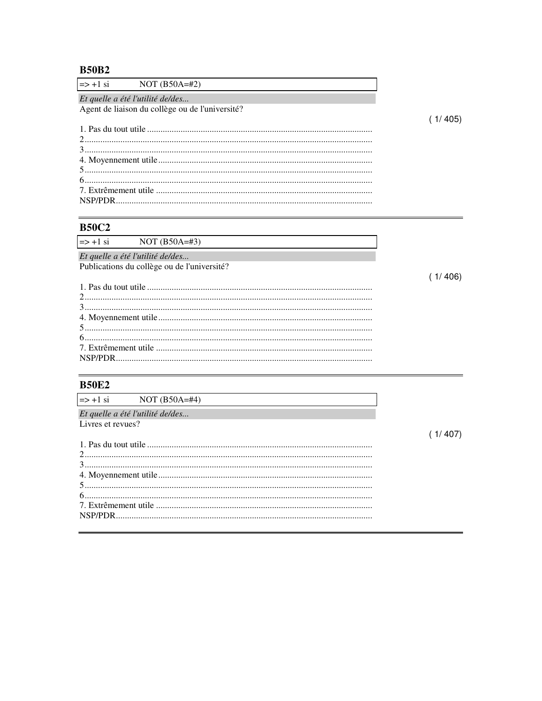**B50B2** 

| $  = > +1$ si NOT (B50A=#2)                     |    |
|-------------------------------------------------|----|
| Et quelle a été l'utilité de/des                |    |
| Agent de liaison du collège ou de l'université? |    |
|                                                 | 1/ |
|                                                 |    |
|                                                 |    |
|                                                 |    |
|                                                 |    |
|                                                 |    |
|                                                 |    |
|                                                 |    |
|                                                 |    |

#### **B50C2**

|                                  | $\Rightarrow$ +1 si NOT (B50A=#3)           |
|----------------------------------|---------------------------------------------|
| Et quelle a été l'utilité de/des |                                             |
|                                  | Publications du collège ou de l'université? |
|                                  |                                             |
|                                  |                                             |
|                                  |                                             |
|                                  |                                             |
|                                  |                                             |
|                                  |                                             |
|                                  |                                             |
|                                  |                                             |
|                                  |                                             |

**B50E2** 

NOT  $(B50A=\#4)$  $\Rightarrow$  +1 si Et quelle a été l'utilité de/des...

Livres et revues?

 $(1/407)$ 

 $405)$ 

 $(1/406)$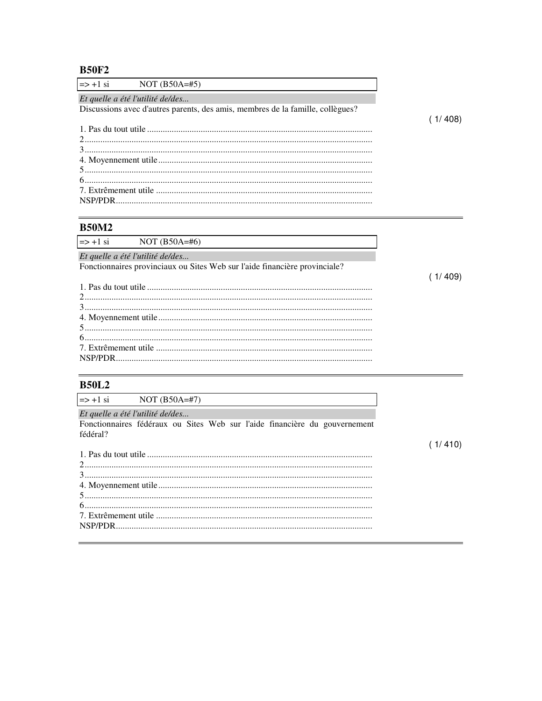**B50F2** 

| $ => +1$ si NOT (B50A=#5)                                                      |         |
|--------------------------------------------------------------------------------|---------|
| Et quelle a été l'utilité de/des                                               |         |
| Discussions avec d'autres parents, des amis, membres de la famille, collègues? |         |
|                                                                                | (1/408) |
|                                                                                |         |
|                                                                                |         |
|                                                                                |         |
|                                                                                |         |
|                                                                                |         |
|                                                                                |         |
|                                                                                |         |
| NSP/PPR                                                                        |         |

# **B50M2**

| $\Rightarrow$ +1 si NOT (B50A=#6)                                          |  |
|----------------------------------------------------------------------------|--|
| Et quelle a été l'utilité de/des                                           |  |
| Fonctionnaires provinciaux ou Sites Web sur l'aide financière provinciale? |  |
|                                                                            |  |
|                                                                            |  |
|                                                                            |  |
|                                                                            |  |
|                                                                            |  |
|                                                                            |  |
|                                                                            |  |
|                                                                            |  |
|                                                                            |  |

# **B50L2**

|                                  | $\Rightarrow$ +1 si NOT (B50A=#7)                                          |  |  |  |
|----------------------------------|----------------------------------------------------------------------------|--|--|--|
| Et quelle a été l'utilité de/des |                                                                            |  |  |  |
| fédéral?                         | Fonctionnaires fédéraux ou Sites Web sur l'aide financière du gouvernement |  |  |  |
|                                  |                                                                            |  |  |  |
|                                  |                                                                            |  |  |  |
|                                  |                                                                            |  |  |  |
|                                  |                                                                            |  |  |  |
|                                  |                                                                            |  |  |  |

 $(1/410)$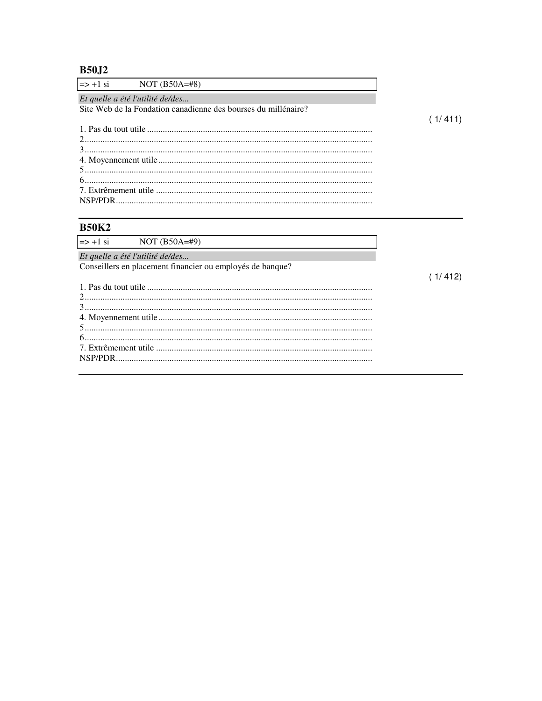**B50J2** 

| $\Rightarrow$ +1 si NOT (B50A=#8)                              |         |
|----------------------------------------------------------------|---------|
| Et quelle a été l'utilité de/des                               |         |
| Site Web de la Fondation canadienne des bourses du millénaire? |         |
|                                                                | (1/411) |
|                                                                |         |
|                                                                |         |
|                                                                |         |
|                                                                |         |
|                                                                |         |
|                                                                |         |
|                                                                |         |
|                                                                |         |
|                                                                |         |

# **B50K2**

| $\Rightarrow$ +1 si NOT (B50A=#9)                         |         |
|-----------------------------------------------------------|---------|
| Et quelle a été l'utilité de/des                          |         |
| Conseillers en placement financier ou employés de banque? |         |
|                                                           | (1/412) |
|                                                           |         |
|                                                           |         |
|                                                           |         |
|                                                           |         |
|                                                           |         |
|                                                           |         |
|                                                           |         |
|                                                           |         |
|                                                           |         |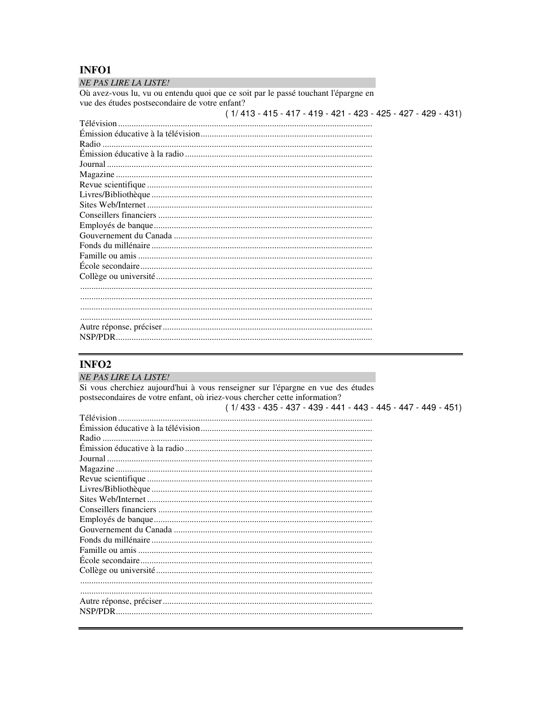# INFO1

| <i>NE PAS LIRE LA LISTE!</i>                                                       |
|------------------------------------------------------------------------------------|
| Où avez-vous lu, vu ou entendu quoi que ce soit par le passé touchant l'épargne en |
| vue des études postsecondaire de votre enfant?                                     |
| $(1/413 - 415 - 417 - 419 - 421 - 423 - 425 - 427 - 429 - 431)$                    |
|                                                                                    |
|                                                                                    |
|                                                                                    |
|                                                                                    |
|                                                                                    |
|                                                                                    |
|                                                                                    |
|                                                                                    |
|                                                                                    |
|                                                                                    |
|                                                                                    |
|                                                                                    |
|                                                                                    |
|                                                                                    |
|                                                                                    |
|                                                                                    |
|                                                                                    |
|                                                                                    |
|                                                                                    |
|                                                                                    |
|                                                                                    |
|                                                                                    |
|                                                                                    |

# INFO<sub>2</sub>

| <i>NE PAS LIRE LA LISTE!</i>                                                                                                                  |
|-----------------------------------------------------------------------------------------------------------------------------------------------|
| Si vous cherchiez aujourd'hui à vous renseigner sur l'épargne en vue des études                                                               |
| postsecondaires de votre enfant, où iriez-vous chercher cette information?<br>$(1/433 - 435 - 437 - 439 - 441 - 443 - 445 - 447 - 449 - 451)$ |
|                                                                                                                                               |
|                                                                                                                                               |
|                                                                                                                                               |
|                                                                                                                                               |
|                                                                                                                                               |
|                                                                                                                                               |
|                                                                                                                                               |
|                                                                                                                                               |
|                                                                                                                                               |
|                                                                                                                                               |
|                                                                                                                                               |
|                                                                                                                                               |
|                                                                                                                                               |
|                                                                                                                                               |
|                                                                                                                                               |
|                                                                                                                                               |
|                                                                                                                                               |
|                                                                                                                                               |
|                                                                                                                                               |
|                                                                                                                                               |
|                                                                                                                                               |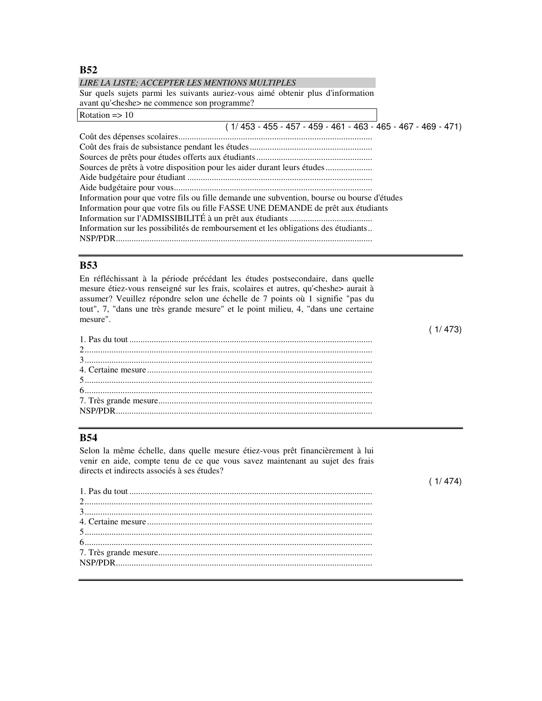**B52** 

| LIRE LA LISTE; ACCEPTER LES MENTIONS MULTIPLES                                             |
|--------------------------------------------------------------------------------------------|
| Sur quels sujets parmi les suivants auriez-vous aimé obtenir plus d'information            |
| avant qu' <heshe> ne commence son programme?</heshe>                                       |
| Rotation $\Rightarrow$ 10                                                                  |
| $(1/453 - 455 - 457 - 459 - 461 - 463 - 465 - 467 - 469 - 471)$                            |
|                                                                                            |
|                                                                                            |
|                                                                                            |
| Sources de prêts à votre disposition pour les aider durant leurs études                    |
|                                                                                            |
|                                                                                            |
| Information pour que votre fils ou fille demande une subvention, bourse ou bourse d'études |
| Information pour que votre fils ou fille FASSE UNE DEMANDE de prêt aux étudiants           |
|                                                                                            |
| Information sur les possibilités de remboursement et les obligations des étudiants         |
| NSP/PDR                                                                                    |
|                                                                                            |

#### **B53**

En réfléchissant à la période précédant les études postsecondaire, dans quelle mesure étiez-vous renseigné sur les frais, scolaires et autres, qu'<heshe> aurait à assumer? Veuillez répondre selon une échelle de 7 points où 1 signifie "pas du tout", 7, "dans une très grande mesure" et le point milieu, 4, "dans une certaine mesure".

## **B54**

Selon la même échelle, dans quelle mesure étiez-vous prêt financièrement à lui venir en aide, compte tenu de ce que vous savez maintenant au sujet des frais directs et indirects associés à ses études?

( 1/ 474) 1. Pas du tout ............................................................................................................. 2................................................................................................................................. 3................................................................................................................................. 4. Certaine mesure..................................................................................................... 5................................................................................................................................. 6................................................................................................................................. 7. Très grande mesure................................................................................................ NSP/PDR...................................................................................................................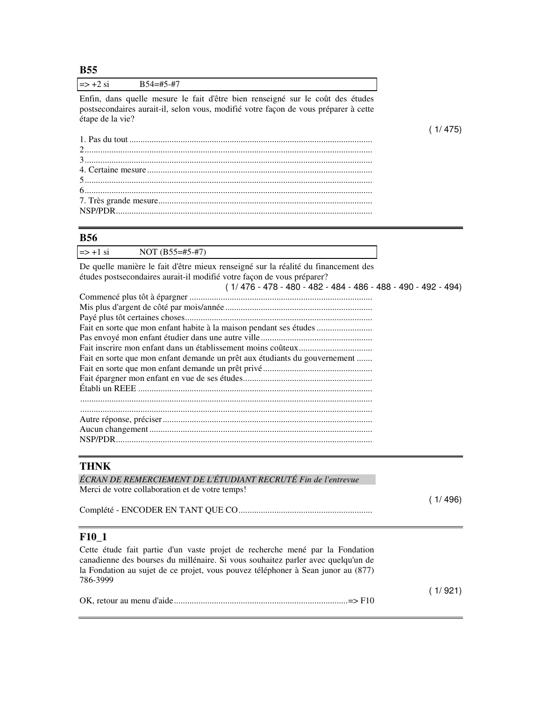**B55** 

| $\Rightarrow$ +2 si<br>$B54=#5-#7$                                                                                                                                                                                              |
|---------------------------------------------------------------------------------------------------------------------------------------------------------------------------------------------------------------------------------|
| Enfin, dans quelle mesure le fait d'être bien renseigné sur le coût des études<br>postsecondaires aurait-il, selon vous, modifié votre façon de vous préparer à cette<br>étape de la vie?                                       |
| (1/475)                                                                                                                                                                                                                         |
|                                                                                                                                                                                                                                 |
|                                                                                                                                                                                                                                 |
|                                                                                                                                                                                                                                 |
|                                                                                                                                                                                                                                 |
|                                                                                                                                                                                                                                 |
|                                                                                                                                                                                                                                 |
|                                                                                                                                                                                                                                 |
|                                                                                                                                                                                                                                 |
|                                                                                                                                                                                                                                 |
| <b>B56</b>                                                                                                                                                                                                                      |
| $\Rightarrow$ +1 si<br>NOT $(B55=\#5-\#7)$                                                                                                                                                                                      |
| De quelle manière le fait d'être mieux renseigné sur la réalité du financement des<br>études postsecondaires aurait-il modifié votre façon de vous préparer?<br>$(1/476 - 478 - 480 - 482 - 484 - 486 - 488 - 490 - 492 - 494)$ |
|                                                                                                                                                                                                                                 |
|                                                                                                                                                                                                                                 |
|                                                                                                                                                                                                                                 |
| Fait en sorte que mon enfant habite à la maison pendant ses études                                                                                                                                                              |
|                                                                                                                                                                                                                                 |

Fait inscrire mon enfant dans un établissement moins coûteux................................. Fait en sorte que mon enfant demande un prêt aux étudiants du gouvernement ....... Fait en sorte que mon enfant demande un prêt privé................................................. Fait épargner mon enfant en vue de ses études.......................................................... Établi un REEE ......................................................................................................... ................................................................................................................................... ................................................................................................................................... Autre réponse, préciser.............................................................................................. Aucun changement ....................................................................................................

# NSP/PDR...................................................................................................................

| <b>THNK</b>                                                                                                                                                                                                                                                      |         |  |
|------------------------------------------------------------------------------------------------------------------------------------------------------------------------------------------------------------------------------------------------------------------|---------|--|
| ÉCRAN DE REMERCIEMENT DE L'ÉTUDIANT RECRUTÉ Fin de l'entrevue                                                                                                                                                                                                    |         |  |
| Merci de votre collaboration et de votre temps!                                                                                                                                                                                                                  |         |  |
|                                                                                                                                                                                                                                                                  |         |  |
| F <sub>10</sub> 1                                                                                                                                                                                                                                                |         |  |
| Cette étude fait partie d'un vaste projet de recherche mené par la Fondation<br>canadienne des bourses du millénaire. Si vous souhaitez parler avec quelqu'un de<br>la Fondation au sujet de ce projet, vous pouvez téléphoner à Sean junor au (877)<br>786-3999 |         |  |
|                                                                                                                                                                                                                                                                  | (1/921) |  |